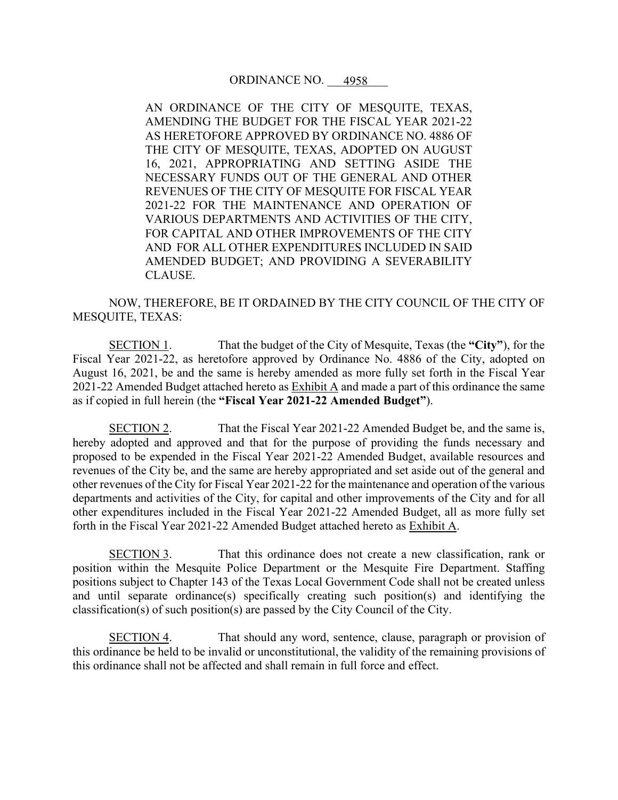ORDINANCE NO. 4958

AN ORDINANCE OF THE CITY OF MESQUITE, TEXAS, AMENDING THE BUDGET FOR THE FISCAL YEAR 2021-22 AS HERETOFORE APPROVED BY ORDINANCE NO. 4886 OF THE CITY OF MESQUITE, TEXAS, ADOPTED ON AUGUST 16, 2021, APPROPRIATING AND SETTING ASIDE THE NECESSARY FUNDS OUT OF THE GENERAL AND OTHER REVENUES OF THE CITY OF MESQUITE FOR FISCAL YEAR 2021-22 FOR THE MAINTENANCE AND OPERATION OF VARIOUS DEPARTMENTS AND ACTIVITIES OF THE CITY, FOR CAPITAL AND OTHER IMPROVEMENTS OF THE CITY AND FOR ALL OTHER EXPENDITURES INCLUDED IN SAID AMENDED BUDGET; AND PROVIDING A SEVERABILITY CLAUSE.

NOW, THEREFORE, BE IT ORDAINED BY THE CITY COUNCIL OF THE CITY OF MESQUITE, TEXAS:

SECTION 1. That the budget of the City of Mesquite, Texas (the **"City"**), for the Fiscal Year 2021-22, as heretofore approved by Ordinance No. 4886 of the City, adopted on August 16, 2021, be and the same is hereby amended as more fully set forth in the Fiscal Year 2021-22 Amended Budget attached hereto as Exhibit A and made a part of this ordinance the same as if copied in full herein (the **"Fiscal Year 2021-22 Amended Budget"**).

SECTION 2. That the Fiscal Year 2021-22 Amended Budget be, and the same is, hereby adopted and approved and that for the purpose of providing the funds necessary and proposed to be expended in the Fiscal Year 2021-22 Amended Budget, available resources and revenues of the City be, and the same are hereby appropriated and set aside out of the general and other revenues of the City for Fiscal Year 2021-22 for the maintenance and operation of the various departments and activities of the City, for capital and other improvements of the City and for all other expenditures included in the Fiscal Year 2021-22 Amended Budget, all as more fully set forth in the Fiscal Year 2021-22 Amended Budget attached hereto as Exhibit A.

SECTION 3. That this ordinance does not create a new classification, rank or position within the Mesquite Police Department or the Mesquite Fire Department. Staffing positions subject to Chapter 143 of the Texas Local Government Code shall not be created unless and until separate ordinance(s) specifically creating such position(s) and identifying the classification(s) of such position(s) are passed by the City Council of the City.

SECTION 4. That should any word, sentence, clause, paragraph or provision of this ordinance be held to be invalid or unconstitutional, the validity of the remaining provisions of this ordinance shall not be affected and shall remain in full force and effect.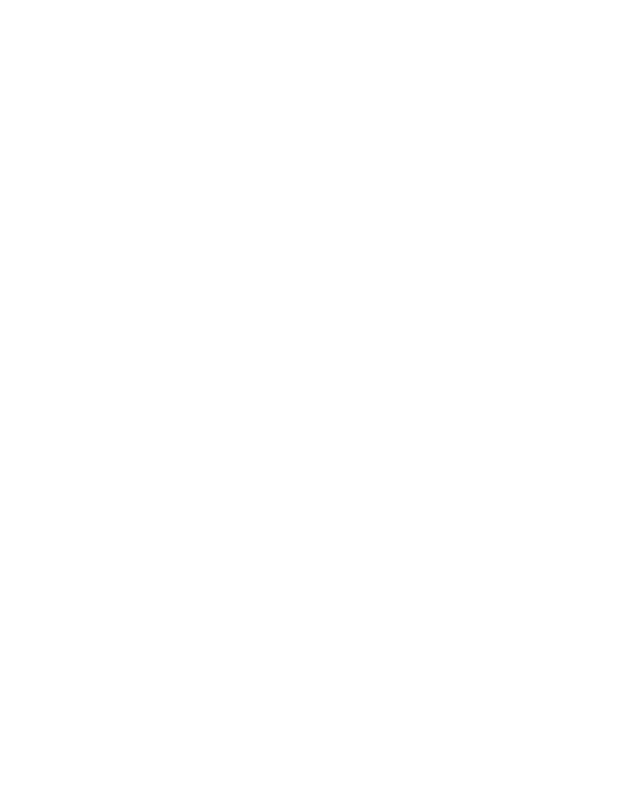Finance / Fiscal Year 2021-22 Amended Budget / May 16, 2022 Page 2 of 2

DULY PASSED AND APPROVED by the City Council of the City of Mesquite, Texas, on the 16th day of May 2022.

> Daniel Alemán, Jr. Mayor

ATTEST: APPROVED AS TO LEGAL FORM:

Sonja Land David L. Paschall<br>City Secretary City Attorney City Attorney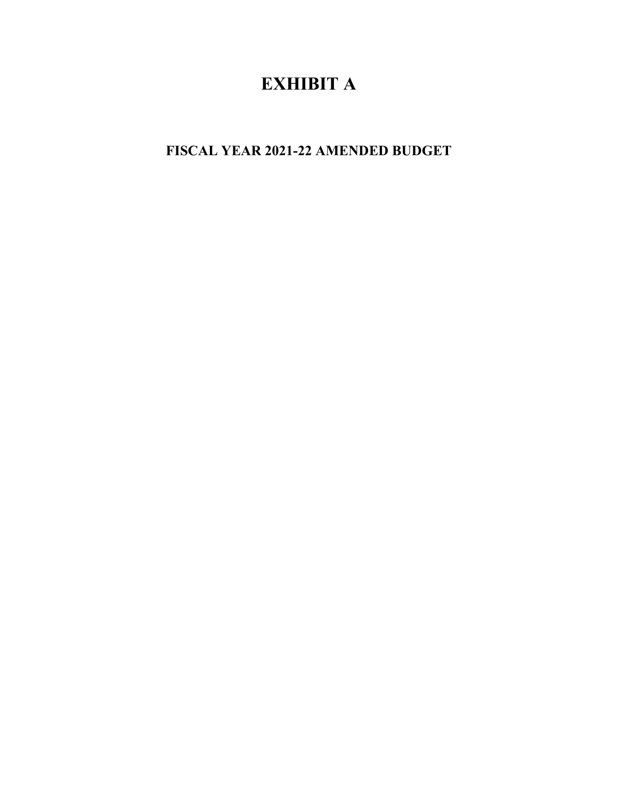## **EXHIBIT A**

**FISCAL YEAR 2021-22 AMENDED BUDGET**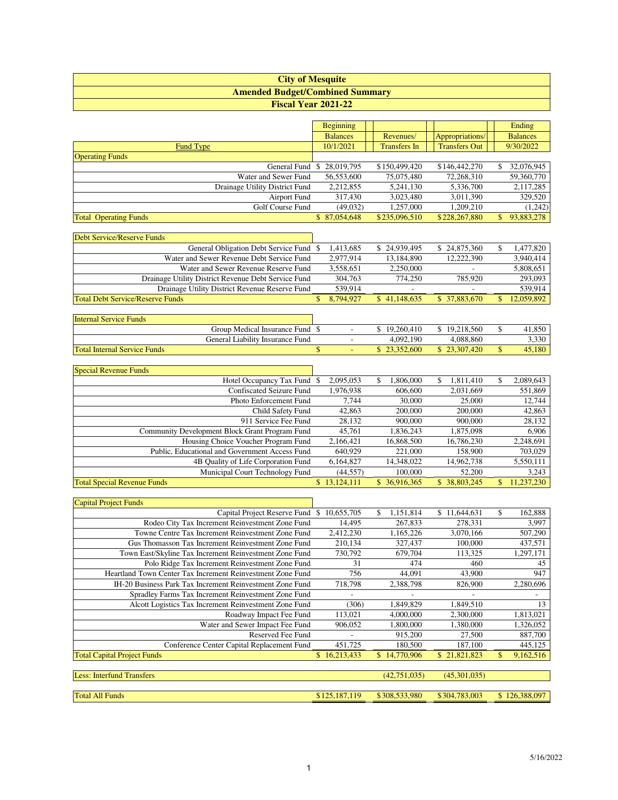| <b>City of Mesquite</b>                                                               |                                     |                         |                              |                             |
|---------------------------------------------------------------------------------------|-------------------------------------|-------------------------|------------------------------|-----------------------------|
| <b>Amended Budget/Combined Summary</b>                                                |                                     |                         |                              |                             |
| <b>Fiscal Year 2021-22</b>                                                            |                                     |                         |                              |                             |
|                                                                                       |                                     |                         |                              |                             |
|                                                                                       | Beginning                           |                         |                              | Ending                      |
|                                                                                       | <b>Balances</b><br>10/1/2021        | Revenues/               | Appropriations/              | <b>Balances</b>             |
| <b>Fund Type</b><br><b>Operating Funds</b>                                            |                                     | <b>Transfers</b> In     | <b>Transfers Out</b>         | 9/30/2022                   |
|                                                                                       | General Fund \$ 28,019,795          | \$150,499,420           | \$146,442,270                | 32,076,945<br>S             |
| Water and Sewer Fund                                                                  | 56,553,600                          | 75,075,480              | 72,268,310                   | 59,360,770                  |
| Drainage Utility District Fund                                                        | 2,212,855                           | 5,241,130               | 5,336,700                    | 2,117,285                   |
| <b>Airport Fund</b>                                                                   | 317,430                             | 3,023,480               | 3,011,390                    | 329,520                     |
| Golf Course Fund                                                                      | (49, 032)                           | 1,257,000               | 1,209,210                    | (1,242)                     |
| <b>Total Operating Funds</b>                                                          | \$87,054,648                        | \$235,096,510           | \$228,267,880                | $\mathbb{S}$<br>93,883,278  |
|                                                                                       |                                     |                         |                              |                             |
| <b>Debt Service/Reserve Funds</b>                                                     |                                     |                         |                              |                             |
| General Obligation Debt Service Fund \$                                               | 1,413,685                           | \$24,939,495            | \$24,875,360                 | \$<br>1,477,820             |
| Water and Sewer Revenue Debt Service Fund<br>Water and Sewer Revenue Reserve Fund     | 2,977,914<br>3,558,651              | 13,184,890<br>2,250,000 | 12,222,390<br>$\overline{a}$ | 3,940,414<br>5,808,651      |
| Drainage Utility District Revenue Debt Service Fund                                   | 304,763                             | 774,250                 | 785,920                      | 293,093                     |
| Drainage Utility District Revenue Reserve Fund                                        | 539,914                             |                         | $\overline{a}$               | 539,914                     |
| <b>Total Debt Service/Reserve Funds</b>                                               | 8,794,927<br>\$                     | $\sqrt{41,148,635}$     | $\frac{1}{37,883,670}$       | 12,059,892<br>$\mathbb{S}$  |
|                                                                                       |                                     |                         |                              |                             |
| <b>Internal Service Funds</b>                                                         |                                     |                         |                              |                             |
| Group Medical Insurance Fund                                                          | -\$<br>$\overline{\phantom{a}}$     | \$19,260,410            | \$19,218,560                 | \$<br>41,850                |
| General Liability Insurance Fund                                                      | $\overline{\phantom{a}}$            | 4,092,190               | 4,088,860                    | 3,330                       |
| <b>Total Internal Service Funds</b>                                                   | \$<br>$\equiv$                      | \$23,352,600            | \$23,307,420                 | $\mathbb{S}$<br>45,180      |
|                                                                                       |                                     |                         |                              |                             |
| <b>Special Revenue Funds</b>                                                          |                                     |                         |                              |                             |
| Hotel Occupancy Tax Fund \$                                                           | 2,095,053                           | 1,806,000<br>\$         | \$<br>1,811,410              | <sup>\$</sup><br>2,089,643  |
| Confiscated Seizure Fund                                                              | 1,976,938                           | 606,600                 | 2,031,669                    | 551,869                     |
| Photo Enforcement Fund                                                                | 7,744                               | 30,000                  | 25,000                       | 12,744                      |
| Child Safety Fund                                                                     | 42,863                              | 200,000                 | 200,000                      | 42,863                      |
| 911 Service Fee Fund                                                                  | 28,132                              | 900,000                 | 900,000                      | 28,132                      |
| Community Development Block Grant Program Fund<br>Housing Choice Voucher Program Fund | 45,761<br>2,166,421                 | 1,836,243<br>16,868,500 | 1,875,098<br>16,786,230      | 6,906<br>2,248,691          |
| Public, Educational and Government Access Fund                                        | 640,929                             | 221,000                 | 158,900                      | 703,029                     |
| 4B Quality of Life Corporation Fund                                                   | 6,164,827                           | 14,348,022              | 14,962,738                   | 5,550,111                   |
| Municipal Court Technology Fund                                                       | (44, 557)                           | 100,000                 | 52,200                       | 3,243                       |
| <b>Total Special Revenue Funds</b>                                                    | $\frac{13,124,111}{2}$              | \$36,916,365            | \$38,803,245                 | 11,237,230<br>$\mathcal{S}$ |
|                                                                                       |                                     |                         |                              |                             |
| <b>Capital Project Funds</b>                                                          |                                     |                         |                              |                             |
| Capital Project Reserve Fund \$ 10,655,705                                            |                                     | \$<br>1,151,814         | \$11,644,631                 | \$<br>162,888               |
| Rodeo City Tax Increment Reinvestment Zone Fund                                       | 14,495                              | 267,833                 | 278,331                      | 3,997                       |
| Towne Centre Tax Increment Reinvestment Zone Fund                                     | 2,412,230                           | 1,165,226               | 3,070,166                    | 507,290                     |
| Gus Thomasson Tax Increment Reinvestment Zone Fund                                    | 210,134                             | 327,437                 | 100,000                      | 437,571                     |
| Town East/Skyline Tax Increment Reinvestment Zone Fund                                | 730,792                             | 679,704                 | 113,325                      | 1,297,171                   |
| Polo Ridge Tax Increment Reinvestment Zone Fund                                       | 31                                  | 474                     | 460                          | 45                          |
| Heartland Town Center Tax Increment Reinvestment Zone Fund                            | 756                                 | 44,091                  | 43,900                       | 947                         |
| IH-20 Business Park Tax Increment Reinvestment Zone Fund                              | 718,798                             | 2,388,798               | 826,900                      | 2,280,696                   |
| Spradley Farms Tax Increment Reinvestment Zone Fund                                   |                                     |                         |                              |                             |
| Alcott Logistics Tax Increment Reinvestment Zone Fund                                 | (306)                               | 1,849,829               | 1,849,510                    | 13                          |
| Roadway Impact Fee Fund                                                               | 113,021                             | 4,000,000               | 2,300,000                    | 1,813,021                   |
| Water and Sewer Impact Fee Fund                                                       | 906,052                             | 1,800,000               | 1,380,000                    | 1,326,052                   |
| Reserved Fee Fund<br>Conference Center Capital Replacement Fund                       | $\overline{\phantom{a}}$<br>451,725 | 915,200<br>180,500      | 27,500<br>187,100            | 887,700<br>445,125          |
| <b>Total Capital Project Funds</b>                                                    | \$16,213,433                        | \$14,770,906            | \$21,821,823                 | $\mathbb{S}$<br>9,162,516   |
|                                                                                       |                                     |                         |                              |                             |
| <b>Less: Interfund Transfers</b>                                                      |                                     | (42, 751, 035)          | (45,301,035)                 |                             |
|                                                                                       |                                     |                         |                              |                             |
| <b>Total All Funds</b>                                                                | \$125,187,119                       | \$308,533,980           | \$304,783,003                | \$126,388,097               |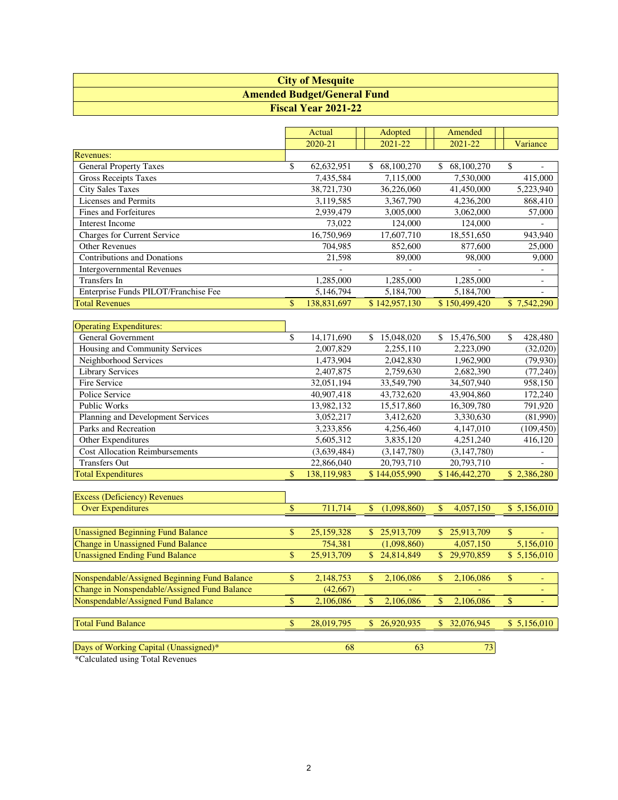|                                      | <b>City of Mesquite</b>            |                  |                  |           |
|--------------------------------------|------------------------------------|------------------|------------------|-----------|
|                                      | <b>Amended Budget/General Fund</b> |                  |                  |           |
|                                      | <b>Fiscal Year 2021-22</b>         |                  |                  |           |
|                                      |                                    |                  |                  |           |
|                                      | Actual                             | Adopted          | Amended          |           |
|                                      | 2020-21                            | 2021-22          | 2021-22          | Variance  |
| <b>Revenues:</b>                     |                                    |                  |                  |           |
| <b>General Property Taxes</b>        | \$<br>62,632,951                   | 68,100,270<br>\$ | \$<br>68,100,270 | \$        |
| <b>Gross Receipts Taxes</b>          | 7,435,584                          | 7,115,000        | 7,530,000        | 415,000   |
| <b>City Sales Taxes</b>              | 38,721,730                         | 36,226,060       | 41,450,000       | 5,223,940 |
| Licenses and Permits                 | 3,119,585                          | 3,367,790        | 4,236,200        | 868,410   |
| <b>Fines and Forfeitures</b>         | 2,939,479                          | 3,005,000        | 3,062,000        | 57,000    |
| <b>Interest Income</b>               | 73,022                             | 124,000          | 124,000          |           |
| <b>Charges for Current Service</b>   | 16,750,969                         | 17,607,710       | 18,551,650       | 943,940   |
| <b>Other Revenues</b>                | 704,985                            | 852,600          | 877,600          | 25,000    |
| <b>Contributions and Donations</b>   | 21,598                             | 89,000           | 98,000           | 9,000     |
| <b>Intergovernmental Revenues</b>    |                                    |                  |                  |           |
| Transfers In                         | 1,285,000                          | 1,285,000        | 1,285,000        |           |
| Enterprise Funds PILOT/Franchise Fee | 5,146,794                          | 5,184,700        | 5,184,700        |           |

| <b>Operating Expenditures:</b>        |                    |                   |                  |                          |
|---------------------------------------|--------------------|-------------------|------------------|--------------------------|
| General Government                    | \$<br>14, 171, 690 | 15,048,020<br>\$. | 15,476,500<br>\$ | \$<br>428,480            |
| Housing and Community Services        | 2,007,829          | 2,255,110         | 2,223,090        | (32,020)                 |
| Neighborhood Services                 | 1,473,904          | 2,042,830         | 1,962,900        | (79, 930)                |
| <b>Library Services</b>               | 2,407,875          | 2,759,630         | 2,682,390        | (77,240)                 |
| Fire Service                          | 32,051,194         | 33,549,790        | 34,507,940       | 958,150                  |
| Police Service                        | 40,907,418         | 43,732,620        | 43,904,860       | 172,240                  |
| <b>Public Works</b>                   | 13,982,132         | 15,517,860        | 16,309,780       | 791,920                  |
| Planning and Development Services     | 3,052,217          | 3,412,620         | 3,330,630        | (81,990)                 |
| Parks and Recreation                  | 3,233,856          | 4,256,460         | 4,147,010        | (109, 450)               |
| Other Expenditures                    | 5,605,312          | 3,835,120         | 4,251,240        | 416,120                  |
| <b>Cost Allocation Reimbursements</b> | (3,639,484)        | (3, 147, 780)     | (3, 147, 780)    |                          |
| <b>Transfers Out</b>                  | 22,866,040         | 20,793,710        | 20,793,710       | $\overline{\phantom{0}}$ |
| <b>Total Expenditures</b>             | \$<br>138,119,983  | \$144,055,990     | \$146,442,270    | \$2,386,280              |

Enterprise Funds PILOT/Franchise Fee 5,146,794 5,184,700 5,184,700 5,184,700 - 5 Total Revenues

| <b>Excess (Deficiency) Revenues</b>          |               |            |     |              |                |            |              |                          |
|----------------------------------------------|---------------|------------|-----|--------------|----------------|------------|--------------|--------------------------|
| <b>Over Expenditures</b>                     | \$            | 711,714    | \$. | (1,098,860)  | \$             | 4,057,150  |              | \$5,156,010              |
|                                              |               |            |     |              |                |            |              |                          |
| <b>Unassigned Beginning Fund Balance</b>     | \$            | 25,159,328 |     | \$25,913,709 | $\mathbb{S}^-$ | 25,913,709 | \$           | ۰                        |
| <b>Change in Unassigned Fund Balance</b>     |               | 754,381    |     | (1,098,860)  |                | 4,057,150  |              | 5,156,010                |
| <b>Unassigned Ending Fund Balance</b>        | \$            | 25,913,709 |     | \$24,814,849 | $\mathbb{S}^-$ | 29,970,859 |              | \$5,156,010              |
|                                              |               |            |     |              |                |            |              |                          |
| Nonspendable/Assigned Beginning Fund Balance | $\mathcal{S}$ | 2,148,753  | \$  | 2,106,086    | \$             | 2,106,086  | $\mathbb{S}$ | ٠                        |
| Change in Nonspendable/Assigned Fund Balance |               | (42,667)   |     |              |                |            |              | -                        |
| Nonspendable/Assigned Fund Balance           | Ж.            | 2,106,086  | \$  | 2,106,086    | \$             | 2,106,086  |              | $\overline{\phantom{0}}$ |
|                                              |               |            |     |              |                |            |              |                          |
| <b>Total Fund Balance</b>                    | \$.           | 28,019,795 | \$. | 26,920,935   | \$             | 32,076,945 |              | \$5,156,010              |
|                                              |               |            |     |              |                |            |              |                          |
| Days of Working Capital (Unassigned)*        |               | 68         |     | 63           |                | 73         |              |                          |

\*Calculated using Total Revenues

Total Revenues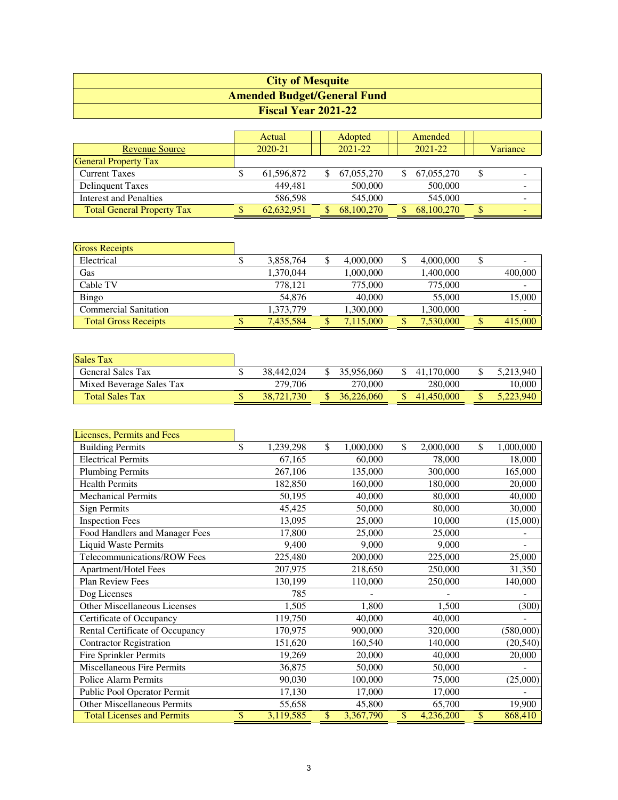| <b>City of Mesquite</b>            |  |  |  |  |  |  |
|------------------------------------|--|--|--|--|--|--|
| <b>Amended Budget/General Fund</b> |  |  |  |  |  |  |
| <b>Fiscal Year 2021-22</b>         |  |  |  |  |  |  |

|                                   |         | Actual     |  | Adopted     |  | Amended     |  |   |  |          |
|-----------------------------------|---------|------------|--|-------------|--|-------------|--|---|--|----------|
| <b>Revenue Source</b>             | 2020-21 |            |  | $2021 - 22$ |  | $2021 - 22$ |  |   |  | Variance |
| <b>General Property Tax</b>       |         |            |  |             |  |             |  |   |  |          |
| <b>Current Taxes</b>              |         | 61,596,872 |  | 67,055,270  |  | 67,055,270  |  |   |  |          |
| Delinquent Taxes                  |         | 449.481    |  | 500,000     |  | 500,000     |  | - |  |          |
| Interest and Penalties            |         | 586,598    |  | 545,000     |  | 545,000     |  |   |  |          |
| <b>Total General Property Tax</b> |         | 62,632,951 |  | 68,100,270  |  | 68,100,270  |  |   |  |          |

| <b>Gross Receipts</b>        |    |           |                 |           |                          |
|------------------------------|----|-----------|-----------------|-----------|--------------------------|
| Electrical                   | ۰D | 3,858,764 | \$<br>4,000,000 | 4,000,000 |                          |
| Gas                          |    | 1,370,044 | 1.000.000       | 1,400,000 | 400,000                  |
| Cable TV                     |    | 778.121   | 775,000         | 775,000   | $\overline{\phantom{0}}$ |
| Bingo                        |    | 54,876    | 40,000          | 55,000    | 15,000                   |
| <b>Commercial Sanitation</b> |    | 1,373,779 | 1,300,000       | 1.300.000 | -                        |
| <b>Total Gross Receipts</b>  |    | 7,435,584 | 7,115,000       | 7,530,000 | 415,000                  |

| Sales Tax                |            |            |            |  |           |
|--------------------------|------------|------------|------------|--|-----------|
| General Sales Tax        | 38,442,024 | 35,956,060 | 41.170.000 |  | 5.213.940 |
| Mixed Beverage Sales Tax | 279,706    | 270,000    | 280,000    |  | 10,000    |
| <b>Total Sales Tax</b>   | 38,721,730 | 36,226,060 | 41,450,000 |  | 5.223.940 |

| <b>Licenses, Permits and Fees</b>   |                 |                          |           |                 |                 |
|-------------------------------------|-----------------|--------------------------|-----------|-----------------|-----------------|
| <b>Building Permits</b>             | \$<br>1,239,298 | \$                       | 1,000,000 | \$<br>2,000,000 | \$<br>1,000,000 |
| <b>Electrical Permits</b>           | 67,165          |                          | 60,000    | 78,000          | 18,000          |
| <b>Plumbing Permits</b>             | 267,106         |                          | 135,000   | 300,000         | 165,000         |
| <b>Health Permits</b>               | 182,850         |                          | 160,000   | 180,000         | 20,000          |
| <b>Mechanical Permits</b>           | 50,195          |                          | 40,000    | 80,000          | 40,000          |
| <b>Sign Permits</b>                 | 45,425          |                          | 50,000    | 80,000          | 30,000          |
| <b>Inspection Fees</b>              | 13,095          |                          | 25,000    | 10,000          | (15,000)        |
| Food Handlers and Manager Fees      | 17,800          |                          | 25,000    | 25,000          |                 |
| <b>Liquid Waste Permits</b>         | 9,400           |                          | 9,000     | 9,000           |                 |
| Telecommunications/ROW Fees         | 225,480         |                          | 200,000   | 225,000         | 25,000          |
| Apartment/Hotel Fees                | 207,975         |                          | 218,650   | 250,000         | 31,350          |
| <b>Plan Review Fees</b>             | 130,199         |                          | 110,000   | 250,000         | 140,000         |
| Dog Licenses                        | 785             |                          |           |                 |                 |
| <b>Other Miscellaneous Licenses</b> | 1,505           |                          | 1,800     | 1,500           | (300)           |
| Certificate of Occupancy            | 119,750         |                          | 40,000    | 40,000          |                 |
| Rental Certificate of Occupancy     | 170,975         |                          | 900,000   | 320,000         | (580,000)       |
| <b>Contractor Registration</b>      | 151,620         |                          | 160,540   | 140,000         | (20, 540)       |
| Fire Sprinkler Permits              | 19,269          |                          | 20,000    | 40,000          | 20,000          |
| <b>Miscellaneous Fire Permits</b>   | 36,875          |                          | 50,000    | 50,000          |                 |
| Police Alarm Permits                | 90,030          |                          | 100,000   | 75,000          | (25,000)        |
| Public Pool Operator Permit         | 17,130          |                          | 17,000    | 17,000          |                 |
| <b>Other Miscellaneous Permits</b>  | 55,658          |                          | 45,800    | 65,700          | 19,900          |
| <b>Total Licenses and Permits</b>   | \$<br>3,119,585 | $\overline{\mathcal{S}}$ | 3,367,790 | \$<br>4,236,200 | \$<br>868,410   |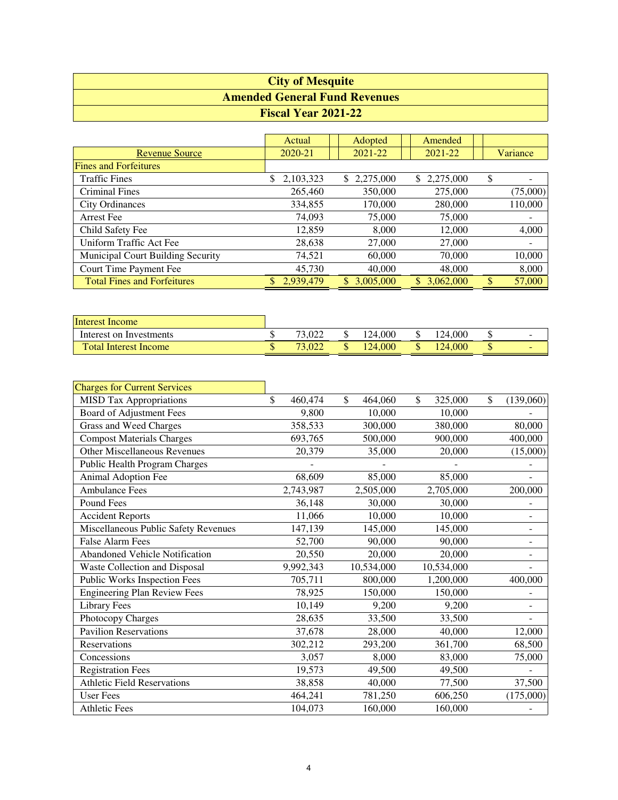| <b>City of Mesquite</b>              |
|--------------------------------------|
| <b>Amended General Fund Revenues</b> |
| <b>Fiscal Year 2021-22</b>           |

|                                          | Actual          | Adopted                     | Amended          |              |
|------------------------------------------|-----------------|-----------------------------|------------------|--------------|
| <b>Revenue Source</b>                    | 2020-21         | 2021-22                     | 2021-22          | Variance     |
| <b>Fines and Forfeitures</b>             |                 |                             |                  |              |
| <b>Traffic Fines</b>                     | 2,103,323<br>\$ | \$2,275,000                 | \$2,275,000      | \$           |
| Criminal Fines                           | 265,460         | 350,000                     | 275,000          | (75,000)     |
| <b>City Ordinances</b>                   | 334,855         | 170,000                     | 280,000          | 110,000      |
| Arrest Fee                               | 74,093          | 75,000                      | 75,000           | -            |
| Child Safety Fee                         | 12,859          | 8,000                       | 12,000           | 4,000        |
| Uniform Traffic Act Fee                  | 28,638          | 27,000                      | 27,000           | Ξ.           |
| <b>Municipal Court Building Security</b> | 74,521          | 60,000                      | 70,000           | 10,000       |
| Court Time Payment Fee                   | 45,730          | 40,000                      | 48,000           | 8,000        |
| <b>Total Fines and Forfeitures</b>       | 2,939,479<br>\$ | 3,005,000<br>$\mathbb{S}^-$ | 3,062,000<br>\$. | \$<br>57,000 |

| Interest Income              |        |         |         |   |
|------------------------------|--------|---------|---------|---|
| Interest on Investments      | 73,022 | 124.000 | 124.000 | - |
| <b>Total Interest Income</b> | 73,022 | 124.000 | 124,000 |   |
|                              |        |         |         |   |

| <b>Charges for Current Services</b>  |               |               |               |                 |
|--------------------------------------|---------------|---------------|---------------|-----------------|
| <b>MISD Tax Appropriations</b>       | \$<br>460,474 | \$<br>464,060 | \$<br>325,000 | \$<br>(139,060) |
| Board of Adjustment Fees             | 9,800         | 10,000        | 10,000        |                 |
| <b>Grass and Weed Charges</b>        | 358,533       | 300,000       | 380,000       | 80,000          |
| <b>Compost Materials Charges</b>     | 693,765       | 500,000       | 900,000       | 400,000         |
| <b>Other Miscellaneous Revenues</b>  | 20,379        | 35,000        | 20,000        | (15,000)        |
| <b>Public Health Program Charges</b> |               |               |               |                 |
| Animal Adoption Fee                  | 68,609        | 85,000        | 85,000        |                 |
| <b>Ambulance Fees</b>                | 2,743,987     | 2,505,000     | 2,705,000     | 200,000         |
| Pound Fees                           | 36,148        | 30,000        | 30,000        |                 |
| <b>Accident Reports</b>              | 11,066        | 10,000        | 10,000        |                 |
| Miscellaneous Public Safety Revenues | 147,139       | 145,000       | 145,000       |                 |
| <b>False Alarm Fees</b>              | 52,700        | 90,000        | 90,000        | ۰               |
| Abandoned Vehicle Notification       | 20,550        | 20,000        | 20,000        |                 |
| <b>Waste Collection and Disposal</b> | 9,992,343     | 10,534,000    | 10,534,000    |                 |
| <b>Public Works Inspection Fees</b>  | 705,711       | 800,000       | 1,200,000     | 400,000         |
| <b>Engineering Plan Review Fees</b>  | 78,925        | 150,000       | 150,000       |                 |
| <b>Library Fees</b>                  | 10,149        | 9,200         | 9,200         |                 |
| Photocopy Charges                    | 28,635        | 33,500        | 33,500        |                 |
| <b>Pavilion Reservations</b>         | 37,678        | 28,000        | 40,000        | 12,000          |
| Reservations                         | 302,212       | 293,200       | 361,700       | 68,500          |
| Concessions                          | 3,057         | 8,000         | 83,000        | 75,000          |
| <b>Registration Fees</b>             | 19,573        | 49,500        | 49,500        |                 |
| <b>Athletic Field Reservations</b>   | 38,858        | 40,000        | 77,500        | 37,500          |
| <b>User Fees</b>                     | 464,241       | 781,250       | 606,250       | (175,000)       |
| <b>Athletic Fees</b>                 | 104,073       | 160,000       | 160,000       |                 |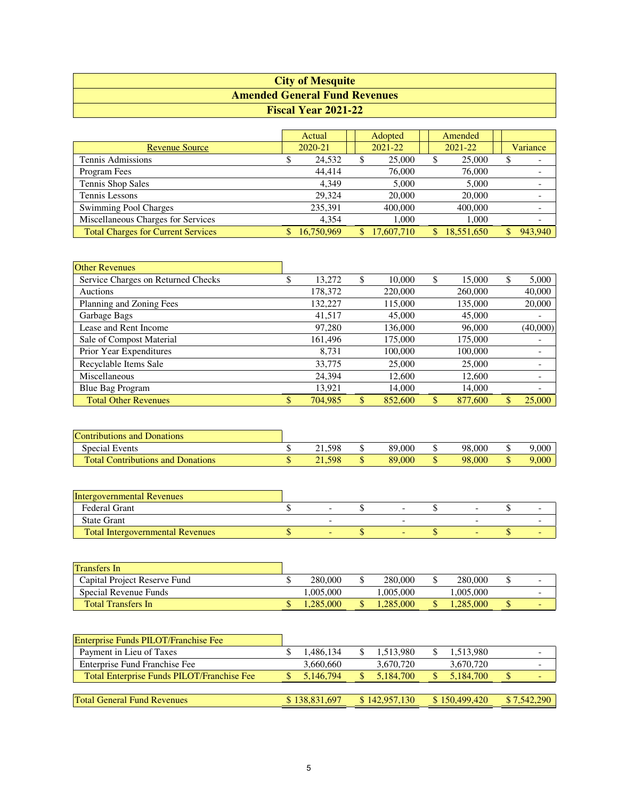| <b>City of Mesquite</b>              |  |
|--------------------------------------|--|
| <b>Amended General Fund Revenues</b> |  |
| <b>Fiscal Year 2021-22</b>           |  |

|                                           | Actual     | Adopted          | Amended      |          |
|-------------------------------------------|------------|------------------|--------------|----------|
| <b>Revenue Source</b>                     | 2020-21    | 2021-22          | 2021-22      | Variance |
| Tennis Admissions                         | 24.532     | 25,000           | 25,000<br>\$ | S        |
| Program Fees                              | 44,414     | 76,000           | 76,000       |          |
| Tennis Shop Sales                         | 4,349      | 5,000            | 5,000        |          |
| Tennis Lessons                            | 29.324     | 20,000           | 20,000       |          |
| <b>Swimming Pool Charges</b>              | 235,391    | 400,000          | 400,000      |          |
| Miscellaneous Charges for Services        | 4,354      | 1.000            | 1.000        |          |
| <b>Total Charges for Current Services</b> | 16,750,969 | 17,607,710<br>S. | 18.551.650   | 943,940  |

| <b>Other Revenues</b>              |   |         |               |               |                          |
|------------------------------------|---|---------|---------------|---------------|--------------------------|
| Service Charges on Returned Checks | 荚 | 13,272  | \$<br>10,000  | \$<br>15,000  | \$<br>5,000              |
| <b>Auctions</b>                    |   | 178,372 | 220,000       | 260,000       | 40,000                   |
| Planning and Zoning Fees           |   | 132,227 | 115,000       | 135,000       | 20,000                   |
| Garbage Bags                       |   | 41,517  | 45,000        | 45,000        |                          |
| Lease and Rent Income              |   | 97,280  | 136,000       | 96,000        | (40,000)                 |
| Sale of Compost Material           |   | 161,496 | 175,000       | 175,000       |                          |
| Prior Year Expenditures            |   | 8,731   | 100,000       | 100,000       |                          |
| Recyclable Items Sale              |   | 33,775  | 25,000        | 25,000        | $\overline{\phantom{a}}$ |
| Miscellaneous                      |   | 24,394  | 12,600        | 12,600        | $\overline{\phantom{a}}$ |
| Blue Bag Program                   |   | 13,921  | 14.000        | 14,000        | $\overline{\phantom{0}}$ |
| <b>Total Other Revenues</b>        |   | 704.985 | \$<br>852,600 | \$<br>877,600 | 25,000                   |

| <b>Contributions and Donations</b>                    |                     |        |   |        |       |
|-------------------------------------------------------|---------------------|--------|---|--------|-------|
| <b>Special Events</b>                                 | 21.598              | 89,000 |   | 98,000 | 9,000 |
| <b>Total Co</b><br><b>Contributions and Donations</b> | 598<br>$^{\sim}$ 1. | 89,000 | Φ | 98,000 | 9,000 |

| Intergovernmental Revenues              |  |  |  |  |
|-----------------------------------------|--|--|--|--|
| Federal Grant                           |  |  |  |  |
| <b>State Grant</b>                      |  |  |  |  |
| <b>Total Intergovernmental Revenues</b> |  |  |  |  |

| <b>Transfers</b> In          |          |           |     |           |   |   |
|------------------------------|----------|-----------|-----|-----------|---|---|
| Capital Project Reserve Fund | 280,000  | 280,000   | ۰D. | 280,000   | w |   |
| Special Revenue Funds        | .005.000 | 0.005,000 |     | 0.005,000 |   |   |
| <b>Total Transfers In</b>    | .285,000 | .285,000  |     | .285,000  |   | - |

| <b>Enterprise Funds PILOT/Franchise Fee</b> |               |               |               |             |
|---------------------------------------------|---------------|---------------|---------------|-------------|
| Payment in Lieu of Taxes                    | 1.486.134     | 1.513.980     | 1.513.980     |             |
| <b>Enterprise Fund Franchise Fee</b>        | 3.660.660     | 3.670.720     | 3,670,720     |             |
| Total Enterprise Funds PILOT/Franchise Fee  | 5,146,794     | 5,184,700     | 5,184,700     |             |
|                                             |               |               |               |             |
| <b>Total General Fund Revenues</b>          | \$138,831,697 | \$142,957,130 | \$150,499,420 | \$7.542.290 |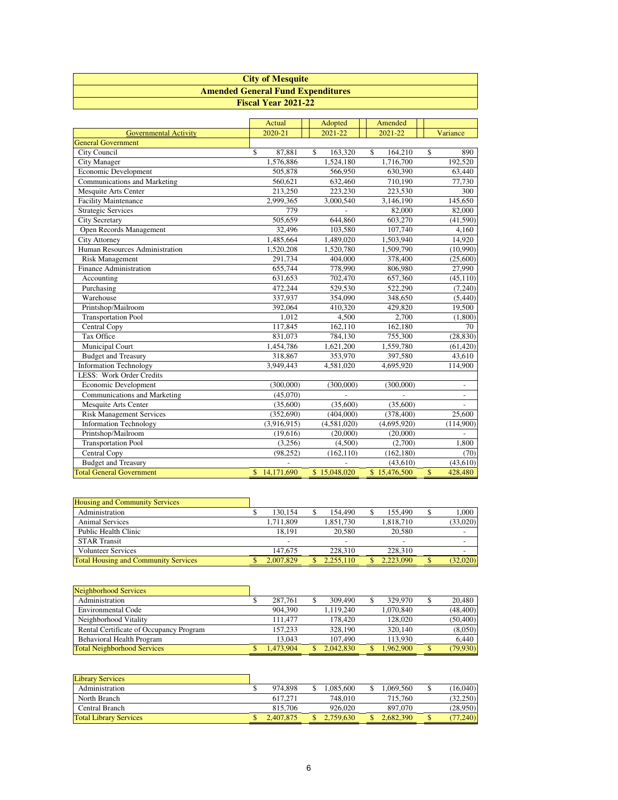|                                     | <b>City of Mesquite</b>                  |               |               |                                    |
|-------------------------------------|------------------------------------------|---------------|---------------|------------------------------------|
|                                     | <b>Amended General Fund Expenditures</b> |               |               |                                    |
|                                     | <b>Fiscal Year 2021-22</b>               |               |               |                                    |
|                                     |                                          |               |               |                                    |
|                                     | Actual                                   | Adopted       | Amended       |                                    |
| <b>Governmental Activity</b>        | 2020-21                                  | 2021-22       | 2021-22       | Variance                           |
| <b>General Government</b>           |                                          |               |               |                                    |
| City Council                        | \$<br>87,881                             | \$<br>163,320 | \$<br>164,210 | \$<br>890                          |
| <b>City Manager</b>                 | 1,576,886                                | 1,524,180     | 1,716,700     | 192,520                            |
| Economic Development                | 505,878                                  | 566,950       | 630,390       | 63,440                             |
| <b>Communications</b> and Marketing | 560,621                                  | 632,460       | 710,190       | 77,730                             |
| Mesquite Arts Center                | 213,250                                  | 223,230       | 223,530       | 300                                |
| <b>Facility Maintenance</b>         | 2,999,365                                | 3,000,540     | 3,146,190     | 145,650                            |
| <b>Strategic Services</b>           | 779                                      |               | 82,000        | 82,000                             |
| <b>City Secretary</b>               | 505.659                                  | 644,860       | 603,270       | (41, 590)                          |
| Open Records Management             | 32,496                                   | 103,580       | 107,740       | 4,160                              |
| <b>City Attorney</b>                | 1,485,664                                | 1,489,020     | 1,503,940     | 14,920                             |
| Human Resources Administration      | 1,520,208                                | 1,520,780     | 1,509,790     | (10,990)                           |
| <b>Risk Management</b>              | 291.734                                  | 404,000       | 378,400       | (25,600)                           |
| Finance Administration              | 655,744                                  | 778,990       | 806,980       | 27,990                             |
| Accounting                          | 631,653                                  | 702,470       | 657,360       | (45, 110)                          |
| Purchasing                          | 472,244                                  | 529,530       | 522,290       | (7,240)                            |
| Warehouse                           | 337,937                                  | 354,090       | 348,650       | (5,440)                            |
| Printshop/Mailroom                  | 392,064                                  | 410,320       | 429,820       | 19,500                             |
| <b>Transportation Pool</b>          | 1,012                                    | 4,500         | 2,700         | (1,800)                            |
| Central Copy                        | 117,845                                  | 162,110       | 162,180       | 70                                 |
| Tax Office                          | 831,073                                  | 784,130       | 755,300       | (28, 830)                          |
| Municipal Court                     | 1,454,786                                | 1,621,200     | 1,559,780     | (61, 420)                          |
| <b>Budget and Treasury</b>          | 318,867                                  | 353,970       | 397,580       | 43,610                             |
| <b>Information Technology</b>       | 3,949,443                                | 4,581,020     | 4,695,920     | 114,900                            |
| LESS: Work Order Credits            |                                          |               |               |                                    |
| Economic Development                | (300,000)                                | (300,000)     | (300,000)     | $\overline{\phantom{a}}$           |
| Communications and Marketing        | (45,070)                                 |               |               | $\sim$                             |
| Mesquite Arts Center                | (35,600)                                 | (35,600)      | (35,600)      |                                    |
| <b>Risk Management Services</b>     | (352, 690)                               | (404,000)     | (378, 400)    | 25,600                             |
| <b>Information Technology</b>       | (3,916,915)                              | (4,581,020)   | (4,695,920)   | (114,900)                          |
| Printshop/Mailroom                  | (19,616)                                 | (20,000)      | (20,000)      | $\overline{\phantom{a}}$           |
| <b>Transportation Pool</b>          | (3,256)                                  | (4,500)       | (2,700)       | 1.800                              |
| Central Copy                        | (98, 252)                                | (162, 110)    | (162, 180)    | (70)                               |
| <b>Budget and Treasury</b>          |                                          |               | (43, 610)     | (43, 610)                          |
| <b>Total General Government</b>     | 14,171,690<br>\$                         | \$15,048,020  | \$15,476,500  | $\overline{\mathbb{S}}$<br>428,480 |

| <b>Housing and Community Services</b>       |           |           |           |                          |
|---------------------------------------------|-----------|-----------|-----------|--------------------------|
| Administration                              | 130.154   | 154.490   | 155,490   | 1.000                    |
| <b>Animal Services</b>                      | 1,711,809 | 1,851,730 | 1,818,710 | (33,020)                 |
| Public Health Clinic                        | 18.191    | 20.580    | 20,580    | $\overline{\phantom{0}}$ |
| <b>STAR Transit</b>                         |           | -         |           |                          |
| <b>Volunteer Services</b>                   | 147.675   | 228,310   | 228,310   |                          |
| <b>Total Housing and Community Services</b> | 2,007,829 | 2.255.110 | 2.223,090 | (32,020)                 |

| Neighborhood Services                   |           |           |  |           |    |           |
|-----------------------------------------|-----------|-----------|--|-----------|----|-----------|
| Administration                          | 287.761   | 309,490   |  | 329,970   | \$ | 20,480    |
| <b>Environmental Code</b>               | 904,390   | 1.119.240 |  | 1,070,840 |    | (48, 400) |
| Neighborhood Vitality                   | 111.477   | 178.420   |  | 128,020   |    | (50, 400) |
| Rental Certificate of Occupancy Program | 157.233   | 328,190   |  | 320,140   |    | (8,050)   |
| Behavioral Health Program               | 13.043    | 107.490   |  | 113.930   |    | 6,440     |
| <b>Total Neighborhood Services</b>      | 1.473.904 | 2,042,830 |  | 1,962,900 | S  | (79, 930) |

| <b>Library Services</b>       |           |  |           |  |           |  |           |
|-------------------------------|-----------|--|-----------|--|-----------|--|-----------|
| Administration                | 974.898   |  | 1.085.600 |  | .069.560  |  | (16.040)  |
| North Branch                  | 617.271   |  | 748.010   |  | 715.760   |  | (32.250)  |
| Central Branch                | 815,706   |  | 926.020   |  | 897,070   |  | (28,950)  |
| <b>Total Library Services</b> | 2.407.875 |  | 2.759.630 |  | 2.682.390 |  | (77, 240) |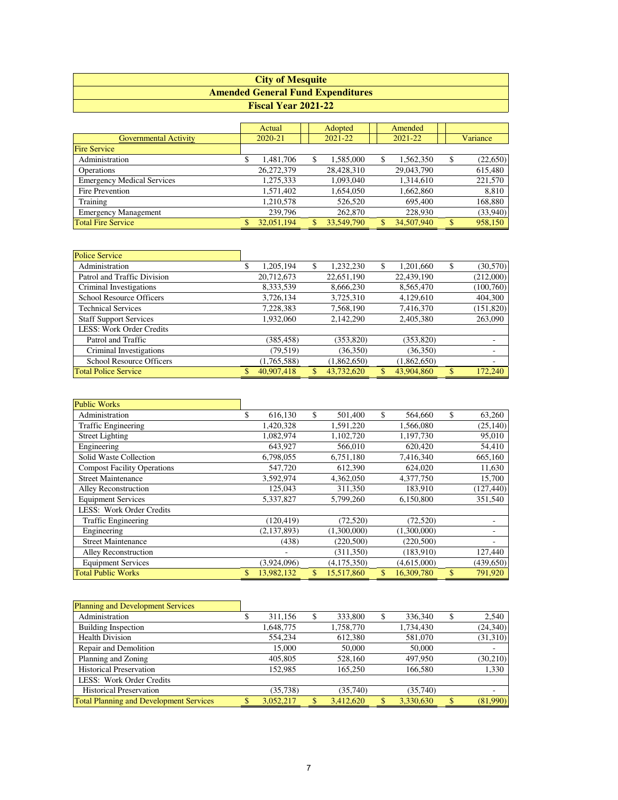|                                   | <b>City of Mesquite</b>                  |            |         |            |    |            |    |          |  |  |  |
|-----------------------------------|------------------------------------------|------------|---------|------------|----|------------|----|----------|--|--|--|
|                                   | <b>Amended General Fund Expenditures</b> |            |         |            |    |            |    |          |  |  |  |
| <b>Fiscal Year 2021-22</b>        |                                          |            |         |            |    |            |    |          |  |  |  |
|                                   |                                          |            |         |            |    |            |    |          |  |  |  |
|                                   |                                          | Actual     |         | Adopted    |    | Amended    |    |          |  |  |  |
| <b>Governmental Activity</b>      |                                          | 2020-21    | 2021-22 |            |    | 2021-22    |    | Variance |  |  |  |
| <b>Fire Service</b>               |                                          |            |         |            |    |            |    |          |  |  |  |
| Administration                    | \$                                       | 1.481.706  | \$      | 1.585,000  | \$ | 1.562.350  | \$ | (22,650) |  |  |  |
| <b>Operations</b>                 |                                          | 26.272.379 |         | 28.428.310 |    | 29,043,790 |    | 615,480  |  |  |  |
| <b>Emergency Medical Services</b> |                                          | 1.275.333  |         | 1.093.040  |    | 1.314.610  |    | 221,570  |  |  |  |
| Fire Prevention                   |                                          | 1,571,402  |         | 1.654.050  |    | 1.662.860  |    | 8.810    |  |  |  |
| Training                          |                                          | 1.210.578  |         | 526,520    |    | 695,400    |    | 168,880  |  |  |  |
| <b>Emergency Management</b>       |                                          | 239,796    |         | 262,870    |    | 228,930    |    | (33,940) |  |  |  |
| <b>Total Fire Service</b>         |                                          | 32,051,194 | \$.     | 33,549,790 |    | 34,507,940 | \$ | 958,150  |  |  |  |

| <b>Police Service</b>         |                  |     |             |                  |                 |
|-------------------------------|------------------|-----|-------------|------------------|-----------------|
| Administration                | \$<br>1,205,194  | \$. | 1,232,230   | \$<br>1,201,660  | \$<br>(30, 570) |
| Patrol and Traffic Division   | 20,712,673       |     | 22,651,190  | 22,439,190       | (212,000)       |
| Criminal Investigations       | 8,333,539        |     | 8,666,230   | 8,565,470        | (100, 760)      |
| School Resource Officers      | 3,726,134        |     | 3,725,310   | 4,129,610        | 404,300         |
| <b>Technical Services</b>     | 7,228,383        |     | 7,568,190   | 7,416,370        | (151, 820)      |
| <b>Staff Support Services</b> | 1,932,060        |     | 2,142,290   | 2,405,380        | 263,090         |
| LESS: Work Order Credits      |                  |     |             |                  |                 |
| Patrol and Traffic            | (385, 458)       |     | (353, 820)  | (353,820)        | ۰               |
| Criminal Investigations       | (79.519)         |     | (36,350)    | (36,350)         | ۰               |
| School Resource Officers      | (1,765,588)      |     | (1,862,650) | (1,862,650)      | ۰               |
| <b>Total Police Service</b>   | \$<br>40,907,418 |     | 43,732,620  | \$<br>43,904,860 | \$<br>172,240   |

| <b>Public Works</b>                |                          |                  |                  |               |
|------------------------------------|--------------------------|------------------|------------------|---------------|
| Administration                     | \$<br>616,130            | \$<br>501,400    | \$<br>564,660    | \$<br>63,260  |
| <b>Traffic Engineering</b>         | 1,420,328                | 1,591,220        | 1,566,080        | (25, 140)     |
| <b>Street Lighting</b>             | 1,082,974                | 1,102,720        | 1,197,730        | 95,010        |
| Engineering                        | 643,927                  | 566,010          | 620,420          | 54,410        |
| Solid Waste Collection             | 6,798,055                | 6,751,180        | 7,416,340        | 665,160       |
| <b>Compost Facility Operations</b> | 547,720                  | 612,390          | 624,020          | 11,630        |
| <b>Street Maintenance</b>          | 3,592,974                | 4,362,050        | 4,377,750        | 15,700        |
| Alley Reconstruction               | 125,043                  | 311,350          | 183,910          | (127, 440)    |
| <b>Equipment Services</b>          | 5,337,827                | 5,799,260        | 6,150,800        | 351,540       |
| LESS: Work Order Credits           |                          |                  |                  |               |
| <b>Traffic Engineering</b>         | (120, 419)               | (72,520)         | (72, 520)        |               |
| Engineering                        | (2, 137, 893)            | (1,300,000)      | (1,300,000)      |               |
| <b>Street Maintenance</b>          | (438)                    | (220,500)        | (220, 500)       |               |
| Alley Reconstruction               | $\overline{\phantom{a}}$ | (311, 350)       | (183,910)        | 127,440       |
| <b>Equipment Services</b>          | (3.924.096)              | (4,175,350)      | (4,615,000)      | (439,650)     |
| <b>Total Public Works</b>          | \$<br>13,982,132         | \$<br>15,517,860 | \$<br>16,309,780 | \$<br>791,920 |

| <b>Planning and Development Services</b>       |               |               |     |           |             |
|------------------------------------------------|---------------|---------------|-----|-----------|-------------|
| Administration                                 | \$<br>311,156 | \$<br>333,800 | ۰D. | 336,340   | \$<br>2,540 |
| <b>Building Inspection</b>                     | 1.648.775     | 1,758,770     |     | 1,734,430 | (24,340)    |
| <b>Health Division</b>                         | 554,234       | 612,380       |     | 581,070   | (31,310)    |
| Repair and Demolition                          | 15,000        | 50,000        |     | 50,000    |             |
| Planning and Zoning                            | 405,805       | 528,160       |     | 497.950   | (30,210)    |
| <b>Historical Preservation</b>                 | 152.985       | 165.250       |     | 166,580   | 1,330       |
| LESS: Work Order Credits                       |               |               |     |           |             |
| <b>Historical Preservation</b>                 | (35, 738)     | (35,740)      |     | (35,740)  | ۰           |
| <b>Total Planning and Development Services</b> | 3,052,217     | 3,412,620     |     | 3,330,630 | (81,990)    |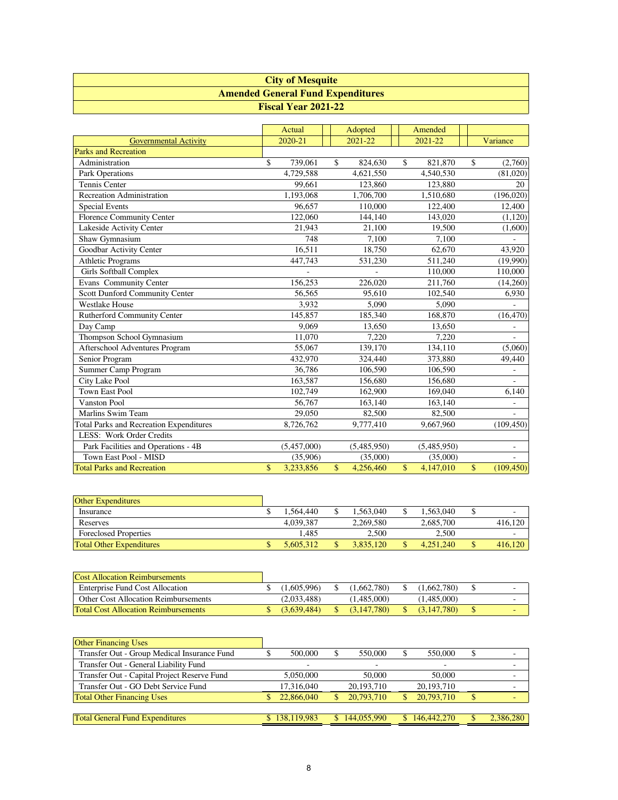| <b>City of Mesquite</b>                  |
|------------------------------------------|
| <b>Amended General Fund Expenditures</b> |
| <b>Fiscal Year 2021-22</b>               |

|                                                | Actual          | Adopted                   | Amended         |                            |
|------------------------------------------------|-----------------|---------------------------|-----------------|----------------------------|
| <b>Governmental Activity</b>                   | 2020-21         | 2021-22                   | 2021-22         | Variance                   |
| <b>Parks and Recreation</b>                    |                 |                           |                 |                            |
| Administration                                 | \$<br>739,061   | $\mathcal{S}$<br>824,630  | \$<br>821,870   | (2,760)<br>$\mathbb{S}$    |
| Park Operations                                | 4,729,588       | 4,621,550                 | 4,540,530       | (81,020)                   |
| <b>Tennis Center</b>                           | 99.661          | 123,860                   | 123,880         | 20                         |
| <b>Recreation Administration</b>               | 1,193,068       | 1,706,700                 | 1,510,680       | (196,020)                  |
| <b>Special Events</b>                          | 96,657          | 110,000                   | 122,400         | 12,400                     |
| Florence Community Center                      | 122,060         | 144,140                   | 143,020         | (1,120)                    |
| Lakeside Activity Center                       | 21,943          | 21,100                    | 19,500          | (1,600)                    |
| Shaw Gymnasium                                 | 748             | 7,100                     | 7,100           |                            |
| Goodbar Activity Center                        | 16,511          | 18,750                    | 62,670          | 43,920                     |
| <b>Athletic Programs</b>                       | 447,743         | 531,230                   | 511,240         | (19,990)                   |
| Girls Softball Complex                         |                 |                           | 110,000         | 110,000                    |
| Evans Community Center                         | 156,253         | 226,020                   | 211,760         | (14,260)                   |
| Scott Dunford Community Center                 | 56,565          | 95,610                    | 102,540         | 6,930                      |
| <b>Westlake House</b>                          | 3,932           | 5,090                     | 5,090           |                            |
| <b>Rutherford Community Center</b>             | 145,857         | 185,340                   | 168,870         | (16, 470)                  |
| Day Camp                                       | 9,069           | 13,650                    | 13,650          |                            |
| Thompson School Gymnasium                      | 11.070          | 7.220                     | 7,220           | $\overline{\phantom{0}}$   |
| Afterschool Adventures Program                 | 55,067          | 139,170                   | 134,110         | (5,060)                    |
| Senior Program                                 | 432,970         | 324,440                   | 373,880         | 49,440                     |
| Summer Camp Program                            | 36,786          | 106.590                   | 106,590         | $\overline{\phantom{a}}$   |
| City Lake Pool                                 | 163,587         | 156,680                   | 156,680         |                            |
| <b>Town East Pool</b>                          | 102,749         | 162,900                   | 169,040         | 6,140                      |
| <b>Vanston Pool</b>                            | 56,767          | 163,140                   | 163,140         | $\overline{\phantom{a}}$   |
| Marlins Swim Team                              | 29,050          | 82,500                    | 82,500          |                            |
| <b>Total Parks and Recreation Expenditures</b> | 8,726,762       | 9,777,410                 | 9,667,960       | (109, 450)                 |
| LESS: Work Order Credits                       |                 |                           |                 |                            |
| Park Facilities and Operations - 4B            | (5,457,000)     | (5,485,950)               | (5,485,950)     | ÷,                         |
| Town East Pool - MISD                          | (35,906)        | (35,000)                  | (35,000)        |                            |
| <b>Total Parks and Recreation</b>              | \$<br>3,233,856 | $\mathbb{S}$<br>4,256,460 | \$<br>4,147,010 | $\mathbb{S}$<br>(109, 450) |

| <b>Other Expenditures</b>       |           |           |           |                          |
|---------------------------------|-----------|-----------|-----------|--------------------------|
| Insurance                       | .564.440  | .563.040  | 1.563.040 | $\overline{\phantom{a}}$ |
| Reserves                        | 4.039.387 | 2.269.580 | 2,685,700 | 416.120                  |
| <b>Foreclosed Properties</b>    | . 485     | 2.500     | 2.500     | ٠                        |
| <b>Total Other Expenditures</b> | 5.605.312 | 3.835.120 | 4.251.240 | 416.120                  |

| <b>Cost Allocation Reimbursements</b>       |             |             |             |  |
|---------------------------------------------|-------------|-------------|-------------|--|
| Enterprise Fund Cost Allocation             | (1.605.996) | (1.662,780) | (1.662,780) |  |
| <b>Other Cost Allocation Reimbursements</b> | (2.033.488) | (1.485,000) | (1.485,000) |  |
| <b>Total Cost Allocation Reimbursements</b> | (3.639.484) | (3.147.780) | (3.147.780) |  |

| <b>Other Financing Uses</b>                 |               |               |               |   |                          |
|---------------------------------------------|---------------|---------------|---------------|---|--------------------------|
| Transfer Out - Group Medical Insurance Fund | 500,000       | 550,000       | \$<br>550,000 | S | -                        |
| Transfer Out - General Liability Fund       | -             |               |               |   | ۰                        |
| Transfer Out - Capital Project Reserve Fund | 5,050,000     | 50,000        | 50,000        |   | ۰                        |
| Transfer Out - GO Debt Service Fund         | 17.316.040    | 20,193,710    | 20,193,710    |   | $\overline{\phantom{a}}$ |
| <b>Total Other Financing Uses</b>           | 22,866,040    | 20,793,710    | 20,793,710    |   |                          |
|                                             |               |               |               |   |                          |
| <b>Total General Fund Expenditures</b>      | \$138,119,983 | \$144,055,990 | 146,442,270   |   | 2,386,280                |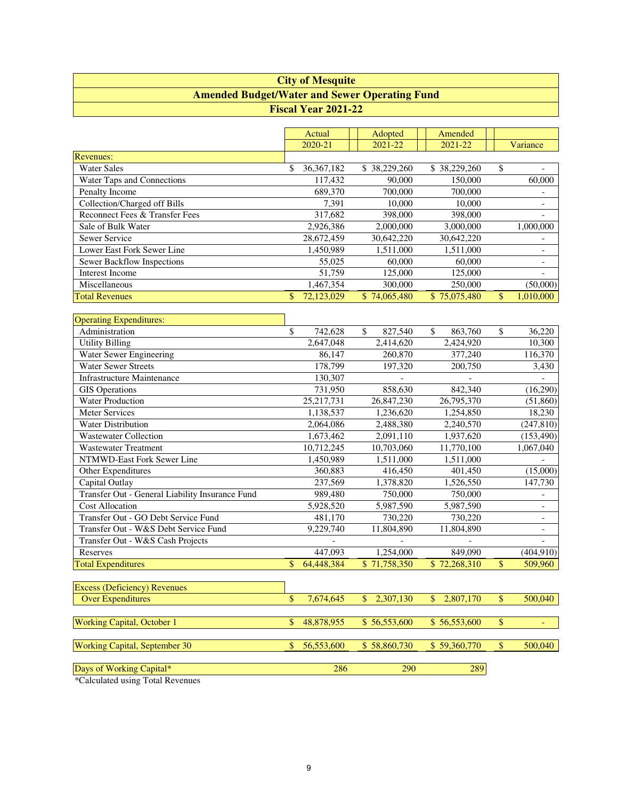|                                                      | <b>City of Mesquite</b>    |                 |                          |             |                          |
|------------------------------------------------------|----------------------------|-----------------|--------------------------|-------------|--------------------------|
| <b>Amended Budget/Water and Sewer Operating Fund</b> |                            |                 |                          |             |                          |
|                                                      | <b>Fiscal Year 2021-22</b> |                 |                          |             |                          |
|                                                      |                            |                 |                          |             |                          |
|                                                      | Actual                     | Adopted         | Amended                  |             |                          |
|                                                      | 2020-21                    | 2021-22         | 2021-22                  |             | Variance                 |
| Revenues:                                            |                            |                 |                          |             |                          |
| <b>Water Sales</b>                                   | \$<br>36, 367, 182         | \$38,229,260    | \$38,229,260             | \$          |                          |
| Water Taps and Connections                           | 117,432                    | 90,000          | 150,000                  |             | 60,000                   |
| Penalty Income                                       | 689,370                    | 700,000         | 700,000                  |             |                          |
| Collection/Charged off Bills                         | 7,391                      | 10,000          | 10,000                   |             | $\overline{\phantom{a}}$ |
| Reconnect Fees & Transfer Fees                       | 317,682                    | 398,000         | 398,000                  |             | $\overline{\phantom{a}}$ |
| Sale of Bulk Water                                   | 2,926,386                  | 2,000,000       | 3,000,000                |             | 1,000,000                |
| <b>Sewer Service</b>                                 | 28,672,459                 | 30,642,220      | 30,642,220               |             | $\overline{\phantom{a}}$ |
| Lower East Fork Sewer Line                           | 1,450,989                  | 1,511,000       | 1,511,000                |             | $\overline{\phantom{a}}$ |
| Sewer Backflow Inspections                           | 55,025                     | 60,000          | 60,000                   |             | $\overline{\phantom{a}}$ |
| <b>Interest Income</b>                               | 51,759                     | 125,000         | 125,000                  |             |                          |
| Miscellaneous                                        | 1,467,354                  | 300,000         | 250,000                  |             | (50,000)                 |
| <b>Total Revenues</b>                                | \$<br>72,123,029           | \$74,065,480    | \$75,075,480             | \$          | 1,010,000                |
|                                                      |                            |                 |                          |             |                          |
| <b>Operating Expenditures:</b>                       |                            |                 |                          |             |                          |
| Administration                                       | \$<br>742,628              | \$<br>827,540   | $\mathbf{\$}$<br>863,760 | \$          | 36,220                   |
| <b>Utility Billing</b>                               | 2,647,048                  | 2,414,620       | 2,424,920                |             | 10,300                   |
| Water Sewer Engineering                              | 86,147                     | 260,870         | 377,240                  |             | 116,370                  |
| <b>Water Sewer Streets</b>                           | 178,799                    | 197,320         | 200,750                  |             | 3,430                    |
| <b>Infrastructure Maintenance</b>                    | 130,307                    |                 |                          |             | $\blacksquare$           |
| <b>GIS</b> Operations                                | 731,950                    | 858,630         | 842,340                  |             | (16,290)                 |
| <b>Water Production</b>                              | 25,217,731                 | 26,847,230      | 26,795,370               |             | (51,860)                 |
| <b>Meter Services</b>                                | 1,138,537                  | 1,236,620       | 1,254,850                |             | 18,230                   |
| Water Distribution                                   | 2,064,086                  | 2,488,380       | 2,240,570                |             | (247, 810)               |
| <b>Wastewater Collection</b>                         | 1,673,462                  | 2,091,110       | 1,937,620                |             | (153, 490)               |
| <b>Wastewater Treatment</b>                          | 10,712,245                 | 10,703,060      | 11,770,100               |             | 1,067,040                |
| NTMWD-East Fork Sewer Line                           | 1,450,989                  | 1,511,000       | 1,511,000                |             | $\overline{\phantom{a}}$ |
| Other Expenditures                                   | 360,883                    | 416,450         | 401,450                  |             | (15,000)                 |
| Capital Outlay                                       | 237,569                    | 1,378,820       | 1,526,550                |             | 147,730                  |
| Transfer Out - General Liability Insurance Fund      | 989,480                    | 750,000         | 750,000                  |             |                          |
| <b>Cost Allocation</b>                               | 5,928,520                  | 5,987,590       | 5,987,590                |             | $\overline{\phantom{a}}$ |
| Transfer Out - GO Debt Service Fund                  | 481,170                    | 730,220         | 730,220                  |             | $\overline{\phantom{a}}$ |
| Transfer Out - W&S Debt Service Fund                 | 9,229,740                  | 11,804,890      | 11,804,890               |             | $\overline{\phantom{a}}$ |
| Transfer Out - W&S Cash Projects                     |                            |                 |                          |             |                          |
| Reserves                                             | 447,093                    | 1,254,000       | 849,090                  |             | (404, 910)               |
| <b>Total Expenditures</b>                            | \$<br>64,448,384           | \$71,758,350    | \$72,268,310             | $\mathbb S$ | 509,960                  |
|                                                      |                            |                 |                          |             |                          |
| <b>Excess (Deficiency) Revenues</b>                  |                            |                 |                          |             |                          |
| <b>Over Expenditures</b>                             | \$<br>7,674,645            | 2,307,130<br>\$ | 2,807,170<br>\$          | \$          | 500,040                  |
|                                                      |                            |                 |                          |             |                          |
| <b>Working Capital, October 1</b>                    | \$<br>48,878,955           | \$56,553,600    | \$56,553,600             | \$          |                          |
|                                                      |                            |                 |                          |             |                          |
| <b>Working Capital, September 30</b>                 | \$<br>56,553,600           | \$58,860,730    | \$59,360,770             | \$          | 500,040                  |
|                                                      |                            |                 |                          |             |                          |
| Days of Working Capital*                             | 286                        | 290             | 289                      |             |                          |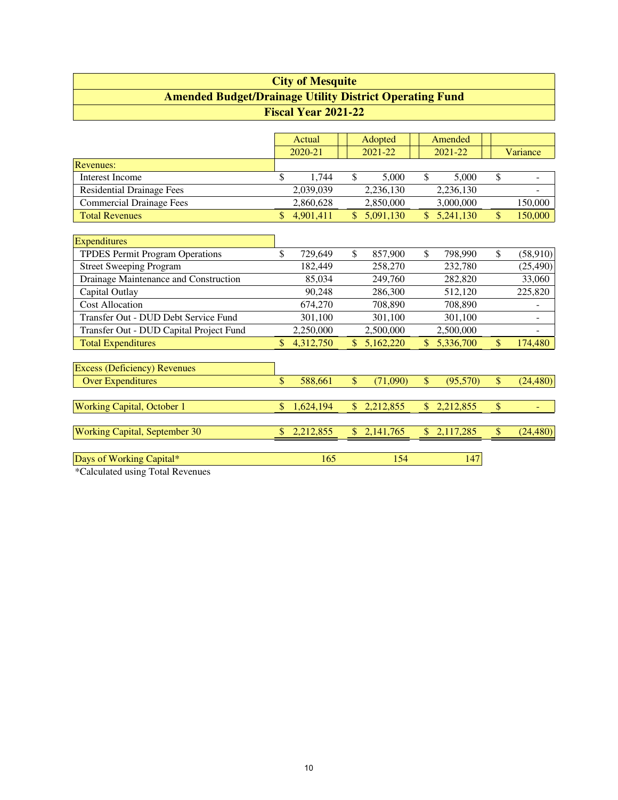|                                                                | <b>City of Mesquite</b>    |               |             |              |             |                   |           |
|----------------------------------------------------------------|----------------------------|---------------|-------------|--------------|-------------|-------------------|-----------|
| <b>Amended Budget/Drainage Utility District Operating Fund</b> |                            |               |             |              |             |                   |           |
|                                                                | <b>Fiscal Year 2021-22</b> |               |             |              |             |                   |           |
|                                                                |                            |               |             |              |             |                   |           |
|                                                                | <b>Actual</b>              |               | Adopted     |              | Amended     |                   |           |
|                                                                | 2020-21                    |               | 2021-22     |              | 2021-22     |                   | Variance  |
| Revenues:                                                      |                            |               |             |              |             |                   |           |
| <b>Interest Income</b>                                         | \$<br>1,744                | $\mathbb{S}$  | 5,000       | $\mathbb{S}$ | 5,000       | \$                |           |
| <b>Residential Drainage Fees</b>                               | 2,039,039                  |               | 2,236,130   |              | 2,236,130   |                   |           |
| <b>Commercial Drainage Fees</b>                                | 2,860,628                  |               | 2,850,000   |              | 3,000,000   |                   | 150,000   |
| <b>Total Revenues</b>                                          | \$<br>4,901,411            | \$            | 5,091,130   |              | \$5,241,130 | $\mathbb{S}$      | 150,000   |
|                                                                |                            |               |             |              |             |                   |           |
| Expenditures                                                   |                            |               |             |              |             |                   |           |
| <b>TPDES Permit Program Operations</b>                         | \$<br>729,649              | $\mathsf{\$}$ | 857,900     | \$           | 798,990     | \$                | (58, 910) |
| <b>Street Sweeping Program</b>                                 | 182,449                    |               | 258,270     |              | 232,780     |                   | (25, 490) |
| Drainage Maintenance and Construction                          | 85,034                     |               | 249,760     |              | 282,820     |                   | 33,060    |
| Capital Outlay                                                 | 90,248                     |               | 286,300     |              | 512,120     |                   | 225,820   |
| <b>Cost Allocation</b>                                         | 674,270                    |               | 708,890     |              | 708,890     |                   |           |
| Transfer Out - DUD Debt Service Fund                           | 301,100                    |               | 301,100     |              | 301,100     |                   |           |
| Transfer Out - DUD Capital Project Fund                        | 2,250,000                  |               | 2,500,000   |              | 2,500,000   |                   | ÷         |
| <b>Total Expenditures</b>                                      | \$<br>4,312,750            | \$            | 5,162,220   | $\mathbb{S}$ | 5,336,700   | $\mathsf{\$}$     | 174,480   |
|                                                                |                            |               |             |              |             |                   |           |
| <b>Excess (Deficiency) Revenues</b>                            |                            |               |             |              |             |                   |           |
| <b>Over Expenditures</b>                                       | \$<br>588,661              | \$            | (71,090)    | \$           | (95,570)    | \$                | (24, 480) |
|                                                                |                            |               |             |              |             |                   |           |
| <b>Working Capital, October 1</b>                              | \$<br>1,624,194            | $\mathbf{\$}$ | 2,212,855   | \$           | 2,212,855   | \$                |           |
|                                                                |                            |               |             |              |             |                   |           |
| <b>Working Capital, September 30</b>                           | \$<br>2,212,855            |               | \$2,141,765 |              | \$2,117,285 | $\boldsymbol{\$}$ | (24, 480) |
|                                                                |                            |               |             |              |             |                   |           |
| Days of Working Capital*                                       | 165                        |               | 154         |              | 147         |                   |           |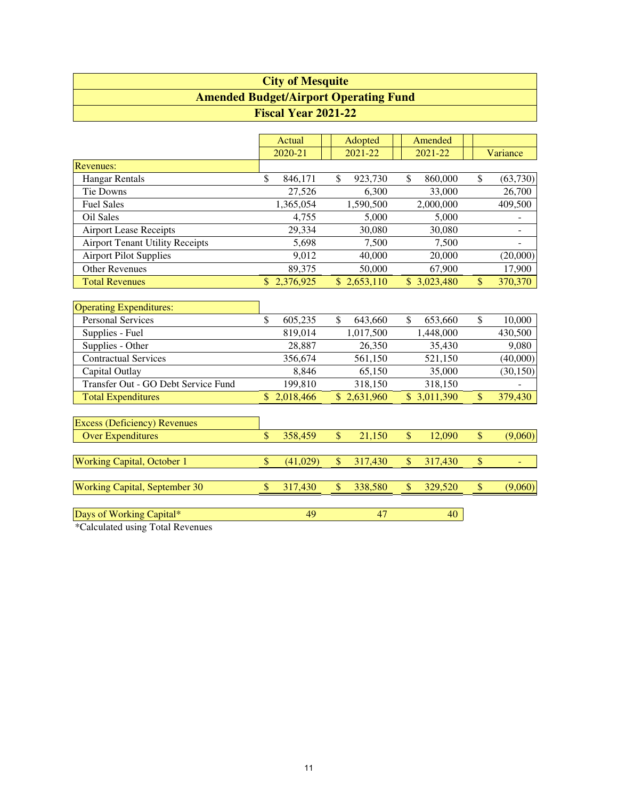| <b>City of Mesquite</b>                      |
|----------------------------------------------|
| <b>Amended Budget/Airport Operating Fund</b> |
| <b>Fiscal Year 2021-22</b>                   |

|                                        |               | <b>Actual</b> | Adopted                              |               | Amended     |                           |           |
|----------------------------------------|---------------|---------------|--------------------------------------|---------------|-------------|---------------------------|-----------|
|                                        |               | 2020-21       | 2021-22                              |               | 2021-22     |                           | Variance  |
| <b>Revenues:</b>                       |               |               |                                      |               |             |                           |           |
| <b>Hangar Rentals</b>                  | \$            | 846,171       | $\mathbb{S}$<br>923,730              | $\mathbb{S}$  | 860,000     | $\mathbb{S}$              | (63,730)  |
| Tie Downs                              |               | 27,526        | 6,300                                |               | 33,000      |                           | 26,700    |
| <b>Fuel Sales</b>                      |               | 1,365,054     | 1,590,500                            |               | 2,000,000   |                           | 409,500   |
| Oil Sales                              |               | 4,755         | 5,000                                |               | 5,000       |                           |           |
| <b>Airport Lease Receipts</b>          |               | 29,334        | 30,080                               |               | 30,080      |                           |           |
| <b>Airport Tenant Utility Receipts</b> |               | 5,698         | 7,500                                |               | 7,500       |                           |           |
| <b>Airport Pilot Supplies</b>          |               | 9,012         | 40,000                               |               | 20,000      |                           | (20,000)  |
| <b>Other Revenues</b>                  |               | 89,375        | 50,000                               |               | 67,900      |                           | 17,900    |
| <b>Total Revenues</b>                  | $\mathbf{\$}$ | 2,376,925     | \$2,653,110                          |               | \$3,023,480 | $\mathbb{S}$              | 370,370   |
|                                        |               |               |                                      |               |             |                           |           |
| <b>Operating Expenditures:</b>         |               |               |                                      |               |             |                           |           |
| <b>Personal Services</b>               | \$            | 605,235       | \$<br>643,660                        | $\mathbb{S}$  | 653,660     | $\mathcal{S}$             | 10,000    |
| Supplies - Fuel                        |               | 819,014       | 1,017,500                            |               | 1,448,000   |                           | 430,500   |
| Supplies - Other                       |               | 28,887        | 26,350                               |               | 35,430      |                           | 9,080     |
| <b>Contractual Services</b>            |               | 356,674       | 561,150                              |               | 521,150     |                           | (40,000)  |
| Capital Outlay                         |               | 8,846         | 65,150                               |               | 35,000      |                           | (30, 150) |
| Transfer Out - GO Debt Service Fund    |               | 199,810       | 318,150                              |               | 318,150     |                           |           |
| <b>Total Expenditures</b>              | $\mathbb{S}$  | 2,018,466     | \$2,631,960                          |               | \$3,011,390 | $\$\$                     | 379,430   |
|                                        |               |               |                                      |               |             |                           |           |
| <b>Excess (Deficiency) Revenues</b>    |               |               |                                      |               |             |                           |           |
| <b>Over Expenditures</b>               | \$            | 358,459       | $\frac{1}{2}$<br>21,150              | $\mathsf{\$}$ | 12,090      | $\boldsymbol{\mathsf{S}}$ | (9,060)   |
|                                        |               |               |                                      |               |             |                           |           |
| <b>Working Capital, October 1</b>      | \$            | (41,029)      | $\sqrt{\frac{2}{5}}$<br>317,430      | \$            | 317,430     | $\boldsymbol{\mathsf{S}}$ |           |
|                                        |               |               |                                      |               |             |                           |           |
| <b>Working Capital, September 30</b>   | \$            | 317,430       | $\boldsymbol{\mathsf{S}}$<br>338,580 | \$            | 329,520     | $\$\,$                    | (9,060)   |
|                                        |               |               |                                      |               |             |                           |           |
| Days of Working Capital*               |               | 49            | 47                                   |               | 40          |                           |           |
| *Coloulated using Total Devenues       |               |               |                                      |               |             |                           |           |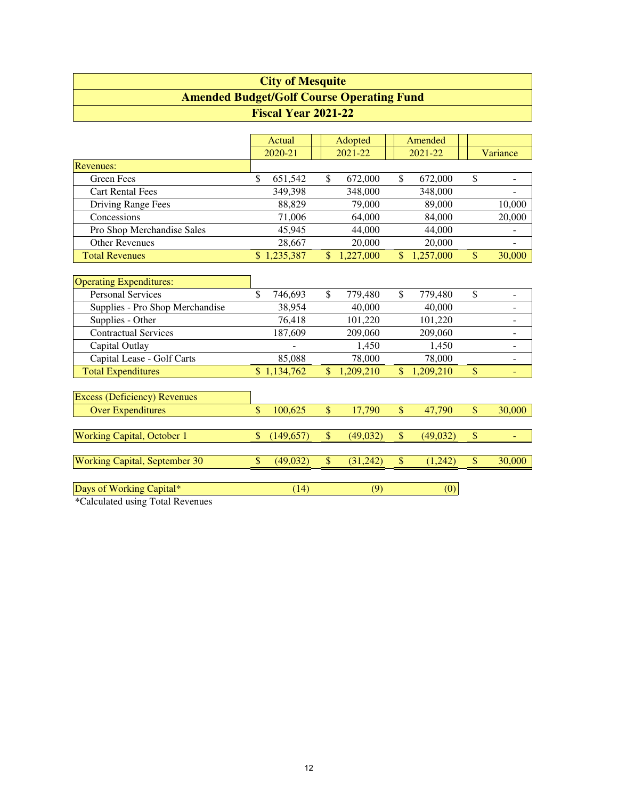| <b>City of Mesquite</b>                          |  |  |  |  |  |  |  |  |
|--------------------------------------------------|--|--|--|--|--|--|--|--|
| <b>Amended Budget/Golf Course Operating Fund</b> |  |  |  |  |  |  |  |  |
| <b>Fiscal Year 2021-22</b>                       |  |  |  |  |  |  |  |  |

|                                      |               | Actual      |                      | Adopted   |                        | Amended   |  |                         |
|--------------------------------------|---------------|-------------|----------------------|-----------|------------------------|-----------|--|-------------------------|
|                                      |               | 2020-21     |                      | 2021-22   |                        | 2021-22   |  | Variance                |
| <b>Revenues:</b>                     |               |             |                      |           |                        |           |  |                         |
| <b>Green Fees</b>                    | \$            | 651,542     | \$                   | 672,000   | \$                     | 672,000   |  | \$                      |
| <b>Cart Rental Fees</b>              |               | 349,398     |                      | 348,000   |                        | 348,000   |  |                         |
| <b>Driving Range Fees</b>            |               | 88,829      |                      | 79,000    |                        | 89,000    |  | 10,000                  |
| Concessions                          |               | 71,006      |                      | 64,000    |                        | 84,000    |  | 20,000                  |
| Pro Shop Merchandise Sales           |               | 45,945      |                      | 44,000    |                        | 44,000    |  |                         |
| <b>Other Revenues</b>                |               | 28,667      |                      | 20,000    |                        | 20,000    |  |                         |
| <b>Total Revenues</b>                |               | \$1,235,387 | $\mathbb{S}$         | 1,227,000 | \$                     | 1,257,000 |  | 30,000<br>\$            |
|                                      |               |             |                      |           |                        |           |  |                         |
| <b>Operating Expenditures:</b>       |               |             |                      |           |                        |           |  |                         |
| <b>Personal Services</b>             | \$            | 746,693     | \$                   | 779,480   | \$                     | 779,480   |  | \$                      |
| Supplies - Pro Shop Merchandise      |               | 38,954      |                      | 40,000    |                        | 40,000    |  |                         |
| Supplies - Other                     |               | 76,418      |                      | 101,220   |                        | 101,220   |  |                         |
| <b>Contractual Services</b>          |               | 187,609     |                      | 209,060   |                        | 209,060   |  |                         |
| Capital Outlay                       |               |             |                      | 1,450     |                        | 1,450     |  |                         |
| Capital Lease - Golf Carts           |               | 85,088      |                      | 78,000    |                        | 78,000    |  |                         |
| <b>Total Expenditures</b>            |               | \$1,134,762 | \$                   | 1,209,210 | \$                     | 1,209,210 |  | \$                      |
|                                      |               |             |                      |           |                        |           |  |                         |
| <b>Excess (Deficiency) Revenues</b>  |               |             |                      |           |                        |           |  |                         |
| <b>Over Expenditures</b>             | \$            | 100,625     | \$                   | 17,790    | \$                     | 47,790    |  | $\mathsf{\$}$<br>30,000 |
|                                      |               |             |                      |           |                        |           |  |                         |
| <b>Working Capital, October 1</b>    | \$            | (149, 657)  | $\mathcal{S}$        | (49, 032) | $\mathcal{S}$          | (49, 032) |  | $\mathcal{S}$           |
|                                      |               |             |                      |           |                        |           |  |                         |
| <b>Working Capital, September 30</b> | $\mathcal{S}$ | (49, 032)   | $\sqrt{\frac{2}{5}}$ | (31,242)  | $\sqrt{\frac{2}{\pi}}$ | (1,242)   |  | $\$\$<br>30,000         |
|                                      |               |             |                      |           |                        |           |  |                         |
| Days of Working Capital*             |               | (14)        |                      | (9)       |                        | (0)       |  |                         |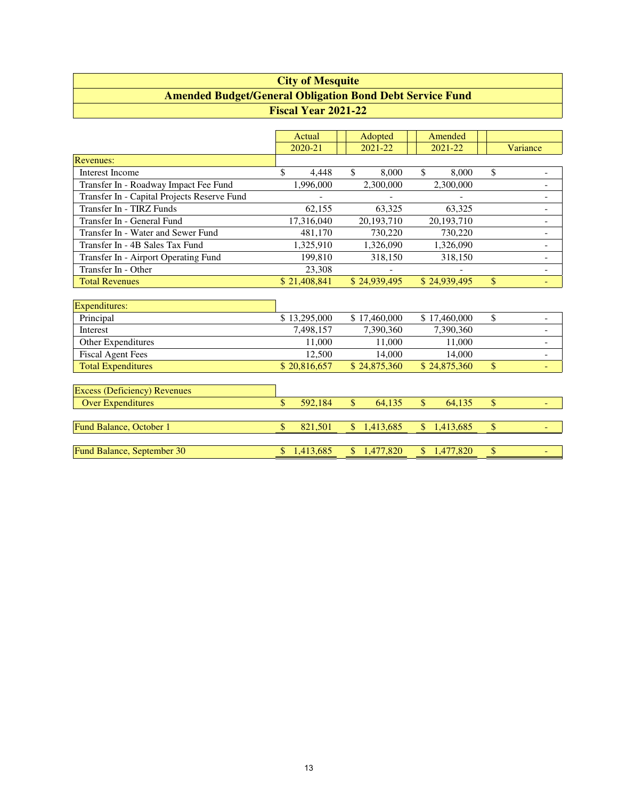| <b>City of Mesquite</b>                                         |                            |                            |                           |                                |  |  |  |  |  |  |  |  |  |
|-----------------------------------------------------------------|----------------------------|----------------------------|---------------------------|--------------------------------|--|--|--|--|--|--|--|--|--|
| <b>Amended Budget/General Obligation Bond Debt Service Fund</b> |                            |                            |                           |                                |  |  |  |  |  |  |  |  |  |
|                                                                 | <b>Fiscal Year 2021-22</b> |                            |                           |                                |  |  |  |  |  |  |  |  |  |
|                                                                 |                            |                            |                           |                                |  |  |  |  |  |  |  |  |  |
|                                                                 | Actual                     | Adopted                    | Amended                   |                                |  |  |  |  |  |  |  |  |  |
|                                                                 | 2020-21                    | 2021-22                    | 2021-22                   | Variance                       |  |  |  |  |  |  |  |  |  |
| <b>Revenues:</b>                                                |                            |                            |                           |                                |  |  |  |  |  |  |  |  |  |
| Interest Income                                                 | \$<br>4,448                | \$<br>8,000                | 8,000<br>\$               | \$                             |  |  |  |  |  |  |  |  |  |
| Transfer In - Roadway Impact Fee Fund                           | 1,996,000                  | 2,300,000                  | 2,300,000                 | $\overline{\phantom{a}}$       |  |  |  |  |  |  |  |  |  |
| Transfer In - Capital Projects Reserve Fund                     |                            |                            |                           | $\overline{\phantom{a}}$       |  |  |  |  |  |  |  |  |  |
| Transfer In - TIRZ Funds                                        | 62,155                     | 63,325                     | 63,325                    | $\overline{\phantom{a}}$       |  |  |  |  |  |  |  |  |  |
| Transfer In - General Fund                                      | 17,316,040                 | 20,193,710                 | 20,193,710                | $\overline{\phantom{a}}$       |  |  |  |  |  |  |  |  |  |
| Transfer In - Water and Sewer Fund                              | 481,170                    | 730,220                    | 730,220                   | $\overline{\phantom{a}}$       |  |  |  |  |  |  |  |  |  |
| Transfer In - 4B Sales Tax Fund                                 | 1,325,910                  | 1,326,090                  | 1,326,090                 | $\overline{\phantom{a}}$       |  |  |  |  |  |  |  |  |  |
| Transfer In - Airport Operating Fund                            | 199,810                    | 318,150                    | 318,150                   | $\qquad \qquad \blacksquare$   |  |  |  |  |  |  |  |  |  |
| Transfer In - Other                                             | 23,308                     |                            |                           | $\overline{\phantom{a}}$       |  |  |  |  |  |  |  |  |  |
| <b>Total Revenues</b>                                           | \$21,408,841               | \$24,939,495               | \$24,939,495              | \$<br>$\overline{\phantom{a}}$ |  |  |  |  |  |  |  |  |  |
|                                                                 |                            |                            |                           |                                |  |  |  |  |  |  |  |  |  |
| <b>Expenditures:</b>                                            |                            |                            |                           |                                |  |  |  |  |  |  |  |  |  |
| Principal                                                       | \$13,295,000               | \$17,460,000               | \$17,460,000              | \$<br>$\overline{\phantom{a}}$ |  |  |  |  |  |  |  |  |  |
| Interest                                                        | 7,498,157                  | 7,390,360                  | 7,390,360                 | $\overline{\phantom{a}}$       |  |  |  |  |  |  |  |  |  |
| Other Expenditures                                              | 11,000                     | 11,000                     | 11,000                    | $\overline{\phantom{a}}$       |  |  |  |  |  |  |  |  |  |
| <b>Fiscal Agent Fees</b>                                        | 12,500                     | 14,000                     | 14,000                    | $\overline{\phantom{a}}$       |  |  |  |  |  |  |  |  |  |
| <b>Total Expenditures</b>                                       | \$20,816,657               | \$24,875,360               | \$24,875,360              | \$<br>$\equiv$                 |  |  |  |  |  |  |  |  |  |
|                                                                 |                            |                            |                           |                                |  |  |  |  |  |  |  |  |  |
| <b>Excess (Deficiency) Revenues</b>                             |                            |                            |                           |                                |  |  |  |  |  |  |  |  |  |
| <b>Over Expenditures</b>                                        | \$<br>592,184              | $\mathbb{S}$<br>64,135     | $\mathbb{S}$<br>64,135    | $\mathbf{\$}$                  |  |  |  |  |  |  |  |  |  |
|                                                                 |                            |                            |                           |                                |  |  |  |  |  |  |  |  |  |
| Fund Balance, October 1                                         | \$<br>821,501              | $\frac{1}{2}$<br>1,413,685 | 1,413,685<br>$\mathbb{S}$ | \$                             |  |  |  |  |  |  |  |  |  |
|                                                                 |                            |                            |                           |                                |  |  |  |  |  |  |  |  |  |
| Fund Balance, September 30                                      | $\mathbb{S}$<br>1,413,685  | $\mathbb{S}$<br>1,477,820  | 1,477,820<br>$\mathbb{S}$ | \$                             |  |  |  |  |  |  |  |  |  |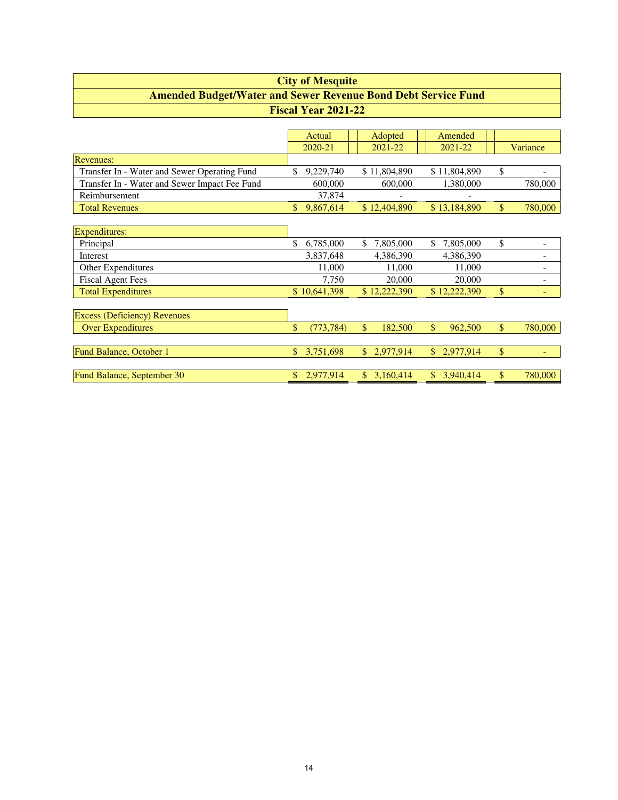|                                                                      |              | <b>City of Mesquite</b>    |              |              |                           |                         |                              |
|----------------------------------------------------------------------|--------------|----------------------------|--------------|--------------|---------------------------|-------------------------|------------------------------|
| <b>Amended Budget/Water and Sewer Revenue Bond Debt Service Fund</b> |              |                            |              |              |                           |                         |                              |
|                                                                      |              | <b>Fiscal Year 2021-22</b> |              |              |                           |                         |                              |
|                                                                      |              |                            |              |              |                           |                         |                              |
|                                                                      |              | Actual                     |              | Adopted      | Amended                   |                         |                              |
|                                                                      |              | 2020-21                    |              | 2021-22      | 2021-22                   |                         | Variance                     |
| Revenues:                                                            |              |                            |              |              |                           |                         |                              |
| Transfer In - Water and Sewer Operating Fund                         | \$           | 9,229,740                  |              | \$11,804,890 | \$11,804,890              | \$                      |                              |
| Transfer In - Water and Sewer Impact Fee Fund                        |              | 600,000                    |              | 600,000      | 1,380,000                 |                         | 780,000                      |
| Reimbursement                                                        |              | 37,874                     |              |              |                           |                         |                              |
| <b>Total Revenues</b>                                                | \$           | 9,867,614                  |              | \$12,404,890 | \$13,184,890              | \$                      | 780,000                      |
|                                                                      |              |                            |              |              |                           |                         |                              |
| <b>Expenditures:</b>                                                 |              |                            |              |              |                           |                         |                              |
| Principal                                                            | \$           | 6,785,000                  | \$           | 7,805,000    | $\mathbb{S}$<br>7,805,000 | \$                      |                              |
| Interest                                                             |              | 3,837,648                  |              | 4,386,390    | 4,386,390                 |                         |                              |
| Other Expenditures                                                   |              | 11,000                     |              | 11,000       | 11,000                    |                         | $\qquad \qquad \blacksquare$ |
| <b>Fiscal Agent Fees</b>                                             |              | 7,750                      |              | 20,000       | 20,000                    |                         |                              |
| <b>Total Expenditures</b>                                            |              | \$10,641,398               |              | \$12,222,390 | \$12,222,390              | $\sqrt[6]{\frac{1}{2}}$ | ÷                            |
|                                                                      |              |                            |              |              |                           |                         |                              |
| <b>Excess (Deficiency) Revenues</b>                                  |              |                            |              |              |                           |                         |                              |
| <b>Over Expenditures</b>                                             | \$           | (773, 784)                 | \$           | 182,500      | \$<br>962,500             | $\sqrt{\ }$             | 780,000                      |
|                                                                      |              |                            |              |              |                           |                         |                              |
| Fund Balance, October 1                                              | $\mathbb{S}$ | 3,751,698                  | $\mathbb{S}$ | 2,977,914    | $\mathbb{S}$<br>2,977,914 | $\$\,$                  |                              |
|                                                                      |              |                            |              |              |                           |                         |                              |
| Fund Balance, September 30                                           | \$           | 2,977,914                  | $\mathbb{S}$ | 3,160,414    | 3,940,414<br>\$           | \$                      | 780,000                      |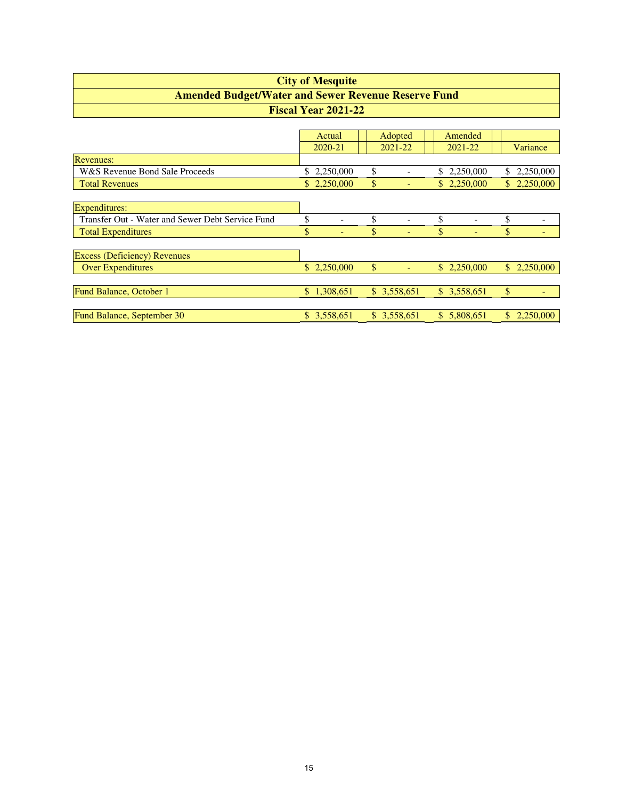|                                                            |     | <b>City of Mesquite</b>    |                                    |              |             |              |             |
|------------------------------------------------------------|-----|----------------------------|------------------------------------|--------------|-------------|--------------|-------------|
| <b>Amended Budget/Water and Sewer Revenue Reserve Fund</b> |     |                            |                                    |              |             |              |             |
|                                                            |     | <b>Fiscal Year 2021-22</b> |                                    |              |             |              |             |
|                                                            |     |                            |                                    |              |             |              |             |
|                                                            |     | Actual                     | Adopted                            |              | Amended     |              |             |
|                                                            |     | 2020-21                    | 2021-22                            |              | 2021-22     |              | Variance    |
| <b>Revenues:</b>                                           |     |                            |                                    |              |             |              |             |
| W&S Revenue Bond Sale Proceeds                             | \$. | 2,250,000                  | \$<br>$\qquad \qquad \blacksquare$ |              | \$2,250,000 | \$           | 2,250,000   |
| <b>Total Revenues</b>                                      |     | \$2,250,000                | \$<br>$\overline{\phantom{0}}$     |              | \$2,250,000 | \$           | 2,250,000   |
|                                                            |     |                            |                                    |              |             |              |             |
| Expenditures:                                              |     |                            |                                    |              |             |              |             |
| Transfer Out - Water and Sewer Debt Service Fund           | \$  |                            | \$                                 | \$           |             | \$           |             |
| <b>Total Expenditures</b>                                  | \$  | $\overline{\phantom{a}}$   | \$<br>٠                            | $\mathbb{S}$ | ٠           | \$           |             |
|                                                            |     |                            |                                    |              |             |              |             |
| <b>Excess (Deficiency) Revenues</b>                        |     |                            |                                    |              |             |              |             |
| <b>Over Expenditures</b>                                   |     | \$2,250,000                | \$<br>٠                            |              | \$2,250,000 |              | \$2,250,000 |
|                                                            |     |                            |                                    |              |             |              |             |
| Fund Balance, October 1                                    |     | \$1,308,651                | \$3,558,651                        |              | \$3,558,651 | $\mathbb{S}$ | ۳           |
|                                                            |     |                            |                                    |              |             |              |             |
| Fund Balance, September 30                                 |     | \$3,558,651                | \$3,558,651                        |              | \$5,808,651 | $\mathbb{S}$ | 2,250,000   |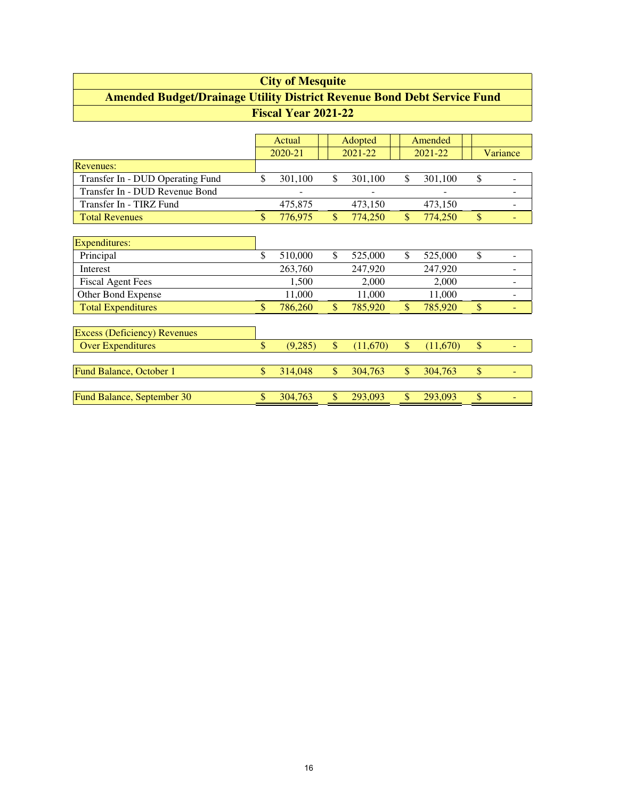| <b>City of Mesquite</b>                                                        |        |                            |  |         |          |         |                          |    |          |  |  |  |  |
|--------------------------------------------------------------------------------|--------|----------------------------|--|---------|----------|---------|--------------------------|----|----------|--|--|--|--|
| <b>Amended Budget/Drainage Utility District Revenue Bond Debt Service Fund</b> |        |                            |  |         |          |         |                          |    |          |  |  |  |  |
|                                                                                |        | <b>Fiscal Year 2021-22</b> |  |         |          |         |                          |    |          |  |  |  |  |
|                                                                                |        |                            |  |         |          |         |                          |    |          |  |  |  |  |
|                                                                                | Actual |                            |  | Adopted |          |         | Amended                  |    |          |  |  |  |  |
|                                                                                |        | 2020-21                    |  |         | 2021-22  | 2021-22 |                          |    | Variance |  |  |  |  |
| <b>Revenues:</b>                                                               |        |                            |  |         |          |         |                          |    |          |  |  |  |  |
| Transfer In - DUD Operating Fund                                               | \$     | 301,100                    |  | \$      | 301,100  |         | \$<br>301,100            | \$ |          |  |  |  |  |
| Transfer In - DUD Revenue Bond                                                 |        |                            |  |         |          |         |                          |    |          |  |  |  |  |
| Transfer In - TIRZ Fund                                                        |        | 475,875                    |  |         | 473,150  |         | 473,150                  |    |          |  |  |  |  |
| <b>Total Revenues</b>                                                          | \$     | 776,975                    |  | \$      | 774,250  |         | \$<br>774,250            | \$ |          |  |  |  |  |
|                                                                                |        |                            |  |         |          |         |                          |    |          |  |  |  |  |
| <b>Expenditures:</b>                                                           |        |                            |  |         |          |         |                          |    |          |  |  |  |  |
| Principal                                                                      | \$     | 510,000                    |  | \$      | 525,000  |         | \$<br>525,000            | \$ |          |  |  |  |  |
| Interest                                                                       |        | 263,760                    |  |         | 247,920  |         | 247,920                  |    |          |  |  |  |  |
| <b>Fiscal Agent Fees</b>                                                       |        | 1,500                      |  |         | 2,000    |         | 2,000                    |    |          |  |  |  |  |
| Other Bond Expense                                                             |        | 11,000                     |  |         | 11,000   |         | 11,000                   |    |          |  |  |  |  |
| <b>Total Expenditures</b>                                                      | \$     | 786,260                    |  | \$      | 785,920  |         | \$<br>785,920            | \$ |          |  |  |  |  |
|                                                                                |        |                            |  |         |          |         |                          |    |          |  |  |  |  |
| <b>Excess (Deficiency) Revenues</b>                                            |        |                            |  |         |          |         |                          |    |          |  |  |  |  |
| <b>Over Expenditures</b>                                                       | \$     | (9,285)                    |  | \$      | (11,670) |         | $\mathbb{S}$<br>(11,670) | \$ |          |  |  |  |  |
|                                                                                |        |                            |  |         |          |         |                          |    |          |  |  |  |  |
| Fund Balance, October 1                                                        | \$     | 314,048                    |  | \$      | 304,763  |         | $\mathbb{S}$<br>304,763  | \$ |          |  |  |  |  |
|                                                                                |        |                            |  |         |          |         |                          |    |          |  |  |  |  |
| Fund Balance, September 30                                                     | \$     | 304,763                    |  | \$      | 293,093  |         | \$<br>293,093            | \$ |          |  |  |  |  |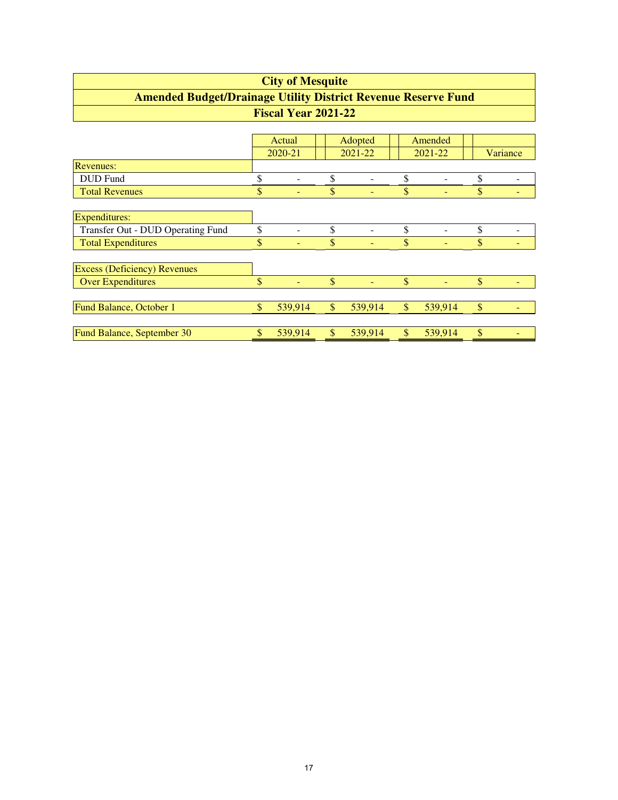| <b>City of Mesquite</b>                                              |              |                            |              |         |              |         |               |  |  |  |  |  |  |
|----------------------------------------------------------------------|--------------|----------------------------|--------------|---------|--------------|---------|---------------|--|--|--|--|--|--|
| <b>Amended Budget/Drainage Utility District Revenue Reserve Fund</b> |              |                            |              |         |              |         |               |  |  |  |  |  |  |
|                                                                      |              | <b>Fiscal Year 2021-22</b> |              |         |              |         |               |  |  |  |  |  |  |
|                                                                      |              |                            |              |         |              |         |               |  |  |  |  |  |  |
|                                                                      |              | Actual                     |              | Adopted |              | Amended |               |  |  |  |  |  |  |
|                                                                      |              | 2020-21                    |              | 2021-22 |              | 2021-22 | Variance      |  |  |  |  |  |  |
| <b>Revenues:</b>                                                     |              |                            |              |         |              |         |               |  |  |  |  |  |  |
| <b>DUD</b> Fund                                                      | \$           | $\overline{\phantom{a}}$   | \$           | -       | \$           | ٠       | \$            |  |  |  |  |  |  |
| <b>Total Revenues</b>                                                | \$           |                            | \$           |         | \$           |         | \$            |  |  |  |  |  |  |
|                                                                      |              |                            |              |         |              |         |               |  |  |  |  |  |  |
| <b>Expenditures:</b>                                                 |              |                            |              |         |              |         |               |  |  |  |  |  |  |
| Transfer Out - DUD Operating Fund                                    | \$           | Ξ.                         | \$           | -       | \$           |         | \$            |  |  |  |  |  |  |
| <b>Total Expenditures</b>                                            | \$           | ۰                          | \$           | ٠       | \$           | ٠       | \$            |  |  |  |  |  |  |
|                                                                      |              |                            |              |         |              |         |               |  |  |  |  |  |  |
| <b>Excess (Deficiency) Revenues</b>                                  |              |                            |              |         |              |         |               |  |  |  |  |  |  |
| <b>Over Expenditures</b>                                             | \$           |                            | \$           |         | \$           |         | \$            |  |  |  |  |  |  |
|                                                                      |              |                            |              |         |              |         |               |  |  |  |  |  |  |
| Fund Balance, October 1                                              | $\mathbb{S}$ | 539,914                    | $\mathbb{S}$ | 539,914 | $\mathbb{S}$ | 539,914 | $\sqrt{\ }$   |  |  |  |  |  |  |
|                                                                      |              |                            |              |         |              |         |               |  |  |  |  |  |  |
| Fund Balance, September 30                                           | \$           | 539,914                    | $\mathbb{S}$ | 539,914 | $\mathbb{S}$ | 539,914 | $\mathcal{S}$ |  |  |  |  |  |  |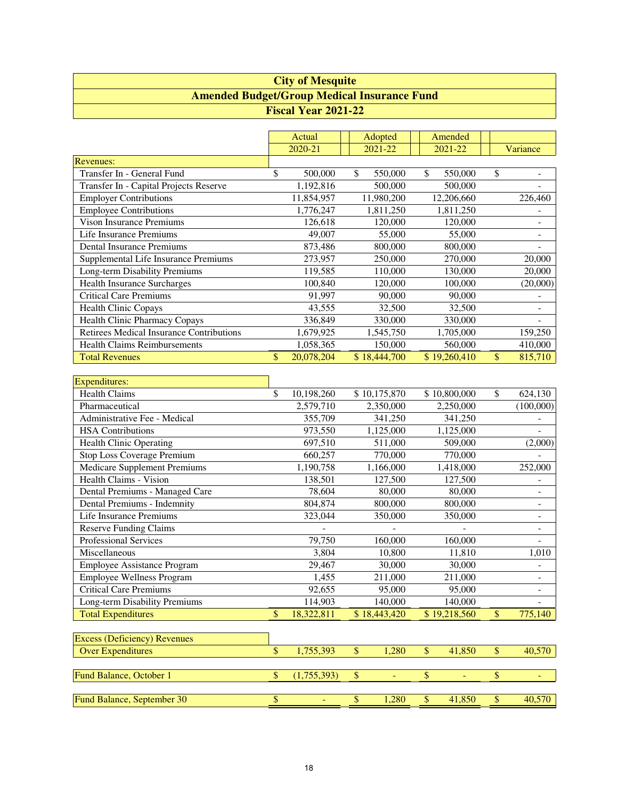| <b>City of Mesquite</b>                            |
|----------------------------------------------------|
| <b>Amended Budget/Group Medical Insurance Fund</b> |
| <b>Fiscal Year 2021-22</b>                         |

|                                          | Actual           | Adopted       | Amended       |               |
|------------------------------------------|------------------|---------------|---------------|---------------|
|                                          | 2020-21          | 2021-22       | 2021-22       | Variance      |
| <b>Revenues:</b>                         |                  |               |               |               |
| Transfer In - General Fund               | \$<br>500,000    | \$<br>550,000 | \$<br>550,000 | \$            |
| Transfer In - Capital Projects Reserve   | 1,192,816        | 500,000       | 500,000       |               |
| <b>Employer Contributions</b>            | 11,854,957       | 11,980,200    | 12,206,660    | 226,460       |
| <b>Employee Contributions</b>            | 1,776,247        | 1,811,250     | 1,811,250     |               |
| Vison Insurance Premiums                 | 126,618          | 120,000       | 120,000       |               |
| Life Insurance Premiums                  | 49,007           | 55,000        | 55,000        |               |
| Dental Insurance Premiums                | 873,486          | 800,000       | 800,000       |               |
| Supplemental Life Insurance Premiums     | 273,957          | 250,000       | 270,000       | 20,000        |
| Long-term Disability Premiums            | 119,585          | 110,000       | 130,000       | 20,000        |
| <b>Health Insurance Surcharges</b>       | 100,840          | 120,000       | 100,000       | (20,000)      |
| <b>Critical Care Premiums</b>            | 91,997           | 90,000        | 90,000        |               |
| <b>Health Clinic Copays</b>              | 43,555           | 32,500        | 32,500        |               |
| Health Clinic Pharmacy Copays            | 336,849          | 330,000       | 330,000       |               |
| Retirees Medical Insurance Contributions | 1,679,925        | 1,545,750     | 1,705,000     | 159,250       |
| <b>Health Claims Reimbursements</b>      | 1,058,365        | 150,000       | 560,000       | 410,000       |
| <b>Total Revenues</b>                    | \$<br>20,078,204 | \$18,444,700  | \$19,260,410  | \$<br>815,710 |
|                                          |                  |               |               |               |

| <b>Expenditures:</b>                |                   |                                       |                           |              |             |                |
|-------------------------------------|-------------------|---------------------------------------|---------------------------|--------------|-------------|----------------|
| <b>Health Claims</b>                | \$<br>10,198,260  | \$10,175,870                          |                           | \$10,800,000 | \$          | 624,130        |
| Pharmaceutical                      | 2,579,710         | 2,350,000                             |                           | 2,250,000    |             | (100,000)      |
| Administrative Fee - Medical        | 355,709           | 341,250                               |                           | 341,250      |             |                |
| <b>HSA</b> Contributions            | 973.550           | 1,125,000                             |                           | 1,125,000    |             |                |
| <b>Health Clinic Operating</b>      | 697,510           | 511,000                               |                           | 509,000      |             | (2,000)        |
| Stop Loss Coverage Premium          | 660,257           | 770,000                               |                           | 770,000      |             |                |
| Medicare Supplement Premiums        | 1,190,758         | 1,166,000                             |                           | 1,418,000    |             | 252,000        |
| Health Claims - Vision              | 138,501           | 127,500                               |                           | 127,500      |             |                |
| Dental Premiums - Managed Care      | 78.604            | 80,000                                |                           | 80,000       |             | Ξ.             |
| Dental Premiums - Indemnity         | 804,874           | 800,000                               |                           | 800,000      |             | Ξ.             |
| Life Insurance Premiums             | 323,044           | 350,000                               |                           | 350,000      |             | ۳              |
| <b>Reserve Funding Claims</b>       |                   |                                       |                           |              |             | Ξ.             |
| <b>Professional Services</b>        | 79,750            | 160,000                               |                           | 160,000      |             | -              |
| Miscellaneous                       | 3,804             | 10,800                                |                           | 11,810       |             | 1,010          |
| Employee Assistance Program         | 29,467            | 30,000                                |                           | 30,000       |             |                |
| <b>Employee Wellness Program</b>    | 1,455             | 211,000                               |                           | 211,000      |             |                |
| <b>Critical Care Premiums</b>       | 92,655            | 95,000                                |                           | 95,000       |             | Ξ.             |
| Long-term Disability Premiums       | 114,903           | 140,000                               |                           | 140,000      |             | $\blacksquare$ |
| <b>Total Expenditures</b>           | \$<br>18,322,811  | \$18,443,420                          |                           | \$19,218,560 | \$          | 775,140        |
|                                     |                   |                                       |                           |              |             |                |
| <b>Excess (Deficiency) Revenues</b> |                   |                                       |                           |              |             |                |
| <b>Over Expenditures</b>            | \$<br>1,755,393   | $\frac{1}{2}$<br>1,280                | $\boldsymbol{\mathsf{S}}$ | 41,850       | $\sqrt{\ }$ | 40,570         |
| Fund Balance, October 1             | \$<br>(1,755,393) | $\boldsymbol{\mathsf{S}}$<br>$\equiv$ | \$                        |              | \$          |                |
| Fund Balance, September 30          | \$<br>÷           | \$<br>1,280                           | \$                        | 41,850       | \$          | 40,570         |
|                                     |                   |                                       |                           |              |             |                |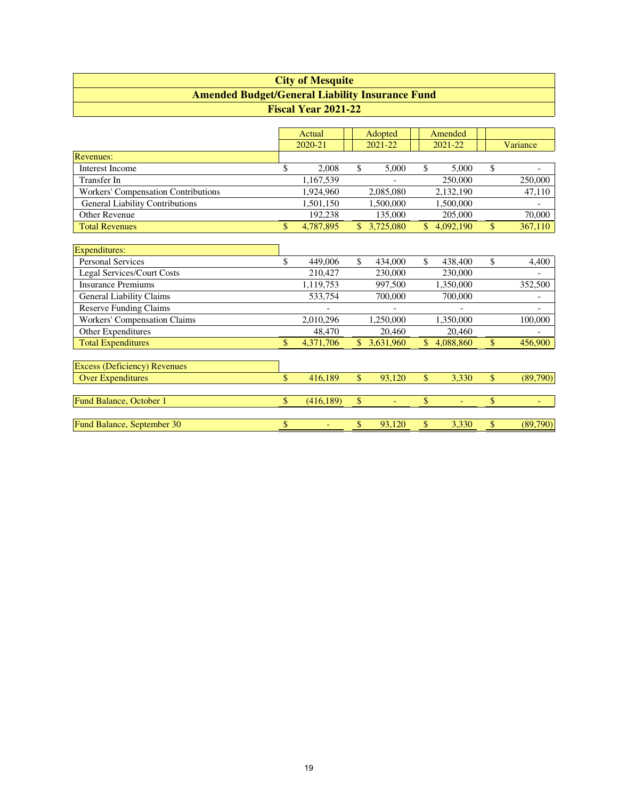|                                                        |                    | <b>City of Mesquite</b>    |                 |              |                          |                         |
|--------------------------------------------------------|--------------------|----------------------------|-----------------|--------------|--------------------------|-------------------------|
| <b>Amended Budget/General Liability Insurance Fund</b> |                    |                            |                 |              |                          |                         |
|                                                        |                    | <b>Fiscal Year 2021-22</b> |                 |              |                          |                         |
|                                                        |                    |                            |                 |              |                          |                         |
|                                                        |                    | Actual                     | Adopted         |              | Amended                  |                         |
|                                                        |                    | 2020-21                    | 2021-22         |              | 2021-22                  | Variance                |
| Revenues:                                              |                    |                            |                 |              |                          |                         |
| <b>Interest Income</b>                                 | \$                 | 2,008                      | \$<br>5,000     | \$           | 5,000                    | \$                      |
| <b>Transfer In</b>                                     |                    | 1,167,539                  |                 |              | 250,000                  | 250,000                 |
| <b>Workers' Compensation Contributions</b>             |                    | 1,924,960                  | 2,085,080       |              | 2,132,190                | 47,110                  |
| <b>General Liability Contributions</b>                 |                    | 1,501,150                  | 1,500,000       |              | 1,500,000                |                         |
| Other Revenue                                          |                    | 192,238                    | 135,000         |              | 205,000                  | 70,000                  |
| <b>Total Revenues</b>                                  | $\mathbf{\hat{s}}$ | 4,787,895                  | \$<br>3,725,080 | $\mathbb{S}$ | 4,092,190                | $\mathbb{S}$<br>367,110 |
|                                                        |                    |                            |                 |              |                          |                         |
| <b>Expenditures:</b>                                   |                    |                            |                 |              |                          |                         |
| <b>Personal Services</b>                               | \$                 | 449,006                    | \$<br>434,000   | \$           | 438,400                  | \$<br>4,400             |
| Legal Services/Court Costs                             |                    | 210,427                    | 230,000         |              | 230,000                  |                         |
| <b>Insurance Premiums</b>                              |                    | 1,119,753                  | 997,500         |              | 1.350.000                | 352,500                 |
| <b>General Liability Claims</b>                        |                    | 533.754                    | 700,000         |              | 700,000                  |                         |
| <b>Reserve Funding Claims</b>                          |                    |                            |                 |              |                          |                         |
| <b>Workers' Compensation Claims</b>                    |                    | 2,010,296                  | 1,250,000       |              | 1,350,000                | 100,000                 |
| Other Expenditures                                     |                    | 48,470                     | 20,460          |              | 20,460                   |                         |
| <b>Total Expenditures</b>                              | $\mathbf{\hat{s}}$ | 4,371,706                  | \$<br>3,631,960 | \$           | 4,088,860                | \$<br>456,900           |
|                                                        |                    |                            |                 |              |                          |                         |
| <b>Excess (Deficiency) Revenues</b>                    |                    |                            |                 |              |                          |                         |
| <b>Over Expenditures</b>                               | \$                 | 416,189                    | \$<br>93,120    | \$           | 3,330                    | \$<br>(89,790)          |
|                                                        |                    |                            |                 |              |                          |                         |
| Fund Balance, October 1                                | \$                 | (416, 189)                 | \$              | \$           | $\overline{\phantom{a}}$ | \$                      |
|                                                        |                    |                            |                 |              |                          |                         |
| Fund Balance, September 30                             | \$                 |                            | \$<br>93,120    | \$           | 3,330                    | (89,790)<br>\$          |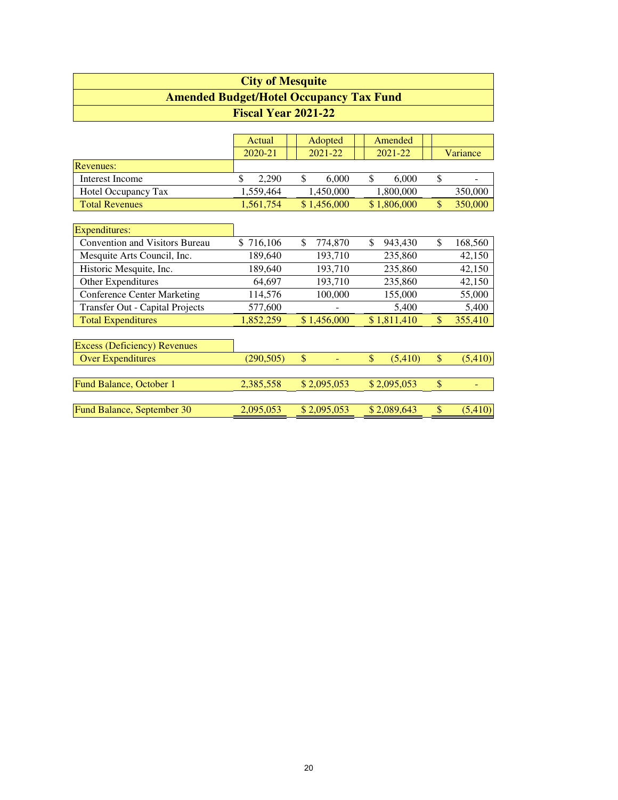|                                       | <b>City of Mesquite</b>    |                                                |               |               |  |  |  |  |  |  |  |  |  |
|---------------------------------------|----------------------------|------------------------------------------------|---------------|---------------|--|--|--|--|--|--|--|--|--|
|                                       |                            | <b>Amended Budget/Hotel Occupancy Tax Fund</b> |               |               |  |  |  |  |  |  |  |  |  |
|                                       | <b>Fiscal Year 2021-22</b> |                                                |               |               |  |  |  |  |  |  |  |  |  |
|                                       |                            |                                                |               |               |  |  |  |  |  |  |  |  |  |
|                                       | Actual                     | Adopted                                        | Amended       |               |  |  |  |  |  |  |  |  |  |
|                                       | 2020-21                    | $2021 - 22$                                    | 2021-22       | Variance      |  |  |  |  |  |  |  |  |  |
| <b>Revenues:</b>                      |                            |                                                |               |               |  |  |  |  |  |  |  |  |  |
| <b>Interest Income</b>                | \$<br>2,290                | \$<br>6,000                                    | \$<br>6,000   | \$            |  |  |  |  |  |  |  |  |  |
| Hotel Occupancy Tax                   | 1,559,464                  | 1,450,000                                      | 1,800,000     | 350,000       |  |  |  |  |  |  |  |  |  |
| <b>Total Revenues</b>                 | 1,561,754                  | \$1,456,000                                    | \$1,806,000   | \$<br>350,000 |  |  |  |  |  |  |  |  |  |
|                                       |                            |                                                |               |               |  |  |  |  |  |  |  |  |  |
| <b>Expenditures:</b>                  |                            |                                                |               |               |  |  |  |  |  |  |  |  |  |
| <b>Convention and Visitors Bureau</b> | \$716,106                  | 774,870<br>\$                                  | \$<br>943,430 | \$<br>168,560 |  |  |  |  |  |  |  |  |  |
| Mesquite Arts Council, Inc.           | 189,640                    | 193,710                                        | 235,860       | 42,150        |  |  |  |  |  |  |  |  |  |
| Historic Mesquite, Inc.               | 189,640                    | 193,710                                        | 235,860       | 42,150        |  |  |  |  |  |  |  |  |  |
| Other Expenditures                    | 64,697                     | 193,710                                        | 235,860       | 42,150        |  |  |  |  |  |  |  |  |  |
| <b>Conference Center Marketing</b>    | 114,576                    | 100,000                                        | 155,000       | 55,000        |  |  |  |  |  |  |  |  |  |
| Transfer Out - Capital Projects       | 577,600                    |                                                | 5,400         | 5,400         |  |  |  |  |  |  |  |  |  |
| <b>Total Expenditures</b>             | 1,852,259                  | \$1,456,000                                    | \$1,811,410   | \$<br>355,410 |  |  |  |  |  |  |  |  |  |
|                                       |                            |                                                |               |               |  |  |  |  |  |  |  |  |  |
| <b>Excess (Deficiency) Revenues</b>   |                            |                                                |               |               |  |  |  |  |  |  |  |  |  |
| <b>Over Expenditures</b>              | (290, 505)                 | \$                                             | \$<br>(5,410) | \$<br>(5,410) |  |  |  |  |  |  |  |  |  |
|                                       |                            |                                                |               |               |  |  |  |  |  |  |  |  |  |
| Fund Balance, October 1               | 2,385,558                  | \$2,095,053                                    | \$2,095,053   | \$            |  |  |  |  |  |  |  |  |  |
|                                       |                            |                                                |               |               |  |  |  |  |  |  |  |  |  |
| Fund Balance, September 30            | 2,095,053                  | \$2,095,053                                    | \$2,089,643   | \$<br>(5,410) |  |  |  |  |  |  |  |  |  |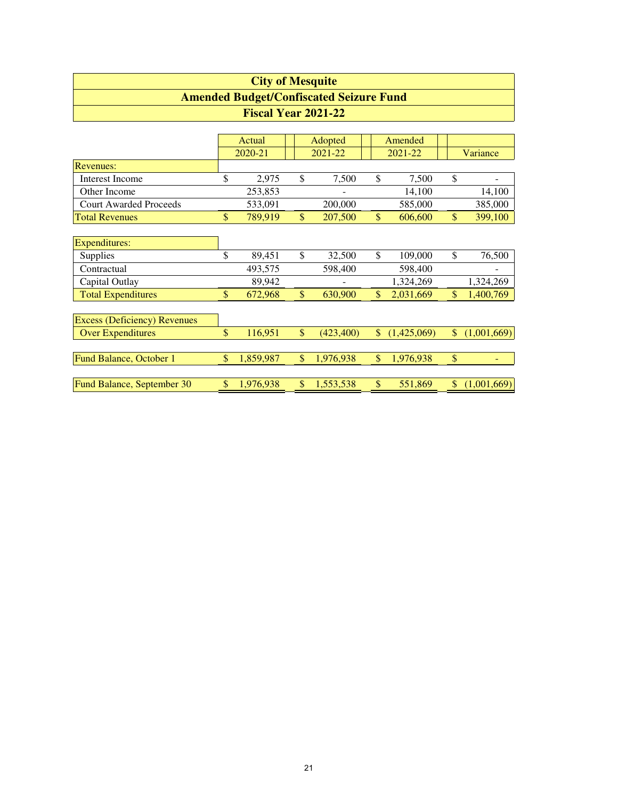|                                                |           | <b>City of Mesquite</b>        |            |                                                           |           |                                                                                 |                               |             |  |  |  |  |  |  |
|------------------------------------------------|-----------|--------------------------------|------------|-----------------------------------------------------------|-----------|---------------------------------------------------------------------------------|-------------------------------|-------------|--|--|--|--|--|--|
| <b>Amended Budget/Confiscated Seizure Fund</b> |           |                                |            |                                                           |           |                                                                                 |                               |             |  |  |  |  |  |  |
|                                                |           |                                |            |                                                           |           |                                                                                 |                               |             |  |  |  |  |  |  |
|                                                |           |                                |            |                                                           |           |                                                                                 |                               |             |  |  |  |  |  |  |
|                                                |           |                                |            |                                                           |           |                                                                                 |                               |             |  |  |  |  |  |  |
|                                                |           |                                |            |                                                           |           |                                                                                 |                               | Variance    |  |  |  |  |  |  |
|                                                |           |                                |            |                                                           |           |                                                                                 |                               |             |  |  |  |  |  |  |
|                                                | 2,975     |                                |            |                                                           |           | 7,500                                                                           |                               |             |  |  |  |  |  |  |
|                                                | 253,853   |                                |            |                                                           |           | 14,100                                                                          |                               | 14,100      |  |  |  |  |  |  |
|                                                | 533,091   |                                | 200,000    |                                                           |           | 585,000                                                                         |                               | 385,000     |  |  |  |  |  |  |
| \$                                             | 789,919   | \$                             | 207,500    |                                                           |           | 606,600                                                                         | \$                            | 399,100     |  |  |  |  |  |  |
|                                                |           |                                |            |                                                           |           |                                                                                 |                               |             |  |  |  |  |  |  |
|                                                |           |                                |            |                                                           |           |                                                                                 |                               |             |  |  |  |  |  |  |
| \$                                             | 89,451    | \$                             | 32,500     |                                                           |           | 109,000                                                                         | \$                            | 76,500      |  |  |  |  |  |  |
|                                                | 493,575   |                                | 598,400    |                                                           |           | 598,400                                                                         |                               |             |  |  |  |  |  |  |
|                                                | 89,942    |                                |            |                                                           |           | 1,324,269                                                                       |                               | 1,324,269   |  |  |  |  |  |  |
| \$                                             | 672,968   | \$                             | 630,900    |                                                           |           | 2,031,669                                                                       | \$                            | 1,400,769   |  |  |  |  |  |  |
|                                                |           |                                |            |                                                           |           |                                                                                 |                               |             |  |  |  |  |  |  |
|                                                |           |                                |            |                                                           |           |                                                                                 |                               |             |  |  |  |  |  |  |
| \$                                             | 116,951   | \$                             | (423, 400) |                                                           |           | (1,425,069)                                                                     | \$                            | (1,001,669) |  |  |  |  |  |  |
|                                                |           |                                |            |                                                           |           |                                                                                 |                               |             |  |  |  |  |  |  |
| \$                                             | 1,859,987 | \$                             | 1,976,938  |                                                           |           | 1,976,938                                                                       | \$                            |             |  |  |  |  |  |  |
|                                                |           |                                |            |                                                           |           |                                                                                 |                               | (1,001,669) |  |  |  |  |  |  |
|                                                | \$<br>\$  | Actual<br>2020-21<br>1,976,938 | \$<br>\$   | <b>Fiscal Year 2021-22</b><br>Adopted<br>2021-22<br>7,500 | 1,553,538 | \$<br>$\mathcal{S}$<br>\$<br>$\mathbb{S}$<br>$\mathbb{S}$<br>$\mathbb{S}$<br>\$ | Amended<br>2021-22<br>551,869 | \$<br>\$    |  |  |  |  |  |  |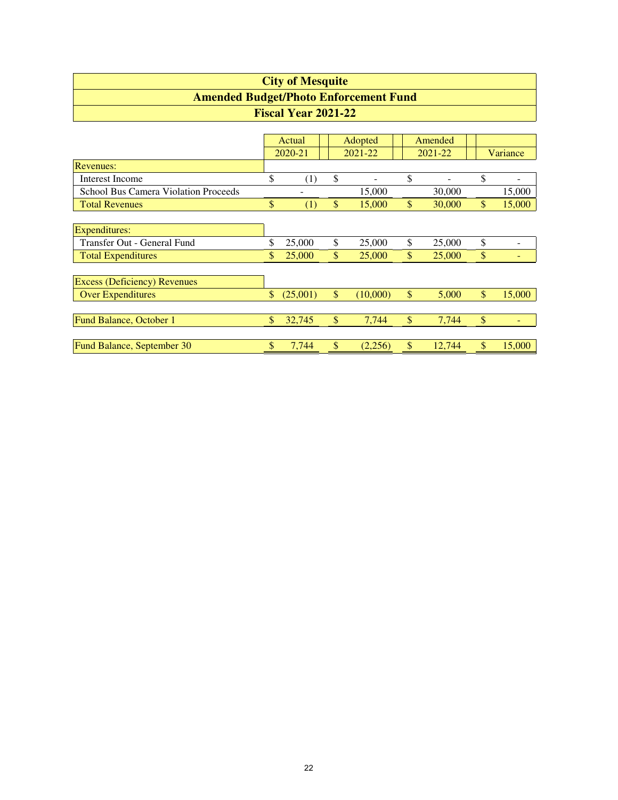|                                              | <b>City of Mesquite</b> |          |  |               |          |              |         |               |          |  |  |  |  |
|----------------------------------------------|-------------------------|----------|--|---------------|----------|--------------|---------|---------------|----------|--|--|--|--|
| <b>Amended Budget/Photo Enforcement Fund</b> |                         |          |  |               |          |              |         |               |          |  |  |  |  |
| <b>Fiscal Year 2021-22</b>                   |                         |          |  |               |          |              |         |               |          |  |  |  |  |
|                                              |                         |          |  |               |          |              |         |               |          |  |  |  |  |
| Adopted<br>Amended<br>Actual                 |                         |          |  |               |          |              |         |               |          |  |  |  |  |
|                                              |                         | 2020-21  |  |               | 2021-22  |              | 2021-22 |               | Variance |  |  |  |  |
| <b>Revenues:</b>                             |                         |          |  |               |          |              |         |               |          |  |  |  |  |
| <b>Interest Income</b>                       | \$                      | (1)      |  | \$            |          | \$           |         | \$            |          |  |  |  |  |
| <b>School Bus Camera Violation Proceeds</b>  |                         |          |  |               | 15,000   |              | 30,000  |               | 15,000   |  |  |  |  |
| <b>Total Revenues</b>                        | $\mathcal{S}$           | (1)      |  | \$            | 15,000   | \$           | 30,000  | \$            | 15,000   |  |  |  |  |
|                                              |                         |          |  |               |          |              |         |               |          |  |  |  |  |
| <b>Expenditures:</b>                         |                         |          |  |               |          |              |         |               |          |  |  |  |  |
| Transfer Out - General Fund                  | \$                      | 25,000   |  | \$            | 25,000   | \$           | 25,000  | \$            |          |  |  |  |  |
| <b>Total Expenditures</b>                    | \$                      | 25,000   |  | \$            | 25,000   | \$           | 25,000  | \$            |          |  |  |  |  |
|                                              |                         |          |  |               |          |              |         |               |          |  |  |  |  |
| <b>Excess (Deficiency) Revenues</b>          |                         |          |  |               |          |              |         |               |          |  |  |  |  |
| <b>Over Expenditures</b>                     | \$                      | (25,001) |  | $\mathsf{\$}$ | (10,000) | $\mathbb{S}$ | 5,000   | $\mathsf{\$}$ | 15,000   |  |  |  |  |
|                                              |                         |          |  |               |          |              |         |               |          |  |  |  |  |
| Fund Balance, October 1                      | $\mathbf{\$}$           | 32,745   |  | $\mathcal{S}$ | 7,744    | $\$\$        | 7,744   | $\mathcal{S}$ | $\equiv$ |  |  |  |  |
|                                              |                         |          |  |               |          |              |         |               |          |  |  |  |  |
| Fund Balance, September 30                   | \$                      | 7,744    |  | \$            | (2,256)  | \$           | 12,744  | \$            | 15,000   |  |  |  |  |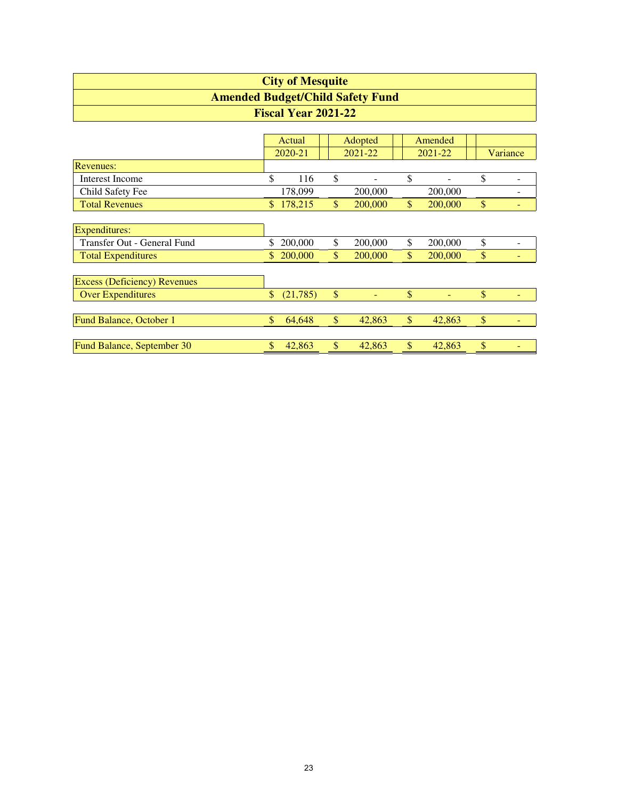|                                     | <b>City of Mesquite</b> |                            |               |                                         |              |         |                           |          |  |  |  |  |  |
|-------------------------------------|-------------------------|----------------------------|---------------|-----------------------------------------|--------------|---------|---------------------------|----------|--|--|--|--|--|
|                                     |                         |                            |               | <b>Amended Budget/Child Safety Fund</b> |              |         |                           |          |  |  |  |  |  |
|                                     |                         | <b>Fiscal Year 2021-22</b> |               |                                         |              |         |                           |          |  |  |  |  |  |
|                                     |                         |                            |               |                                         |              |         |                           |          |  |  |  |  |  |
|                                     |                         | Actual                     |               | Adopted                                 |              | Amended |                           |          |  |  |  |  |  |
|                                     |                         | 2020-21                    |               | 2021-22                                 |              | 2021-22 |                           | Variance |  |  |  |  |  |
| Revenues:                           |                         |                            |               |                                         |              |         |                           |          |  |  |  |  |  |
| <b>Interest Income</b>              | \$                      | 116                        | \$            |                                         | \$           |         | \$                        |          |  |  |  |  |  |
| Child Safety Fee                    |                         | 178,099                    |               | 200,000                                 |              | 200,000 |                           |          |  |  |  |  |  |
| <b>Total Revenues</b>               |                         | \$178,215                  | \$            | 200,000                                 | $\mathbb{S}$ | 200,000 | $\boldsymbol{\mathsf{S}}$ |          |  |  |  |  |  |
|                                     |                         |                            |               |                                         |              |         |                           |          |  |  |  |  |  |
| <b>Expenditures:</b>                |                         |                            |               |                                         |              |         |                           |          |  |  |  |  |  |
| Transfer Out - General Fund         | \$                      | 200,000                    | \$            | 200,000                                 | \$           | 200,000 | \$                        |          |  |  |  |  |  |
| <b>Total Expenditures</b>           | \$                      | 200,000                    | \$            | 200,000                                 | \$           | 200,000 | \$                        |          |  |  |  |  |  |
|                                     |                         |                            |               |                                         |              |         |                           |          |  |  |  |  |  |
| <b>Excess (Deficiency) Revenues</b> |                         |                            |               |                                         |              |         |                           |          |  |  |  |  |  |
| <b>Over Expenditures</b>            | \$                      | (21,785)                   | \$            |                                         | \$           |         | \$                        |          |  |  |  |  |  |
|                                     |                         |                            |               |                                         |              |         |                           |          |  |  |  |  |  |
| Fund Balance, October 1             | \$                      | 64,648                     | $\mathcal{S}$ | 42,863                                  | \$           | 42,863  | $\mathcal{S}$             |          |  |  |  |  |  |
|                                     |                         |                            |               |                                         |              |         |                           |          |  |  |  |  |  |
| Fund Balance, September 30          | \$                      | 42,863                     | \$            | 42,863                                  | \$           | 42,863  | \$                        |          |  |  |  |  |  |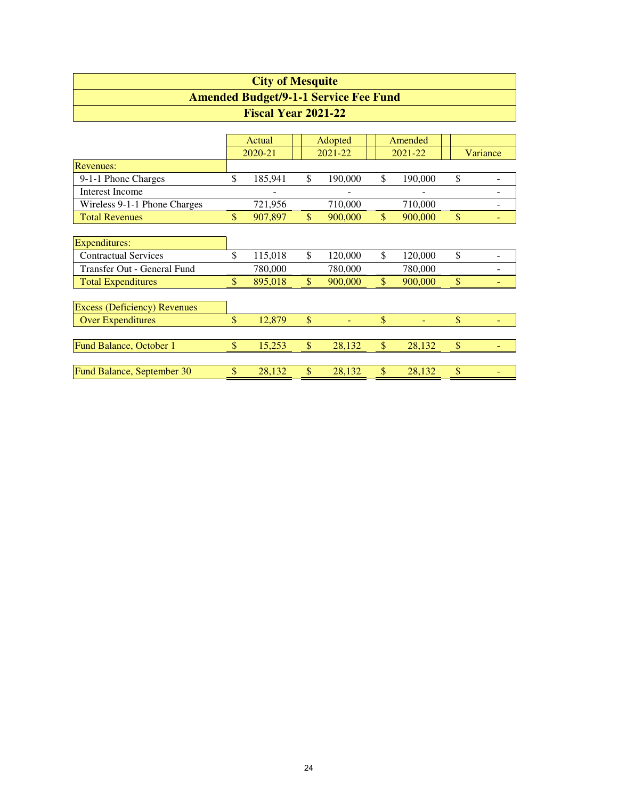|                                     | <b>City of Mesquite</b>                      |    |         |              |         |              |
|-------------------------------------|----------------------------------------------|----|---------|--------------|---------|--------------|
|                                     | <b>Amended Budget/9-1-1 Service Fee Fund</b> |    |         |              |         |              |
|                                     | <b>Fiscal Year 2021-22</b>                   |    |         |              |         |              |
|                                     |                                              |    |         |              |         |              |
|                                     | Actual                                       |    | Adopted |              | Amended |              |
|                                     | 2020-21                                      |    | 2021-22 |              | 2021-22 | Variance     |
| <b>Revenues:</b>                    |                                              |    |         |              |         |              |
| 9-1-1 Phone Charges                 | \$<br>185,941                                | \$ | 190,000 | \$           | 190,000 | \$<br>-      |
| <b>Interest Income</b>              |                                              |    |         |              |         |              |
| Wireless 9-1-1 Phone Charges        | 721,956                                      |    | 710,000 |              | 710,000 |              |
| <b>Total Revenues</b>               | \$<br>907,897                                | \$ | 900,000 | \$           | 900,000 | \$           |
|                                     |                                              |    |         |              |         |              |
| <b>Expenditures:</b>                |                                              |    |         |              |         |              |
| <b>Contractual Services</b>         | \$<br>115,018                                | \$ | 120,000 | \$           | 120,000 | \$           |
| Transfer Out - General Fund         | 780,000                                      |    | 780,000 |              | 780,000 |              |
| <b>Total Expenditures</b>           | \$<br>895,018                                | \$ | 900,000 | $\mathbb{S}$ | 900,000 | $\mathbb{S}$ |
|                                     |                                              |    |         |              |         |              |
| <b>Excess (Deficiency) Revenues</b> |                                              |    |         |              |         |              |
| <b>Over Expenditures</b>            | \$<br>12,879                                 | \$ |         | \$           |         | \$           |
|                                     |                                              |    |         |              |         |              |
| Fund Balance, October 1             | \$<br>15,253                                 | \$ | 28,132  | \$           | 28,132  | \$           |
|                                     |                                              |    |         |              |         |              |
| Fund Balance, September 30          | \$<br>28,132                                 | \$ | 28,132  | $\mathbb{S}$ | 28,132  | \$           |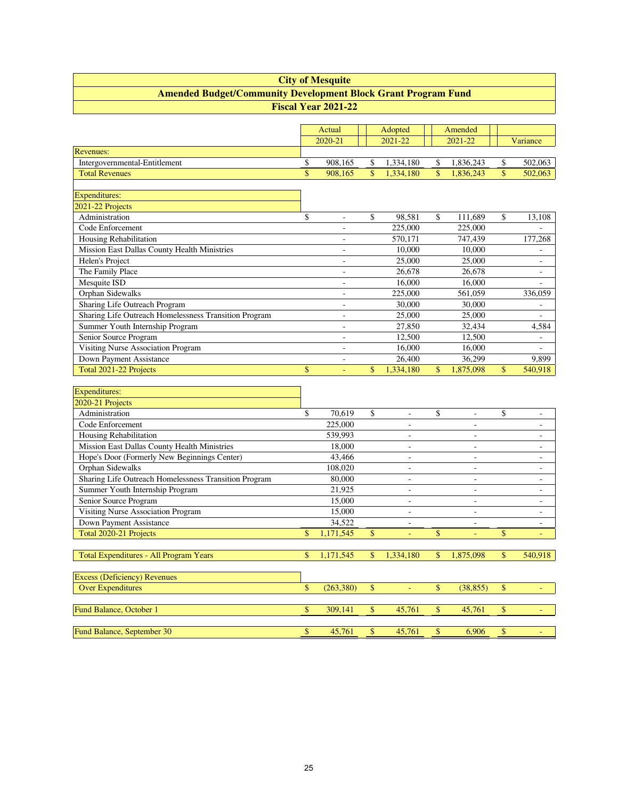|                                                                      |                    | <b>City of Mesquite</b>    |              |                          |              |                          |                    |                          |
|----------------------------------------------------------------------|--------------------|----------------------------|--------------|--------------------------|--------------|--------------------------|--------------------|--------------------------|
| <b>Amended Budget/Community Development Block Grant Program Fund</b> |                    |                            |              |                          |              |                          |                    |                          |
|                                                                      |                    | <b>Fiscal Year 2021-22</b> |              |                          |              |                          |                    |                          |
|                                                                      |                    |                            |              |                          |              |                          |                    |                          |
|                                                                      |                    | Actual                     |              | Adopted                  |              | Amended                  |                    |                          |
|                                                                      |                    | 2020-21                    |              | 2021-22                  |              | 2021-22                  |                    | Variance                 |
| Revenues:                                                            |                    |                            |              |                          |              |                          |                    |                          |
| Intergovernmental-Entitlement                                        | \$                 | 908,165                    | \$           | 1,334,180                | \$           | 1,836,243                | \$                 | 502,063                  |
| <b>Total Revenues</b>                                                | $\mathbf{\hat{S}}$ | 908,165                    | \$           | 1,334,180                | \$           | 1,836,243                | $\mathbf{\hat{S}}$ | 502,063                  |
|                                                                      |                    |                            |              |                          |              |                          |                    |                          |
| <b>Expenditures:</b>                                                 |                    |                            |              |                          |              |                          |                    |                          |
| 2021-22 Projects                                                     |                    |                            |              |                          |              |                          |                    |                          |
| Administration                                                       | \$                 | $\overline{\phantom{a}}$   | \$           | 98,581                   | \$           | 111,689                  | \$                 | 13,108                   |
| Code Enforcement                                                     |                    | ÷,                         |              | 225,000                  |              | 225,000                  |                    |                          |
| Housing Rehabilitation                                               |                    | $\overline{\phantom{0}}$   |              | 570,171                  |              | 747,439                  |                    | 177,268                  |
| Mission East Dallas County Health Ministries                         |                    | ä,                         |              | 10,000                   |              | 10,000                   |                    | $\overline{\phantom{a}}$ |
| Helen's Project                                                      |                    | $\overline{\phantom{a}}$   |              | 25,000                   |              | 25,000                   |                    | $\overline{\phantom{a}}$ |
| The Family Place                                                     |                    | $\overline{\phantom{0}}$   |              | 26.678                   |              | 26,678                   |                    | $\overline{\phantom{a}}$ |
| Mesquite ISD                                                         |                    | $\overline{\phantom{0}}$   |              | 16,000                   |              | 16,000                   |                    | ٠                        |
| Orphan Sidewalks                                                     |                    | $\overline{\phantom{a}}$   |              | 225,000                  |              | 561,059                  |                    | 336,059                  |
| Sharing Life Outreach Program                                        |                    | ÷.                         |              | 30,000                   |              | 30,000                   |                    | $\overline{\phantom{a}}$ |
| Sharing Life Outreach Homelessness Transition Program                |                    | ÷.                         |              | 25,000                   |              | 25,000                   |                    | $\blacksquare$           |
| Summer Youth Internship Program                                      |                    | ÷,                         |              | 27,850                   |              | 32,434                   |                    | 4,584                    |
| Senior Source Program                                                |                    | $\overline{\phantom{0}}$   |              | 12,500                   |              | 12.500                   |                    | $\overline{\phantom{a}}$ |
| Visiting Nurse Association Program                                   |                    | $\overline{\phantom{0}}$   |              | 16,000                   |              | 16,000                   |                    |                          |
| Down Payment Assistance                                              |                    | ÷,                         |              | 26,400                   |              | 36,299                   |                    | 9,899                    |
| Total 2021-22 Projects                                               | \$                 | Ξ                          | \$           | 1,334,180                | $\mathbb{S}$ | 1,875,098                | $\mathbf{\$}$      | 540,918                  |
|                                                                      |                    |                            |              |                          |              |                          |                    |                          |
| <b>Expenditures:</b>                                                 |                    |                            |              |                          |              |                          |                    |                          |
| 2020-21 Projects                                                     |                    |                            |              |                          |              |                          |                    |                          |
| Administration                                                       | \$                 | 70,619                     | \$           | ä,                       | \$           | $\omega$                 | \$                 | $\overline{\phantom{a}}$ |
| Code Enforcement                                                     |                    | 225,000                    |              | $\overline{\phantom{a}}$ |              | $\overline{\phantom{a}}$ |                    | ÷.                       |
| Housing Rehabilitation                                               |                    | 539,993                    |              | ÷.                       |              | ÷.                       |                    | ÷.                       |
| Mission East Dallas County Health Ministries                         |                    | 18,000                     |              | $\overline{\phantom{a}}$ |              | $\overline{\phantom{a}}$ |                    | $\overline{\phantom{a}}$ |
| Hope's Door (Formerly New Beginnings Center)                         |                    | 43,466                     |              | $\overline{\phantom{a}}$ |              | $\overline{\phantom{a}}$ |                    | $\overline{\phantom{a}}$ |
| Orphan Sidewalks                                                     |                    | 108,020                    |              | $\overline{\phantom{a}}$ |              | $\bar{a}$                |                    | ÷.                       |
| Sharing Life Outreach Homelessness Transition Program                |                    | 80,000                     |              | $\overline{\phantom{a}}$ |              | $\sim$                   |                    | ÷.                       |
| Summer Youth Internship Program                                      |                    | 21,925                     |              | ÷.                       |              | ÷.                       |                    | ÷.                       |
| Senior Source Program                                                |                    | 15,000                     |              | $\overline{\phantom{a}}$ |              | $\overline{\phantom{a}}$ |                    | $\overline{\phantom{a}}$ |
| Visiting Nurse Association Program                                   |                    | 15,000                     |              | $\overline{\phantom{a}}$ |              | $\overline{\phantom{a}}$ |                    | $\overline{\phantom{a}}$ |
| Down Payment Assistance                                              |                    | 34,522                     |              |                          |              |                          |                    |                          |
| Total 2020-21 Projects                                               | \$                 | 1,171,545                  | \$           | Ξ                        | \$           | Ξ                        | \$                 | $\overline{\phantom{a}}$ |
|                                                                      |                    | 1,171,545                  |              |                          |              |                          | $\mathbb{S}$       |                          |
| Total Expenditures - All Program Years                               | \$                 |                            | \$           | 1,334,180                | \$           | 1,875,098                |                    | 540,918                  |
| <b>Excess (Deficiency) Revenues</b>                                  |                    |                            |              |                          |              |                          |                    |                          |
| <b>Over Expenditures</b>                                             | $\$\,$             | (263, 380)                 | $\mathbb{S}$ | $\equiv$                 | \$           | (38, 855)                | $\mathbb{S}$       | $\equiv$                 |
|                                                                      |                    |                            |              |                          |              |                          |                    |                          |
| Fund Balance, October 1                                              | \$                 | 309,141                    | \$           | 45,761                   | \$           | 45,761                   | \$                 |                          |
|                                                                      |                    |                            |              |                          |              |                          |                    |                          |
| Fund Balance, September 30                                           | \$                 | 45,761                     | \$           | 45,761                   | \$           | 6,906                    | \$                 |                          |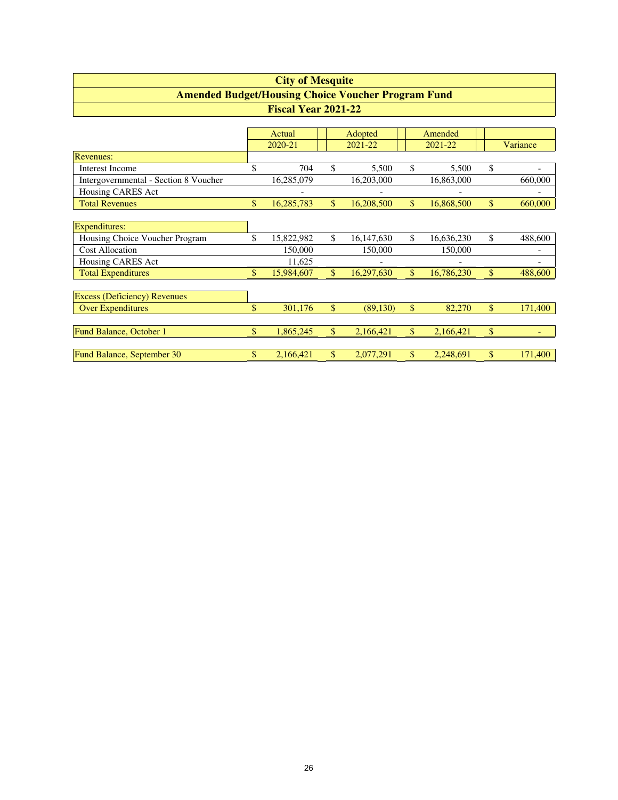|                                                           | <b>City of Mesquite</b>    |              |            |                  |                    |          |
|-----------------------------------------------------------|----------------------------|--------------|------------|------------------|--------------------|----------|
| <b>Amended Budget/Housing Choice Voucher Program Fund</b> |                            |              |            |                  |                    |          |
|                                                           | <b>Fiscal Year 2021-22</b> |              |            |                  |                    |          |
|                                                           |                            |              |            |                  |                    |          |
|                                                           | Actual                     |              | Adopted    | Amended          |                    |          |
|                                                           | 2020-21                    |              | 2021-22    | 2021-22          |                    | Variance |
| <b>Revenues:</b>                                          |                            |              |            |                  |                    |          |
| Interest Income                                           | \$<br>704                  | \$           | 5,500      | \$<br>5,500      | \$                 |          |
| Intergovernmental - Section 8 Voucher                     | 16,285,079                 |              | 16,203,000 | 16,863,000       |                    | 660,000  |
| Housing CARES Act                                         |                            |              |            |                  |                    |          |
| <b>Total Revenues</b>                                     | \$<br>16,285,783           | $\mathbb{S}$ | 16,208,500 | \$<br>16,868,500 | $\mathbf{\$}$      | 660,000  |
|                                                           |                            |              |            |                  |                    |          |
| <b>Expenditures:</b>                                      |                            |              |            |                  |                    |          |
| Housing Choice Voucher Program                            | \$<br>15,822,982           | \$           | 16,147,630 | \$<br>16,636,230 | $\mathcal{S}$      | 488,600  |
| <b>Cost Allocation</b>                                    | 150,000                    |              | 150,000    | 150,000          |                    |          |
| Housing CARES Act                                         | 11,625                     |              |            |                  |                    |          |
| <b>Total Expenditures</b>                                 | \$<br>15,984,607           | $\mathbb{S}$ | 16,297,630 | \$<br>16,786,230 | $\mathbf{\hat{S}}$ | 488,600  |
|                                                           |                            |              |            |                  |                    |          |
| <b>Excess (Deficiency) Revenues</b>                       |                            |              |            |                  |                    |          |
| <b>Over Expenditures</b>                                  | \$<br>301,176              | \$           | (89, 130)  | \$<br>82,270     | $\mathbb{S}$       | 171,400  |
|                                                           |                            |              |            |                  |                    |          |
| Fund Balance, October 1                                   | \$<br>1,865,245            | $\mathbb{S}$ | 2,166,421  | \$<br>2,166,421  | \$                 |          |
|                                                           |                            |              |            |                  |                    |          |
| Fund Balance, September 30                                | \$<br>2,166,421            | \$           | 2,077,291  | \$<br>2,248,691  | \$                 | 171,400  |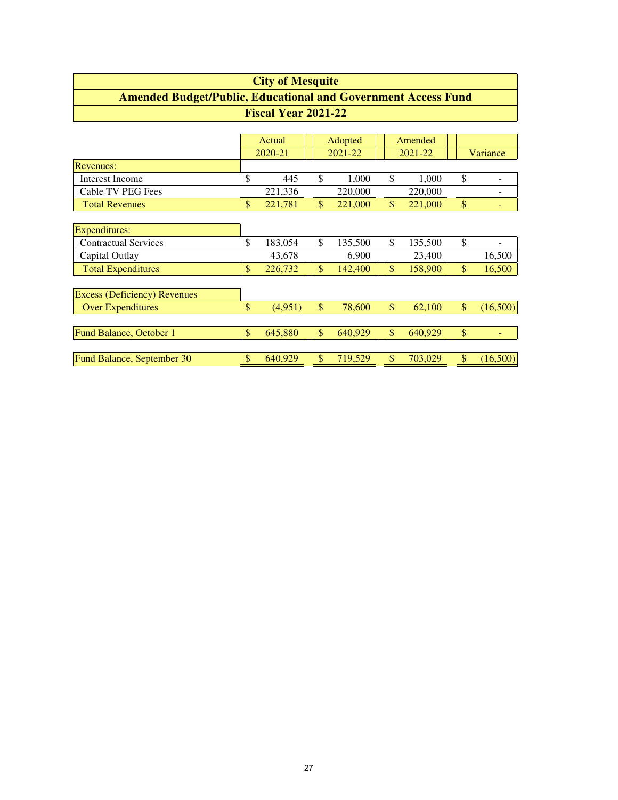| <b>City of Mesquite</b>                                              |    |                            |              |         |               |         |    |          |  |  |  |  |
|----------------------------------------------------------------------|----|----------------------------|--------------|---------|---------------|---------|----|----------|--|--|--|--|
| <b>Amended Budget/Public, Educational and Government Access Fund</b> |    |                            |              |         |               |         |    |          |  |  |  |  |
|                                                                      |    | <b>Fiscal Year 2021-22</b> |              |         |               |         |    |          |  |  |  |  |
|                                                                      |    |                            |              |         |               |         |    |          |  |  |  |  |
|                                                                      |    | Actual                     |              |         |               |         |    |          |  |  |  |  |
|                                                                      |    | 2020-21                    |              | 2021-22 |               | 2021-22 |    | Variance |  |  |  |  |
| <b>Revenues:</b>                                                     |    |                            |              |         |               |         |    |          |  |  |  |  |
| <b>Interest Income</b>                                               | \$ | 445                        | \$           | 1,000   | \$            | 1,000   | \$ |          |  |  |  |  |
| Cable TV PEG Fees                                                    |    | 221,336                    |              | 220,000 |               | 220,000 |    |          |  |  |  |  |
| <b>Total Revenues</b>                                                | \$ | 221,781                    | $\mathbb{S}$ | 221,000 | \$            | 221,000 | \$ |          |  |  |  |  |
|                                                                      |    |                            |              |         |               |         |    |          |  |  |  |  |
| <b>Expenditures:</b>                                                 |    |                            |              |         |               |         |    |          |  |  |  |  |
| <b>Contractual Services</b>                                          | \$ | 183,054                    | \$           | 135,500 | \$            | 135,500 | \$ |          |  |  |  |  |
| Capital Outlay                                                       |    | 43,678                     |              | 6,900   |               | 23,400  |    | 16,500   |  |  |  |  |
| <b>Total Expenditures</b>                                            | \$ | 226,732                    | $\mathbb{S}$ | 142,400 | $\mathbb{S}$  | 158,900 | \$ | 16,500   |  |  |  |  |
|                                                                      |    |                            |              |         |               |         |    |          |  |  |  |  |
| <b>Excess (Deficiency) Revenues</b>                                  |    |                            |              |         |               |         |    |          |  |  |  |  |
| <b>Over Expenditures</b>                                             | \$ | (4,951)                    | $\mathbb{S}$ | 78,600  | $\mathbb{S}$  | 62,100  | \$ | (16,500) |  |  |  |  |
|                                                                      |    |                            |              |         |               |         |    |          |  |  |  |  |
| Fund Balance, October 1                                              | \$ | 645,880                    | $\mathbb{S}$ | 640,929 | $\mathcal{S}$ | 640,929 | \$ |          |  |  |  |  |
|                                                                      |    |                            |              |         |               |         |    |          |  |  |  |  |
| Fund Balance, September 30                                           | \$ | 640,929                    | \$           | 719,529 | \$            | 703,029 | \$ | (16,500) |  |  |  |  |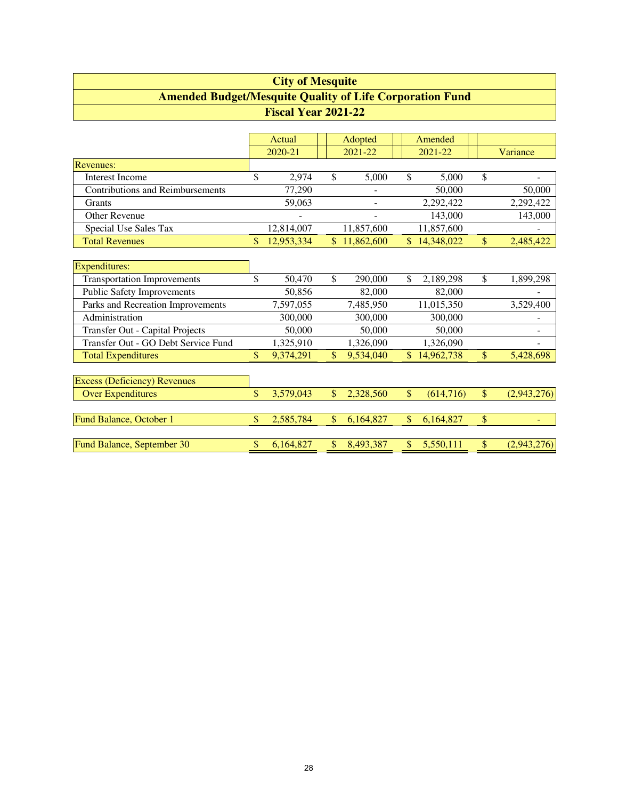| <b>City of Mesquite</b>                                         |
|-----------------------------------------------------------------|
| <b>Amended Budget/Mesquite Quality of Life Corporation Fund</b> |
| <b>Fiscal Year 2021-22</b>                                      |

|                                         | Actual           |              | Adopted                  |                | Amended      |                           |             |
|-----------------------------------------|------------------|--------------|--------------------------|----------------|--------------|---------------------------|-------------|
|                                         | 2020-21          |              | 2021-22                  |                | 2021-22      |                           | Variance    |
| <b>Revenues:</b>                        |                  |              |                          |                |              |                           |             |
| <b>Interest Income</b>                  | \$<br>2,974      | \$           | 5,000                    | \$             | 5,000        | \$                        |             |
| <b>Contributions and Reimbursements</b> | 77,290           |              |                          |                | 50,000       |                           | 50,000      |
| Grants                                  | 59,063           |              | $\overline{\phantom{0}}$ |                | 2,292,422    |                           | 2,292,422   |
| Other Revenue                           |                  |              |                          |                | 143,000      |                           | 143,000     |
| Special Use Sales Tax                   | 12,814,007       |              | 11,857,600               |                | 11,857,600   |                           |             |
| <b>Total Revenues</b>                   | \$<br>12,953,334 | $\mathbb{S}$ | 11,862,600               |                | \$14,348,022 | \$                        | 2,485,422   |
|                                         |                  |              |                          |                |              |                           |             |
| Expenditures:                           |                  |              |                          |                |              |                           |             |
| <b>Transportation Improvements</b>      | \$<br>50,470     | \$           | 290,000                  | \$             | 2,189,298    | $\mathcal{S}$             | 1,899,298   |
| <b>Public Safety Improvements</b>       | 50,856           |              | 82,000                   |                | 82,000       |                           |             |
| Parks and Recreation Improvements       | 7,597,055        |              | 7,485,950                |                | 11,015,350   |                           | 3,529,400   |
| Administration                          | 300,000          |              | 300,000                  |                | 300,000      |                           |             |
| Transfer Out - Capital Projects         | 50,000           |              | 50,000                   |                | 50,000       |                           |             |
| Transfer Out - GO Debt Service Fund     | 1,325,910        |              | 1,326,090                |                | 1,326,090    |                           |             |
| <b>Total Expenditures</b>               | \$<br>9,374,291  | \$           | 9,534,040                | $\mathbb{S}^-$ | 14,962,738   | \$                        | 5,428,698   |
|                                         |                  |              |                          |                |              |                           |             |
| <b>Excess (Deficiency) Revenues</b>     |                  |              |                          |                |              |                           |             |
| <b>Over Expenditures</b>                | \$<br>3,579,043  | \$           | 2,328,560                | \$             | (614, 716)   | $\mathsf{\$}$             | (2,943,276) |
|                                         |                  |              |                          |                |              |                           |             |
| Fund Balance, October 1                 | \$<br>2,585,784  | \$           | 6,164,827                | \$             | 6,164,827    | $\boldsymbol{\mathsf{S}}$ |             |
|                                         |                  |              |                          |                |              |                           |             |
| Fund Balance, September 30              | \$<br>6,164,827  | \$           | 8,493,387                | \$             | 5,550,111    | $\boldsymbol{\mathsf{S}}$ | (2,943,276) |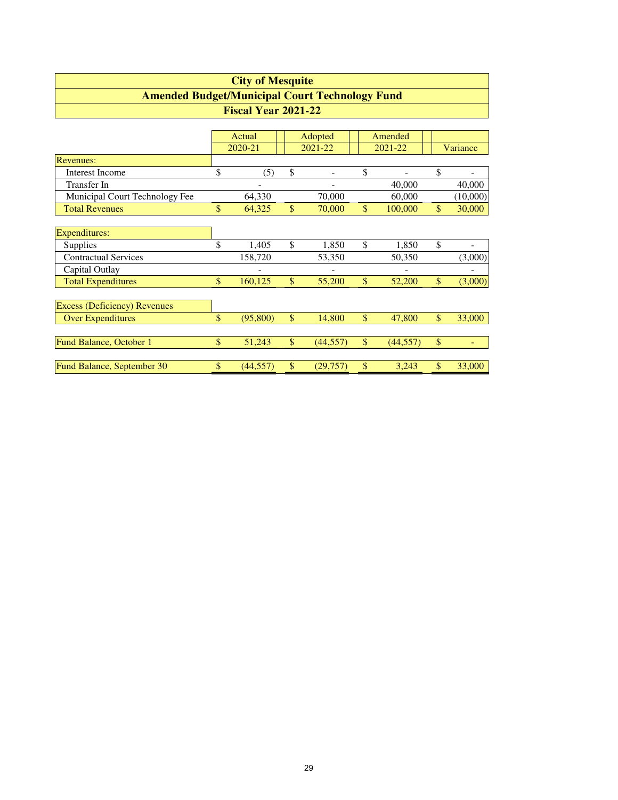|                                                       |               | <b>City of Mesquite</b>    |               |                          |                           |             |              |          |
|-------------------------------------------------------|---------------|----------------------------|---------------|--------------------------|---------------------------|-------------|--------------|----------|
| <b>Amended Budget/Municipal Court Technology Fund</b> |               |                            |               |                          |                           |             |              |          |
|                                                       |               | <b>Fiscal Year 2021-22</b> |               |                          |                           |             |              |          |
|                                                       |               |                            |               |                          |                           |             |              |          |
|                                                       |               | Actual                     |               | Adopted                  |                           | Amended     |              |          |
|                                                       |               | 2020-21                    |               | 2021-22                  |                           | $2021 - 22$ |              | Variance |
| Revenues:                                             |               |                            |               |                          |                           |             |              |          |
| <b>Interest Income</b>                                | \$            | (5)                        | \$            | $\overline{\phantom{0}}$ | \$                        |             | \$           |          |
| Transfer In                                           |               |                            |               |                          |                           | 40,000      |              | 40,000   |
| Municipal Court Technology Fee                        |               | 64,330                     |               | 70,000                   |                           | 60,000      |              | (10,000) |
| <b>Total Revenues</b>                                 | $\frac{1}{2}$ | 64,325                     | $\mathbb{S}$  | 70,000                   | $\mathbb{S}$              | 100,000     | $\mathbb{S}$ | 30,000   |
|                                                       |               |                            |               |                          |                           |             |              |          |
| <b>Expenditures:</b>                                  |               |                            |               |                          |                           |             |              |          |
| Supplies                                              | \$            | 1,405                      | \$            | 1,850                    | \$                        | 1,850       | \$           |          |
| <b>Contractual Services</b>                           |               | 158,720                    |               | 53,350                   |                           | 50,350      |              | (3,000)  |
| Capital Outlay                                        |               |                            |               |                          |                           |             |              |          |
| <b>Total Expenditures</b>                             | \$            | 160,125                    | $\frac{1}{2}$ | 55,200                   | \$                        | 52,200      | \$           | (3,000)  |
|                                                       |               |                            |               |                          |                           |             |              |          |
| <b>Excess (Deficiency) Revenues</b>                   |               |                            |               |                          |                           |             |              |          |
| <b>Over Expenditures</b>                              | \$            | (95, 800)                  | $\mathsf{\$}$ | 14,800                   | \$                        | 47,800      | \$           | 33,000   |
|                                                       |               |                            |               |                          |                           |             |              |          |
| Fund Balance, October 1                               | \$            | 51,243                     | \$            | (44, 557)                | \$                        | (44, 557)   | $\$\,$       |          |
|                                                       |               |                            |               |                          |                           |             |              |          |
| Fund Balance, September 30                            | \$            | (44, 557)                  | \$            | (29, 757)                | $\boldsymbol{\mathsf{S}}$ | 3,243       | $\$\,$       | 33,000   |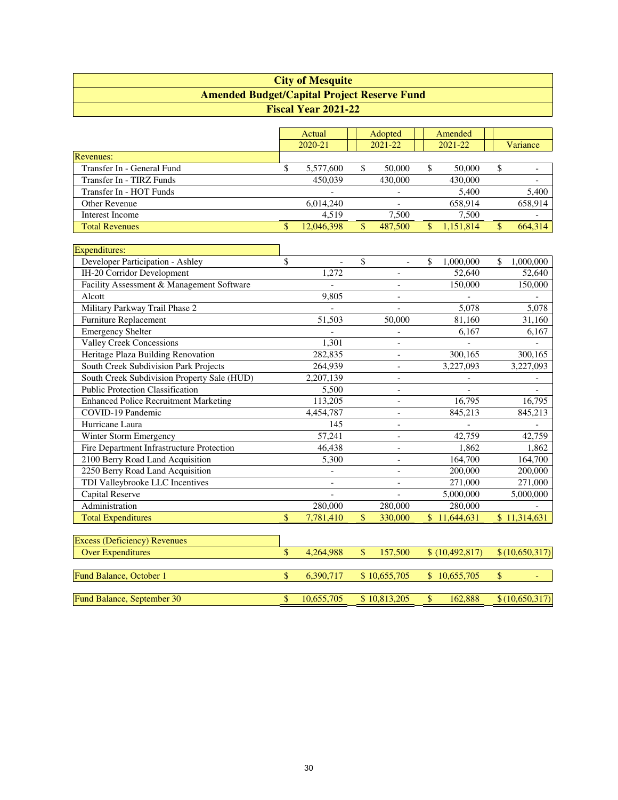|                                                    |                           | <b>City of Mesquite</b>    |                                                      |               |                                       |              |                |
|----------------------------------------------------|---------------------------|----------------------------|------------------------------------------------------|---------------|---------------------------------------|--------------|----------------|
| <b>Amended Budget/Capital Project Reserve Fund</b> |                           |                            |                                                      |               |                                       |              |                |
|                                                    |                           | <b>Fiscal Year 2021-22</b> |                                                      |               |                                       |              |                |
|                                                    |                           |                            |                                                      |               |                                       |              |                |
|                                                    |                           | Actual                     | Adopted                                              |               | Amended                               |              |                |
|                                                    |                           | 2020-21                    | 2021-22                                              |               | 2021-22                               |              | Variance       |
| Revenues:                                          |                           |                            |                                                      |               |                                       |              |                |
| Transfer In - General Fund                         | \$                        | 5,577,600                  | \$<br>50,000                                         | \$            | 50,000                                | \$           |                |
| Transfer In - TIRZ Funds                           |                           | 450,039                    | 430,000                                              |               | 430,000                               |              |                |
| Transfer In - HOT Funds                            |                           |                            |                                                      |               | 5,400                                 |              | 5,400          |
| Other Revenue                                      |                           | 6,014,240                  |                                                      |               | 658,914                               |              | 658,914        |
| <b>Interest Income</b>                             |                           | 4,519                      | 7,500                                                |               | 7,500                                 |              |                |
| <b>Total Revenues</b>                              | \$                        | 12,046,398                 | \$<br>487,500                                        | \$            | 1,151,814                             | $\mathbb{S}$ | 664,314        |
| Expenditures:                                      |                           |                            |                                                      |               |                                       |              |                |
| Developer Participation - Ashley                   | \$                        |                            | \$<br>$\blacksquare$                                 | \$            | 1,000,000                             | \$           | 1,000,000      |
| IH-20 Corridor Development                         |                           | 1,272                      | $\overline{\phantom{0}}$                             |               | 52,640                                |              | 52,640         |
| Facility Assessment & Management Software          |                           |                            | $\overline{\phantom{a}}$                             |               | 150,000                               |              | 150,000        |
| Alcott                                             |                           | 9,805                      | $\overline{\phantom{a}}$                             |               |                                       |              |                |
| Military Parkway Trail Phase 2                     |                           |                            | $\overline{\phantom{m}}$                             |               | 5,078                                 |              | 5,078          |
| <b>Furniture Replacement</b>                       |                           | 51,503                     | 50,000                                               |               | 81,160                                |              | 31,160         |
| <b>Emergency Shelter</b>                           |                           |                            | $\overline{\phantom{0}}$                             |               | 6,167                                 |              | 6,167          |
| <b>Valley Creek Concessions</b>                    |                           | 1,301                      | $\overline{\phantom{a}}$                             |               |                                       |              |                |
| Heritage Plaza Building Renovation                 |                           | 282,835                    | $\overline{\phantom{a}}$                             |               | 300,165                               |              | 300,165        |
| South Creek Subdivision Park Projects              |                           | 264,939                    | $\overline{\phantom{a}}$                             |               | 3,227,093                             |              | 3,227,093      |
| South Creek Subdivision Property Sale (HUD)        |                           | 2,207,139                  | $\overline{\phantom{a}}$                             |               |                                       |              |                |
| <b>Public Protection Classification</b>            |                           | 5,500                      | $\overline{\phantom{a}}$                             |               |                                       |              |                |
| <b>Enhanced Police Recruitment Marketing</b>       |                           | 113,205                    | $\overline{\phantom{a}}$                             |               | 16,795                                |              | 16,795         |
| COVID-19 Pandemic                                  |                           | 4,454,787                  | $\overline{\phantom{a}}$                             |               | 845,213                               |              | 845,213        |
| Hurricane Laura                                    |                           | 145                        | $\overline{\phantom{a}}$                             |               |                                       |              |                |
| Winter Storm Emergency                             |                           | 57,241                     | $\overline{\phantom{a}}$                             |               | 42,759                                |              | 42,759         |
| Fire Department Infrastructure Protection          |                           | 46,438                     | $\overline{\phantom{a}}$                             |               | 1,862                                 |              | 1,862          |
| 2100 Berry Road Land Acquisition                   |                           | 5,300                      |                                                      |               | 164,700                               |              | 164,700        |
| 2250 Berry Road Land Acquisition                   |                           |                            | $\overline{\phantom{a}}$                             |               | 200,000                               |              | 200,000        |
| TDI Valleybrooke LLC Incentives                    |                           | $\overline{a}$             | $\overline{\phantom{a}}$<br>$\overline{\phantom{a}}$ |               | 271,000                               |              | 271,000        |
| Capital Reserve                                    |                           | $\overline{\phantom{a}}$   |                                                      |               | 5,000,000                             |              | 5,000,000      |
| Administration                                     |                           | 280,000                    | $\overline{\phantom{a}}$<br>280,000                  |               |                                       |              |                |
|                                                    | $\boldsymbol{\mathsf{S}}$ | 7,781,410                  | \$<br>330,000                                        |               | 280,000<br>$\overline{\$}$ 11,644,631 |              | \$11,314,631   |
| <b>Total Expenditures</b>                          |                           |                            |                                                      |               |                                       |              |                |
| <b>Excess (Deficiency) Revenues</b>                |                           |                            |                                                      |               |                                       |              |                |
| <b>Over Expenditures</b>                           | $\$\,$                    | 4,264,988                  | \$<br>157,500                                        |               | \$(10, 492, 817)                      |              | \$(10,650,317) |
|                                                    |                           |                            |                                                      |               |                                       |              |                |
| Fund Balance, October 1                            | \$                        | 6,390,717                  | \$10,655,705                                         | $\frac{1}{2}$ | 10,655,705                            | $\mathbb{S}$ | Ξ              |
| Fund Balance, September 30                         | $\boldsymbol{\mathsf{S}}$ | 10,655,705                 | \$10,813,205                                         | \$            | 162,888                               |              | \$(10,650,317) |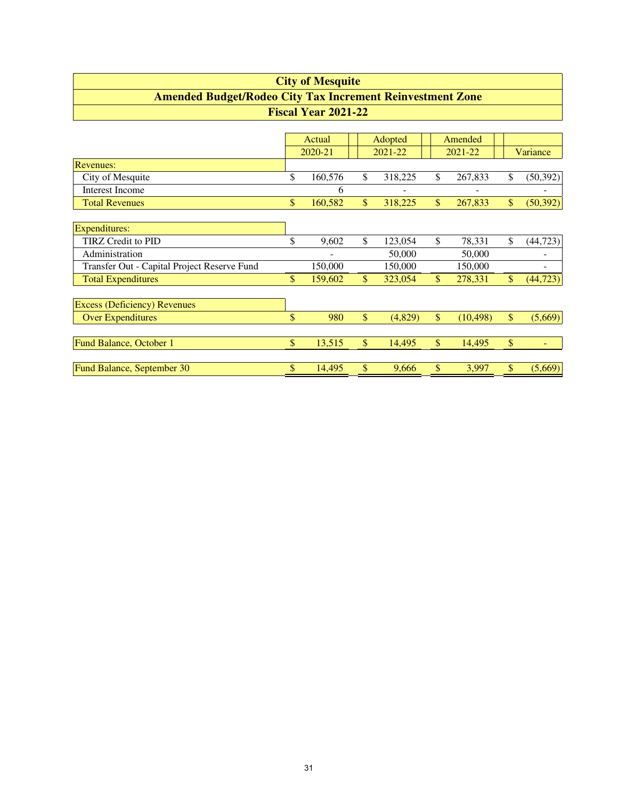|                                                                  | <b>City of Mesquite</b>    |               |              |           |              |                          |
|------------------------------------------------------------------|----------------------------|---------------|--------------|-----------|--------------|--------------------------|
| <b>Amended Budget/Rodeo City Tax Increment Reinvestment Zone</b> |                            |               |              |           |              |                          |
|                                                                  | <b>Fiscal Year 2021-22</b> |               |              |           |              |                          |
|                                                                  |                            |               |              |           |              |                          |
|                                                                  | Actual                     | Adopted       |              | Amended   |              |                          |
|                                                                  | 2020-21                    | 2021-22       |              | 2021-22   |              | Variance                 |
| Revenues:                                                        |                            |               |              |           |              |                          |
| City of Mesquite                                                 | \$<br>160,576              | \$<br>318,225 | \$           | 267,833   | \$           | (50, 392)                |
| <b>Interest Income</b>                                           | 6                          |               |              |           |              |                          |
| <b>Total Revenues</b>                                            | \$<br>160,582              | \$<br>318,225 | $\mathbb{S}$ | 267,833   | \$           | (50, 392)                |
|                                                                  |                            |               |              |           |              |                          |
| <b>Expenditures:</b>                                             |                            |               |              |           |              |                          |
| TIRZ Credit to PID                                               | \$<br>9,602                | \$<br>123,054 | \$           | 78,331    | \$           | (44, 723)                |
| Administration                                                   |                            | 50,000        |              | 50,000    |              |                          |
| Transfer Out - Capital Project Reserve Fund                      | 150,000                    | 150,000       |              | 150,000   |              | $\overline{\phantom{a}}$ |
| <b>Total Expenditures</b>                                        | \$<br>159,602              | \$<br>323,054 | $\mathbb{S}$ | 278,331   | $\mathbb{S}$ | (44, 723)                |
|                                                                  |                            |               |              |           |              |                          |
| <b>Excess (Deficiency) Revenues</b>                              |                            |               |              |           |              |                          |
| <b>Over Expenditures</b>                                         | \$<br>980                  | \$<br>(4,829) | $\mathbb{S}$ | (10, 498) | \$           | (5,669)                  |
|                                                                  |                            |               |              |           |              |                          |
| Fund Balance, October 1                                          | \$<br>13,515               | \$<br>14,495  | \$           | 14,495    | \$           | $\overline{\phantom{a}}$ |
|                                                                  |                            |               |              |           |              |                          |
| Fund Balance, September 30                                       | \$<br>14,495               | \$<br>9,666   | \$           | 3,997     | \$           | (5,669)                  |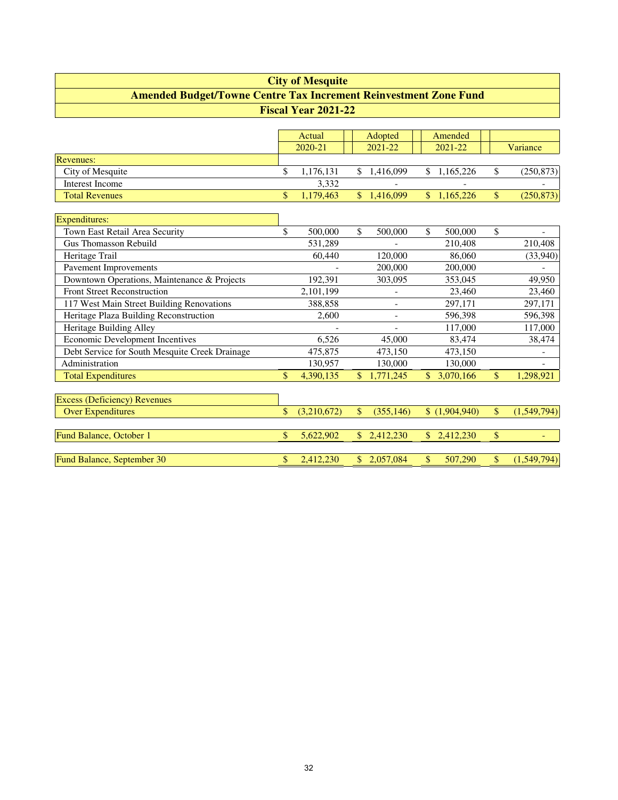|                                                                         |               | <b>City of Mesquite</b>    |                |                          |               |               |               |                          |
|-------------------------------------------------------------------------|---------------|----------------------------|----------------|--------------------------|---------------|---------------|---------------|--------------------------|
| <b>Amended Budget/Towne Centre Tax Increment Reinvestment Zone Fund</b> |               |                            |                |                          |               |               |               |                          |
|                                                                         |               | <b>Fiscal Year 2021-22</b> |                |                          |               |               |               |                          |
|                                                                         |               |                            |                |                          |               |               |               |                          |
|                                                                         |               | Actual                     |                | Adopted                  |               | Amended       |               |                          |
|                                                                         |               | 2020-21                    |                | 2021-22                  |               | 2021-22       |               | Variance                 |
| Revenues:                                                               |               |                            |                |                          |               |               |               |                          |
| City of Mesquite                                                        | \$            | 1,176,131                  |                | \$1,416,099              | $\mathbb{S}$  | 1,165,226     | \$            | (250, 873)               |
| <b>Interest Income</b>                                                  |               | 3,332                      |                |                          |               |               |               |                          |
| <b>Total Revenues</b>                                                   | $\mathbf{\$}$ | 1,179,463                  |                | \$1,416,099              | $\mathcal{S}$ | 1,165,226     | $\mathbb{S}$  | (250, 873)               |
|                                                                         |               |                            |                |                          |               |               |               |                          |
| <b>Expenditures:</b>                                                    |               |                            |                |                          |               |               |               |                          |
| Town East Retail Area Security                                          | \$            | 500,000                    | \$             | 500,000                  | \$            | 500,000       | \$            |                          |
| Gus Thomasson Rebuild                                                   |               | 531,289                    |                |                          |               | 210,408       |               | 210,408                  |
| Heritage Trail                                                          |               | 60,440                     |                | 120,000                  |               | 86,060        |               | (33,940)                 |
| <b>Pavement Improvements</b>                                            |               |                            |                | 200,000                  |               | 200,000       |               |                          |
| Downtown Operations, Maintenance & Projects                             |               | 192,391                    |                | 303,095                  |               | 353,045       |               | 49,950                   |
| Front Street Reconstruction                                             |               | 2,101,199                  |                | $\overline{a}$           |               | 23,460        |               | 23,460                   |
| 117 West Main Street Building Renovations                               |               | 388,858                    |                | $\overline{\phantom{a}}$ |               | 297,171       |               | 297,171                  |
| Heritage Plaza Building Reconstruction                                  |               | 2,600                      |                | $\overline{\phantom{a}}$ |               | 596,398       |               | 596,398                  |
| Heritage Building Alley                                                 |               |                            |                |                          |               | 117,000       |               | 117,000                  |
| <b>Economic Development Incentives</b>                                  |               | 6,526                      |                | 45,000                   |               | 83,474        |               | 38,474                   |
| Debt Service for South Mesquite Creek Drainage                          |               | 475,875                    |                | 473,150                  |               | 473,150       |               | $\overline{\phantom{0}}$ |
| Administration                                                          |               | 130,957                    |                | 130,000                  |               | 130,000       |               |                          |
| <b>Total Expenditures</b>                                               | \$            | 4,390,135                  | $\mathbb{S}$   | 1,771,245                |               | \$3,070,166   | \$            | 1,298,921                |
|                                                                         |               |                            |                |                          |               |               |               |                          |
| <b>Excess (Deficiency) Revenues</b>                                     |               |                            |                |                          |               |               |               |                          |
| <b>Over Expenditures</b>                                                | \$            | (3,210,672)                | $\mathbb{S}$   | (355, 146)               |               | \$(1,904,940) | $\mathbf{\$}$ | (1,549,794)              |
|                                                                         |               |                            |                |                          |               |               |               |                          |
| Fund Balance, October 1                                                 | \$            | 5,622,902                  | $\mathbb{S}^-$ | 2,412,230                | $\mathbb{S}$  | 2,412,230     | \$            |                          |
| Fund Balance, September 30                                              | \$            | 2,412,230                  |                | \$2,057,084              | \$            | 507,290       | \$            | (1,549,794)              |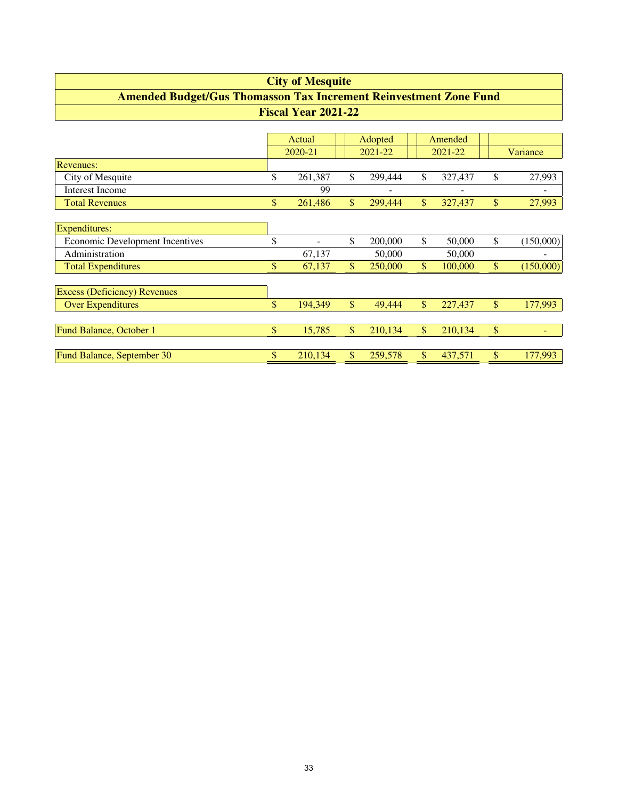|                                                                          | <b>City of Mesquite</b>    |              |         |                      |         |               |           |
|--------------------------------------------------------------------------|----------------------------|--------------|---------|----------------------|---------|---------------|-----------|
| <b>Amended Budget/Gus Thomasson Tax Increment Reinvestment Zone Fund</b> |                            |              |         |                      |         |               |           |
|                                                                          | <b>Fiscal Year 2021-22</b> |              |         |                      |         |               |           |
|                                                                          |                            |              |         |                      |         |               |           |
|                                                                          | Actual                     |              | Adopted |                      | Amended |               |           |
|                                                                          | 2020-21                    | 2021-22      |         |                      | 2021-22 |               | Variance  |
| <b>Revenues:</b>                                                         |                            |              |         |                      |         |               |           |
| City of Mesquite                                                         | \$<br>261,387              | \$           | 299,444 | \$                   | 327,437 | \$            | 27,993    |
| <b>Interest Income</b>                                                   | 99                         |              |         |                      |         |               |           |
| <b>Total Revenues</b>                                                    | \$<br>261,486              | \$           | 299,444 | \$                   | 327,437 | $\frac{1}{2}$ | 27,993    |
|                                                                          |                            |              |         |                      |         |               |           |
| <b>Expenditures:</b>                                                     |                            |              |         |                      |         |               |           |
| <b>Economic Development Incentives</b>                                   | \$                         | \$           | 200,000 | \$                   | 50,000  | $\mathbb{S}$  | (150,000) |
| Administration                                                           | 67,137                     |              | 50,000  |                      | 50,000  |               |           |
| <b>Total Expenditures</b>                                                | \$<br>67,137               | $\mathbb{S}$ | 250,000 | \$                   | 100,000 | \$            | (150,000) |
|                                                                          |                            |              |         |                      |         |               |           |
| <b>Excess (Deficiency) Revenues</b>                                      |                            |              |         |                      |         |               |           |
| <b>Over Expenditures</b>                                                 | \$<br>194,349              | \$           | 49,444  | $\mathsf{\$}$        | 227,437 | $\mathsf{\$}$ | 177,993   |
|                                                                          |                            |              |         |                      |         |               |           |
| Fund Balance, October 1                                                  | \$<br>15,785               | \$           | 210,134 | $\sqrt{\frac{1}{2}}$ | 210,134 | $\frac{1}{2}$ |           |
|                                                                          |                            |              |         |                      |         |               |           |
| Fund Balance, September 30                                               | \$<br>210,134              | \$           | 259,578 | \$                   | 437,571 | \$            | 177,993   |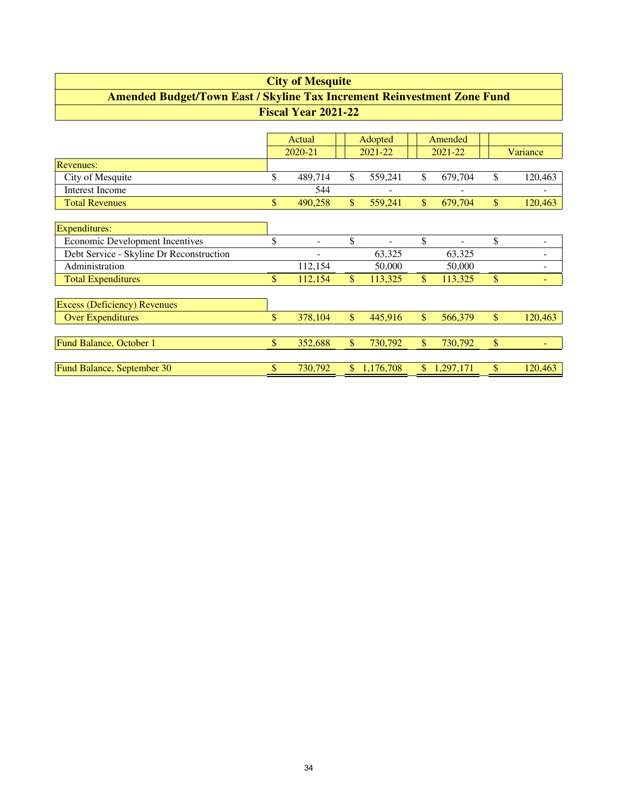|                                                                                | <b>City of Mesquite</b>        |                                |                      |             |               |                          |
|--------------------------------------------------------------------------------|--------------------------------|--------------------------------|----------------------|-------------|---------------|--------------------------|
| <b>Amended Budget/Town East / Skyline Tax Increment Reinvestment Zone Fund</b> |                                |                                |                      |             |               |                          |
|                                                                                | <b>Fiscal Year 2021-22</b>     |                                |                      |             |               |                          |
|                                                                                |                                |                                |                      |             |               |                          |
|                                                                                | Actual                         | Adopted                        |                      | Amended     |               |                          |
|                                                                                | 2020-21                        | 2021-22                        |                      | 2021-22     |               | Variance                 |
| <b>Revenues:</b>                                                               |                                |                                |                      |             |               |                          |
| City of Mesquite                                                               | \$<br>489,714                  | \$<br>559,241                  | \$                   | 679,704     | \$            | 120,463                  |
| <b>Interest Income</b>                                                         | 544                            |                                |                      |             |               |                          |
| <b>Total Revenues</b>                                                          | \$<br>490,258                  | \$<br>559,241                  | \$                   | 679,704     | \$            | 120,463                  |
|                                                                                |                                |                                |                      |             |               |                          |
| <b>Expenditures:</b>                                                           |                                |                                |                      |             |               |                          |
| <b>Economic Development Incentives</b>                                         | \$<br>$\overline{\phantom{a}}$ | \$<br>$\overline{\phantom{0}}$ | \$                   |             | $\mathbb{S}$  | $\overline{\phantom{a}}$ |
| Debt Service - Skyline Dr Reconstruction                                       |                                | 63,325                         |                      | 63,325      |               |                          |
| Administration                                                                 | 112,154                        | 50,000                         |                      | 50,000      |               | $\overline{\phantom{0}}$ |
| <b>Total Expenditures</b>                                                      | \$<br>112,154                  | \$<br>113,325                  | $\mathsf{\$}$        | 113,325     | $\$\$         | $\blacksquare$           |
|                                                                                |                                |                                |                      |             |               |                          |
| <b>Excess (Deficiency) Revenues</b>                                            |                                |                                |                      |             |               |                          |
| <b>Over Expenditures</b>                                                       | \$<br>378,104                  | \$<br>445,916                  | \$                   | 566,379     | \$            | 120,463                  |
|                                                                                |                                |                                |                      |             |               |                          |
| Fund Balance, October 1                                                        | \$<br>352,688                  | \$<br>730,792                  | $\sqrt{\frac{1}{2}}$ | 730,792     | $\frac{1}{2}$ | $\overline{\phantom{a}}$ |
|                                                                                |                                |                                |                      |             |               |                          |
| Fund Balance, September 30                                                     | \$<br>730,792                  | \$<br>1,176,708                |                      | \$1,297,171 | \$            | 120,463                  |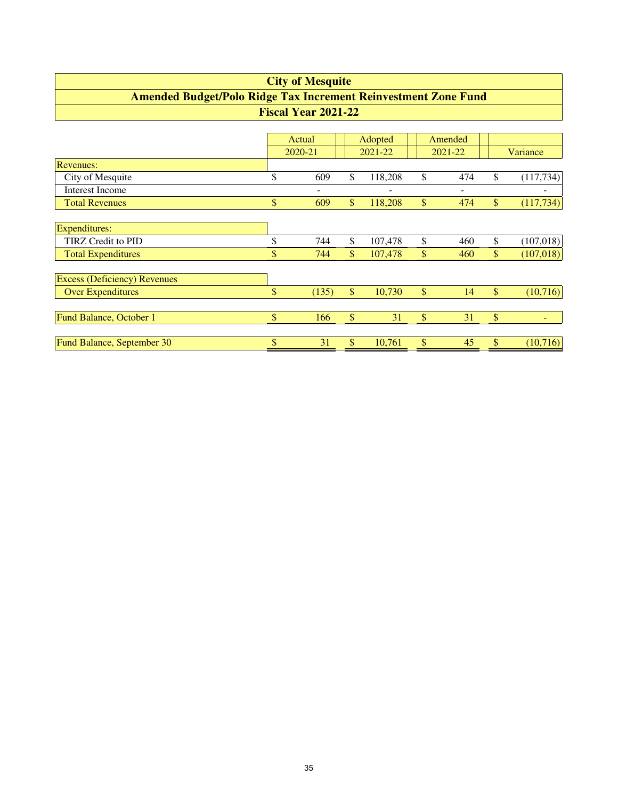|                                                                       | <b>City of Mesquite</b>    |                |                          |               |                          |
|-----------------------------------------------------------------------|----------------------------|----------------|--------------------------|---------------|--------------------------|
| <b>Amended Budget/Polo Ridge Tax Increment Reinvestment Zone Fund</b> |                            |                |                          |               |                          |
|                                                                       | <b>Fiscal Year 2021-22</b> |                |                          |               |                          |
|                                                                       |                            |                |                          |               |                          |
|                                                                       | Actual                     | <b>Adopted</b> | Amended                  |               |                          |
|                                                                       | 2020-21                    | 2021-22        | 2021-22                  |               | Variance                 |
| <b>Revenues:</b>                                                      |                            |                |                          |               |                          |
| City of Mesquite                                                      | \$<br>609                  | \$<br>118,208  | \$<br>474                | \$            | (117, 734)               |
| <b>Interest Income</b>                                                |                            |                | $\overline{\phantom{0}}$ |               |                          |
| <b>Total Revenues</b>                                                 | \$<br>609                  | \$<br>118,208  | \$<br>474                | \$            | (117, 734)               |
|                                                                       |                            |                |                          |               |                          |
| Expenditures:                                                         |                            |                |                          |               |                          |
| TIRZ Credit to PID                                                    | \$<br>744                  | \$<br>107,478  | \$<br>460                | \$            | (107, 018)               |
| <b>Total Expenditures</b>                                             | \$<br>744                  | \$<br>107,478  | \$<br>460                | \$            | (107, 018)               |
|                                                                       |                            |                |                          |               |                          |
| <b>Excess (Deficiency) Revenues</b>                                   |                            |                |                          |               |                          |
| <b>Over Expenditures</b>                                              | \$<br>(135)                | \$<br>10,730   | \$<br>14                 | $\mathsf{\$}$ | (10, 716)                |
|                                                                       |                            |                |                          |               |                          |
| Fund Balance, October 1                                               | \$<br>166                  | \$<br>31       | \$<br>31                 | \$            | $\overline{\phantom{a}}$ |
|                                                                       |                            |                |                          |               |                          |
| Fund Balance, September 30                                            | \$<br>31                   | \$<br>10,761   | \$<br>45                 | \$            | (10, 716)                |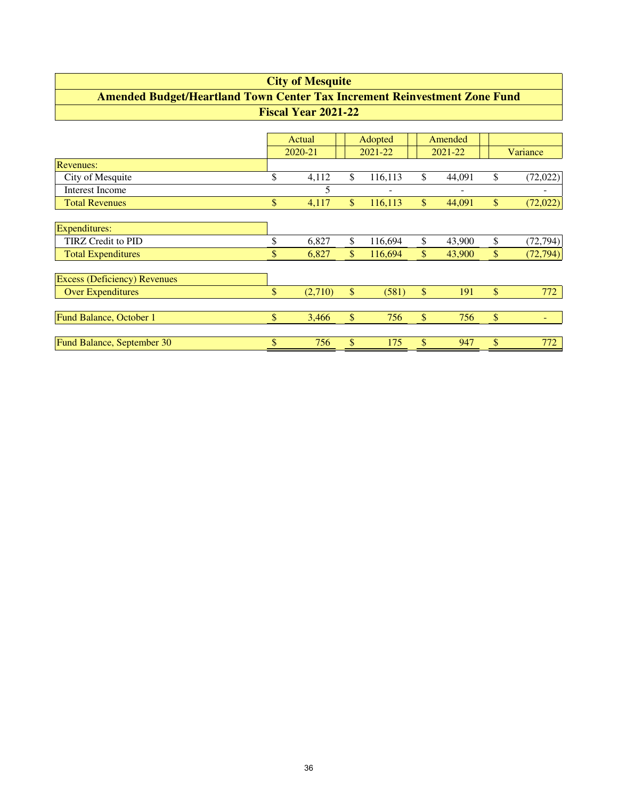|                                                                                  | <b>City of Mesquite</b>    |                |              |                 |
|----------------------------------------------------------------------------------|----------------------------|----------------|--------------|-----------------|
| <b>Amended Budget/Heartland Town Center Tax Increment Reinvestment Zone Fund</b> |                            |                |              |                 |
|                                                                                  | <b>Fiscal Year 2021-22</b> |                |              |                 |
|                                                                                  |                            |                |              |                 |
|                                                                                  | Actual                     | <b>Adopted</b> | Amended      |                 |
|                                                                                  | 2020-21                    | 2021-22        | 2021-22      | Variance        |
| <b>Revenues:</b>                                                                 |                            |                |              |                 |
| City of Mesquite                                                                 | \$<br>4,112                | \$<br>116,113  | \$<br>44,091 | \$<br>(72, 022) |
| <b>Interest Income</b>                                                           | 5                          |                |              |                 |
| <b>Total Revenues</b>                                                            | \$<br>4,117                | \$<br>116,113  | \$<br>44,091 | \$<br>(72, 022) |
|                                                                                  |                            |                |              |                 |
| Expenditures:                                                                    |                            |                |              |                 |
| <b>TIRZ Credit to PID</b>                                                        | \$<br>6,827                | \$<br>116,694  | \$<br>43,900 | \$<br>(72, 794) |
| <b>Total Expenditures</b>                                                        | \$<br>6,827                | \$<br>116,694  | \$<br>43,900 | \$<br>(72, 794) |
|                                                                                  |                            |                |              |                 |
| <b>Excess (Deficiency) Revenues</b>                                              |                            |                |              |                 |
| <b>Over Expenditures</b>                                                         | \$<br>(2,710)              | \$<br>(581)    | \$<br>191    | \$<br>772       |
|                                                                                  |                            |                |              |                 |
| Fund Balance, October 1                                                          | \$<br>3,466                | \$<br>756      | \$<br>756    | \$<br>٠         |
|                                                                                  |                            |                |              |                 |
| Fund Balance, September 30                                                       | \$<br>756                  | \$<br>175      | \$<br>947    | \$<br>772       |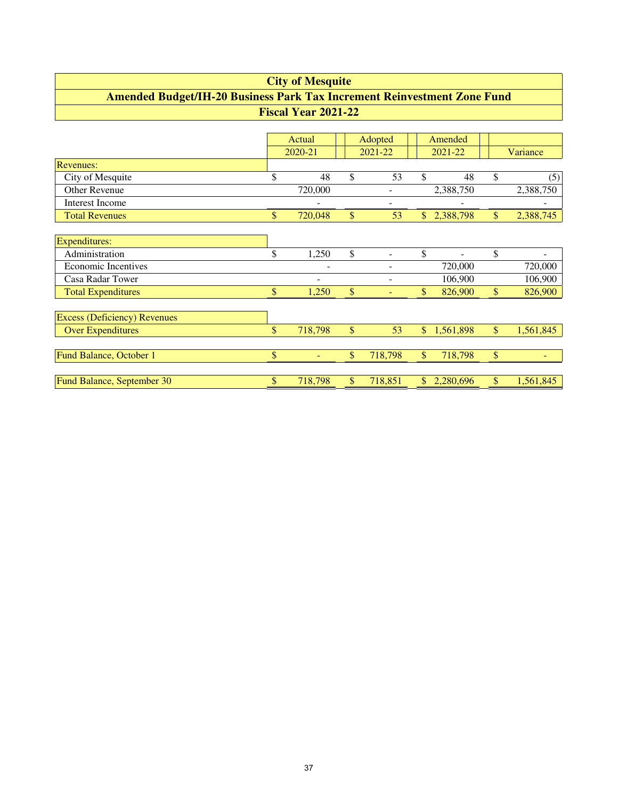|                                                                                | <b>City of Mesquite</b>    |               |                          |               |             |               |           |
|--------------------------------------------------------------------------------|----------------------------|---------------|--------------------------|---------------|-------------|---------------|-----------|
| <b>Amended Budget/IH-20 Business Park Tax Increment Reinvestment Zone Fund</b> |                            |               |                          |               |             |               |           |
|                                                                                | <b>Fiscal Year 2021-22</b> |               |                          |               |             |               |           |
|                                                                                |                            |               |                          |               |             |               |           |
|                                                                                | Actual                     |               | Adopted                  |               | Amended     |               |           |
|                                                                                | 2020-21                    |               | 2021-22                  | 2021-22       |             |               | Variance  |
| <b>Revenues:</b>                                                               |                            |               |                          |               |             |               |           |
| City of Mesquite                                                               | \$<br>48                   | \$            | 53                       | $\mathbb{S}$  | 48          | $\mathbb{S}$  | (5)       |
| Other Revenue                                                                  | 720,000                    |               |                          |               | 2,388,750   |               | 2,388,750 |
| <b>Interest Income</b>                                                         | ۰                          |               | ۰                        |               |             |               |           |
| <b>Total Revenues</b>                                                          | \$<br>720,048              | \$            | 53                       | \$            | 2,388,798   | $\mathbb{S}$  | 2,388,745 |
|                                                                                |                            |               |                          |               |             |               |           |
| <b>Expenditures:</b>                                                           |                            |               |                          |               |             |               |           |
| Administration                                                                 | \$<br>1,250                | \$            | $\overline{\phantom{a}}$ | $\mathbb{S}$  |             | $\mathbb{S}$  |           |
| <b>Economic Incentives</b>                                                     |                            |               |                          |               | 720,000     |               | 720,000   |
| Casa Radar Tower                                                               |                            |               |                          |               | 106,900     |               | 106,900   |
| <b>Total Expenditures</b>                                                      | \$<br>1,250                | \$            |                          | \$            | 826,900     | \$            | 826,900   |
|                                                                                |                            |               |                          |               |             |               |           |
| <b>Excess (Deficiency) Revenues</b>                                            |                            |               |                          |               |             |               |           |
| <b>Over Expenditures</b>                                                       | \$<br>718,798              | $\mathsf{\$}$ | 53                       | $\mathsf{\$}$ | 1,561,898   | $\mathsf{\$}$ | 1,561,845 |
|                                                                                |                            |               |                          |               |             |               |           |
| Fund Balance, October 1                                                        | \$<br>$\equiv$             | $\mathsf{\$}$ | 718,798                  | \$            | 718,798     | \$            | ٠         |
|                                                                                |                            |               |                          |               |             |               |           |
| Fund Balance, September 30                                                     | \$<br>718,798              | \$            | 718,851                  |               | \$2,280,696 | \$            | 1,561,845 |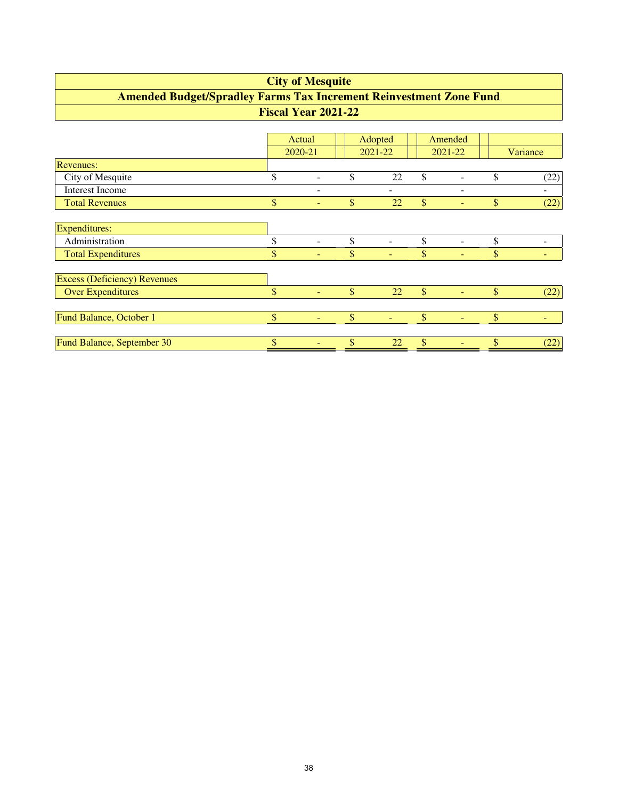|                                                                           |               | <b>City of Mesquite</b>    |                |                      |            |
|---------------------------------------------------------------------------|---------------|----------------------------|----------------|----------------------|------------|
| <b>Amended Budget/Spradley Farms Tax Increment Reinvestment Zone Fund</b> |               |                            |                |                      |            |
|                                                                           |               | <b>Fiscal Year 2021-22</b> |                |                      |            |
|                                                                           |               |                            |                |                      |            |
|                                                                           |               | Actual                     | Adopted        | Amended              |            |
|                                                                           |               | 2020-21                    | 2021-22        | 2021-22              | Variance   |
| <b>Revenues:</b>                                                          |               |                            |                |                      |            |
| City of Mesquite                                                          | \$            |                            | \$<br>22       | \$<br>$\overline{a}$ | \$<br>(22) |
| Interest Income                                                           |               |                            |                |                      | -          |
| <b>Total Revenues</b>                                                     | \$            |                            | \$<br>22       | \$                   | \$<br>(22) |
|                                                                           |               |                            |                |                      |            |
| Expenditures:                                                             |               |                            |                |                      |            |
| Administration                                                            | \$            |                            | \$             | \$                   | \$         |
| <b>Total Expenditures</b>                                                 | \$            |                            | \$             | \$                   | \$         |
|                                                                           |               |                            |                |                      |            |
| <b>Excess (Deficiency) Revenues</b>                                       |               |                            |                |                      |            |
| <b>Over Expenditures</b>                                                  | \$            | ٠                          | \$<br>22       | \$<br>$\blacksquare$ | \$<br>(22) |
|                                                                           |               |                            |                |                      |            |
| Fund Balance, October 1                                                   | $\mathsf{\$}$ | $\equiv$                   | \$<br>$\equiv$ | \$<br>$\equiv$       | \$<br>٠    |
|                                                                           |               |                            |                |                      |            |
| Fund Balance, September 30                                                | \$            |                            | \$<br>22       | \$                   | \$<br>(22) |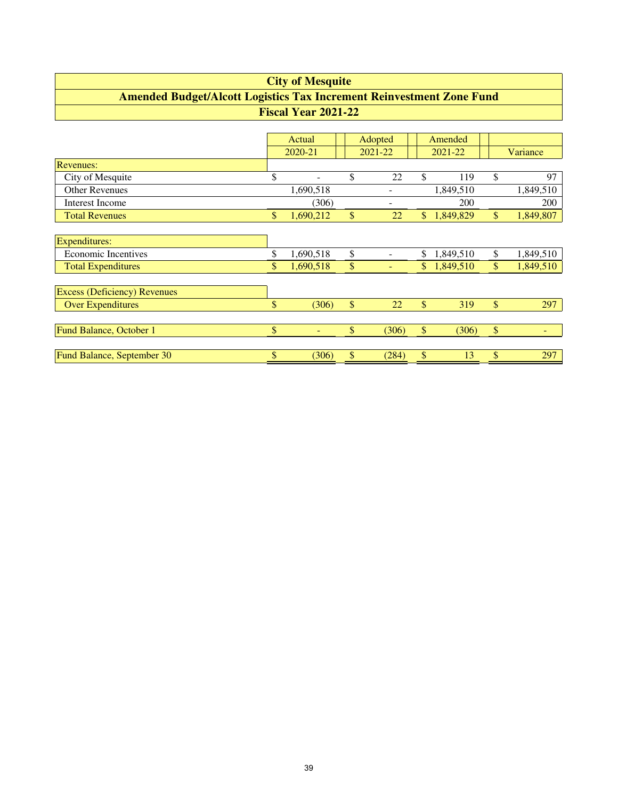|                                                                             | <b>City of Mesquite</b>    |                                |                 |               |           |
|-----------------------------------------------------------------------------|----------------------------|--------------------------------|-----------------|---------------|-----------|
| <b>Amended Budget/Alcott Logistics Tax Increment Reinvestment Zone Fund</b> |                            |                                |                 |               |           |
|                                                                             | <b>Fiscal Year 2021-22</b> |                                |                 |               |           |
|                                                                             |                            |                                |                 |               |           |
|                                                                             | Actual                     | Adopted                        | Amended         |               |           |
|                                                                             | 2020-21                    | 2021-22                        | 2021-22         |               | Variance  |
| <b>Revenues:</b>                                                            |                            |                                |                 |               |           |
| City of Mesquite                                                            | \$                         | \$<br>22                       | \$<br>119       | \$            | 97        |
| <b>Other Revenues</b>                                                       | 1,690,518                  |                                | 1,849,510       |               | 1,849,510 |
| <b>Interest Income</b>                                                      | (306)                      |                                | 200             |               | 200       |
| <b>Total Revenues</b>                                                       | \$<br>1,690,212            | \$<br>22                       | \$<br>1,849,829 | $\mathcal{S}$ | 1,849,807 |
|                                                                             |                            |                                |                 |               |           |
| <b>Expenditures:</b>                                                        |                            |                                |                 |               |           |
| <b>Economic Incentives</b>                                                  | \$<br>1,690,518            | \$<br>$\overline{\phantom{a}}$ | \$<br>1,849,510 | \$            | 1,849,510 |
| <b>Total Expenditures</b>                                                   | \$<br>1,690,518            | \$<br>÷.                       | \$<br>1,849,510 | \$            | 1,849,510 |
|                                                                             |                            |                                |                 |               |           |
| <b>Excess (Deficiency) Revenues</b>                                         |                            |                                |                 |               |           |
| <b>Over Expenditures</b>                                                    | \$<br>(306)                | \$<br>22                       | \$<br>319       | $\mathsf{\$}$ | 297       |
| Fund Balance, October 1                                                     | \$<br>٠                    | \$<br>(306)                    | \$<br>(306)     | \$            | ٠         |
|                                                                             |                            |                                |                 |               |           |
| Fund Balance, September 30                                                  | \$<br>(306)                | \$<br>(284)                    | \$<br>13        | \$            | 297       |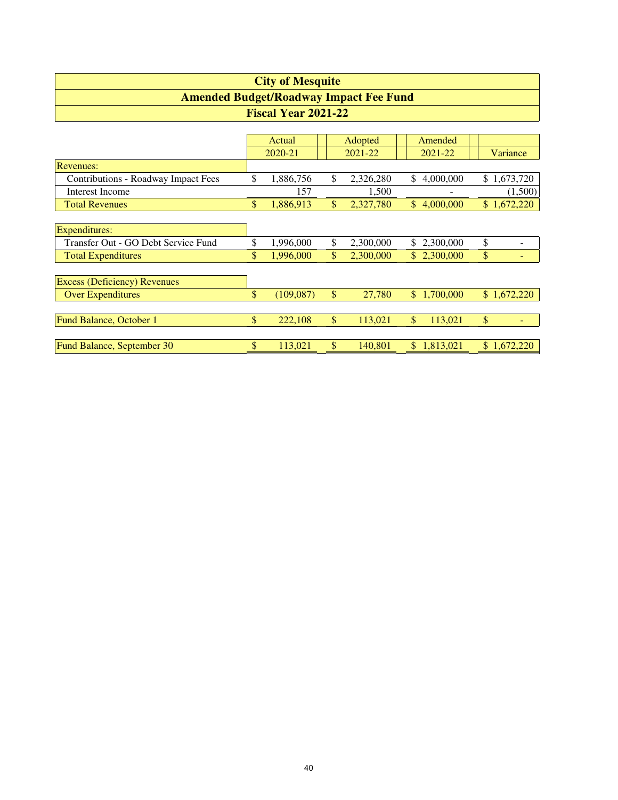| <b>City of Mesquite</b>                       |    |                            |              |           |               |             |    |             |
|-----------------------------------------------|----|----------------------------|--------------|-----------|---------------|-------------|----|-------------|
| <b>Amended Budget/Roadway Impact Fee Fund</b> |    |                            |              |           |               |             |    |             |
|                                               |    | <b>Fiscal Year 2021-22</b> |              |           |               |             |    |             |
|                                               |    |                            |              |           |               |             |    |             |
|                                               |    | Actual                     |              | Adopted   |               | Amended     |    |             |
|                                               |    | 2020-21                    |              | 2021-22   |               | 2021-22     |    | Variance    |
| <b>Revenues:</b>                              |    |                            |              |           |               |             |    |             |
| Contributions - Roadway Impact Fees           | \$ | 1,886,756                  | \$           | 2,326,280 | \$            | 4,000,000   |    | \$1,673,720 |
| <b>Interest Income</b>                        |    | 157                        |              | 1,500     |               |             |    | (1,500)     |
| <b>Total Revenues</b>                         | \$ | 1,886,913                  | \$           | 2,327,780 |               | \$4,000,000 |    | \$1,672,220 |
|                                               |    |                            |              |           |               |             |    |             |
| Expenditures:                                 |    |                            |              |           |               |             |    |             |
| Transfer Out - GO Debt Service Fund           | \$ | 1,996,000                  | \$           | 2,300,000 | \$.           | 2,300,000   | \$ |             |
| <b>Total Expenditures</b>                     | \$ | 1,996,000                  | \$           | 2,300,000 | $\mathbb{S}$  | 2,300,000   | \$ |             |
|                                               |    |                            |              |           |               |             |    |             |
| <b>Excess (Deficiency) Revenues</b>           |    |                            |              |           |               |             |    |             |
| <b>Over Expenditures</b>                      | \$ | (109,087)                  | \$           | 27,780    | $\mathbb{S}$  | 1,700,000   |    | \$1,672,220 |
|                                               |    |                            |              |           |               |             |    |             |
| Fund Balance, October 1                       | \$ | 222,108                    | $\mathbb{S}$ | 113,021   | $\mathcal{S}$ | 113,021     | \$ |             |
|                                               |    |                            |              |           |               |             |    |             |
| Fund Balance, September 30                    | \$ | 113,021                    | \$           | 140,801   | $\mathbb{S}$  | 1,813,021   |    | \$1,672,220 |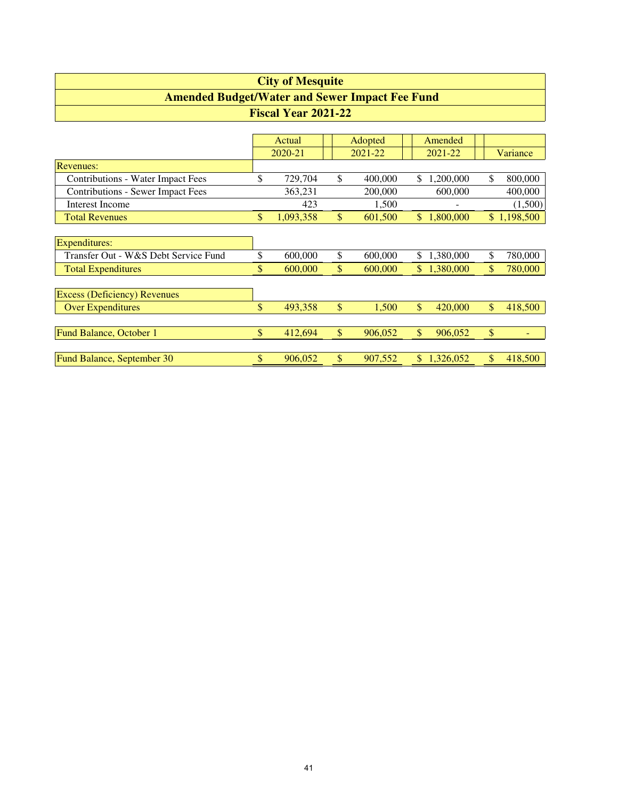|                                                       | <b>City of Mesquite</b>    |               |         |                 |               |                          |
|-------------------------------------------------------|----------------------------|---------------|---------|-----------------|---------------|--------------------------|
| <b>Amended Budget/Water and Sewer Impact Fee Fund</b> |                            |               |         |                 |               |                          |
|                                                       | <b>Fiscal Year 2021-22</b> |               |         |                 |               |                          |
|                                                       |                            |               |         |                 |               |                          |
|                                                       | Actual                     |               | Adopted | Amended         |               |                          |
|                                                       | 2020-21                    |               | 2021-22 | 2021-22         |               | Variance                 |
| Revenues:                                             |                            |               |         |                 |               |                          |
| <b>Contributions - Water Impact Fees</b>              | \$<br>729,704              | \$            | 400,000 | \$<br>1,200,000 | \$            | 800,000                  |
| <b>Contributions - Sewer Impact Fees</b>              | 363,231                    |               | 200,000 | 600,000         |               | 400,000                  |
| <b>Interest Income</b>                                | 423                        |               | 1,500   |                 |               | (1,500)                  |
| <b>Total Revenues</b>                                 | \$<br>1,093,358            | \$            | 601,500 | \$<br>1,800,000 |               | \$1,198,500              |
|                                                       |                            |               |         |                 |               |                          |
| <b>Expenditures:</b>                                  |                            |               |         |                 |               |                          |
| Transfer Out - W&S Debt Service Fund                  | \$<br>600,000              | \$            | 600,000 | \$<br>1,380,000 | \$            | 780,000                  |
| <b>Total Expenditures</b>                             | \$<br>600,000              | \$            | 600,000 | \$<br>1,380,000 | \$            | 780,000                  |
|                                                       |                            |               |         |                 |               |                          |
| <b>Excess (Deficiency) Revenues</b>                   |                            |               |         |                 |               |                          |
| <b>Over Expenditures</b>                              | \$<br>493,358              | \$            | 1,500   | \$<br>420,000   | \$            | 418,500                  |
|                                                       |                            |               |         |                 |               |                          |
| Fund Balance, October 1                               | \$<br>412,694              | $\mathbf{\$}$ | 906,052 | \$<br>906,052   | $\mathsf{\$}$ | $\overline{\phantom{0}}$ |
|                                                       |                            |               |         |                 |               |                          |
| Fund Balance, September 30                            | \$<br>906,052              | \$            | 907,552 | \$<br>1,326,052 | \$            | 418,500                  |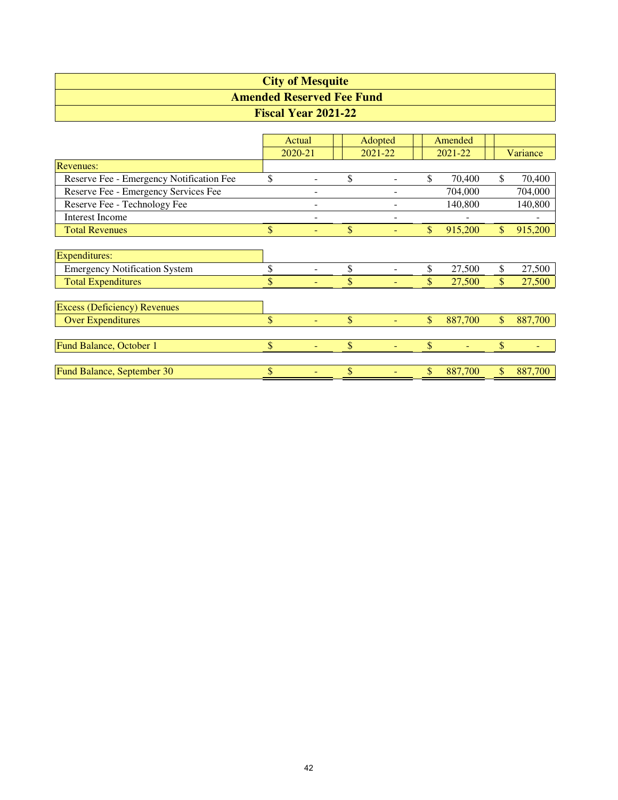| <b>City of Mesquite</b>          |
|----------------------------------|
| <b>Amended Reserved Fee Fund</b> |
| <b>Fiscal Year 2021-22</b>       |

|                                          | Actual |                          | Adopted                        |               | Amended |                      |         |
|------------------------------------------|--------|--------------------------|--------------------------------|---------------|---------|----------------------|---------|
|                                          |        | 2020-21                  | 2021-22                        | 2021-22       |         | Variance             |         |
| <b>Revenues:</b>                         |        |                          |                                |               |         |                      |         |
| Reserve Fee - Emergency Notification Fee | \$     |                          | \$                             | \$            | 70,400  | \$                   | 70,400  |
| Reserve Fee - Emergency Services Fee     |        |                          |                                |               | 704,000 |                      | 704,000 |
| Reserve Fee - Technology Fee             |        |                          |                                |               | 140,800 |                      | 140,800 |
| <b>Interest Income</b>                   |        |                          |                                |               |         |                      |         |
| <b>Total Revenues</b>                    | \$     | $\overline{\phantom{0}}$ | \$<br>$\overline{\phantom{0}}$ | $\mathcal{S}$ | 915,200 | $\mathcal{S}$        | 915,200 |
|                                          |        |                          |                                |               |         |                      |         |
| Expenditures:                            |        |                          |                                |               |         |                      |         |
| <b>Emergency Notification System</b>     | \$     |                          | \$                             | \$            | 27,500  | \$                   | 27,500  |
| <b>Total Expenditures</b>                | \$     |                          | \$                             | \$            | 27,500  | $\sqrt{\frac{2}{5}}$ | 27,500  |
|                                          |        |                          |                                |               |         |                      |         |
| <b>Excess (Deficiency) Revenues</b>      |        |                          |                                |               |         |                      |         |
| <b>Over Expenditures</b>                 | \$     |                          | \$                             | $\mathbb{S}$  | 887,700 | $\mathcal{S}$        | 887,700 |
|                                          |        |                          |                                |               |         |                      |         |
| Fund Balance, October 1                  | \$     |                          | \$                             | \$            | ٠       | \$                   |         |
|                                          |        |                          |                                |               |         |                      |         |
| Fund Balance, September 30               | \$     |                          | \$                             | \$            | 887,700 | \$                   | 887,700 |